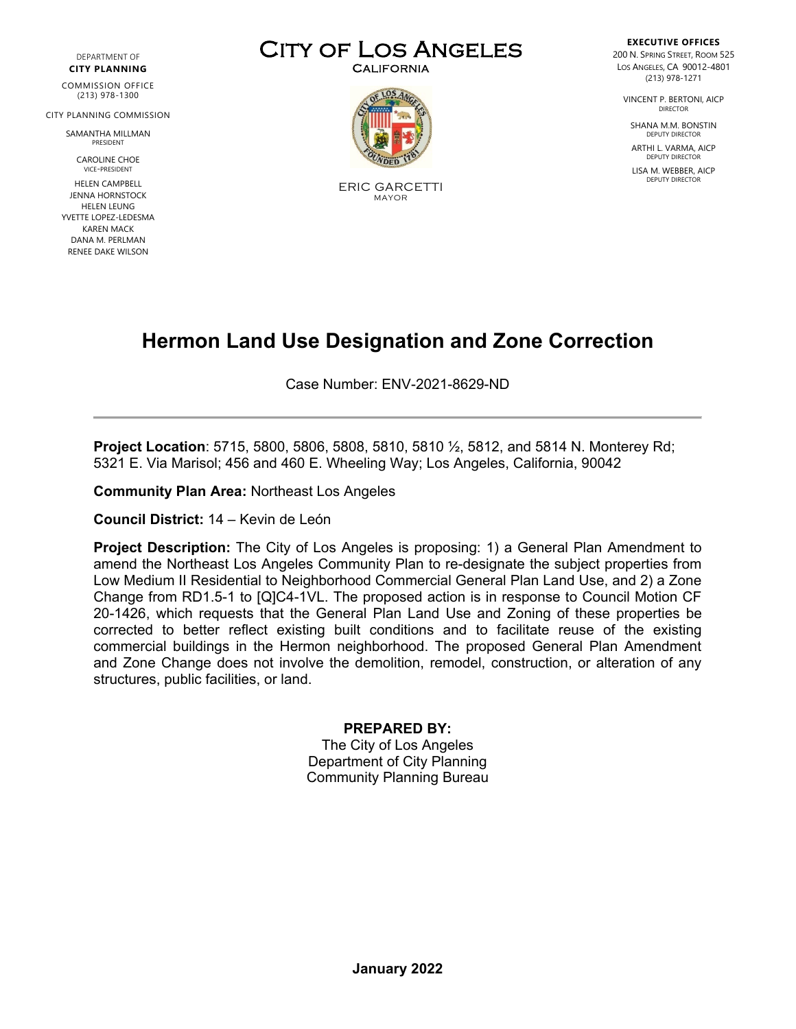DEPARTMENT OF **CITY PLANNING**

COMMISSION OFFICE (213) 978-1300

CITY PLANNING COMMISSION

SAMANTHA MILLMAN PRESIDENT

> CAROLINE CHOE VICE-PRESIDENT

HELEN CAMPBELL JENNA HORNSTOCK HELEN LEUNG YVETTE LOPEZ-LEDESMA KAREN MACK DANA M. PERLMAN RENEE DAKE WILSON





ERIC GARCETTI MAYOR

**EXECUTIVE OFFICES** 200 N. SPRING STREET, ROOM 525 LOS ANGELES, CA 90012-4801 (213) 978-1271

VINCENT P. BERTONI, AICP DIRECTOR

SHANA M.M. BONSTIN DEPUTY DIRECTOR

ARTHI L. VARMA, AICP DEPUTY DIRECTOR

LISA M. WEBBER, AICP DEPUTY DIRECTOR

## **Hermon Land Use Designation and Zone Correction**

Case Number: ENV-2021-8629-ND

**Project Location**: 5715, 5800, 5806, 5808, 5810, 5810 ½, 5812, and 5814 N. Monterey Rd; 5321 E. Via Marisol; 456 and 460 E. Wheeling Way; Los Angeles, California, 90042

**Community Plan Area:** Northeast Los Angeles

**Council District:** 14 – Kevin de León

**Project Description:** The City of Los Angeles is proposing: 1) a General Plan Amendment to amend the Northeast Los Angeles Community Plan to re-designate the subject properties from Low Medium II Residential to Neighborhood Commercial General Plan Land Use, and 2) a Zone Change from RD1.5-1 to [Q]C4-1VL. The proposed action is in response to Council Motion CF 20-1426, which requests that the General Plan Land Use and Zoning of these properties be corrected to better reflect existing built conditions and to facilitate reuse of the existing commercial buildings in the Hermon neighborhood. The proposed General Plan Amendment and Zone Change does not involve the demolition, remodel, construction, or alteration of any structures, public facilities, or land.

#### **PREPARED BY:**

The City of Los Angeles Department of City Planning Community Planning Bureau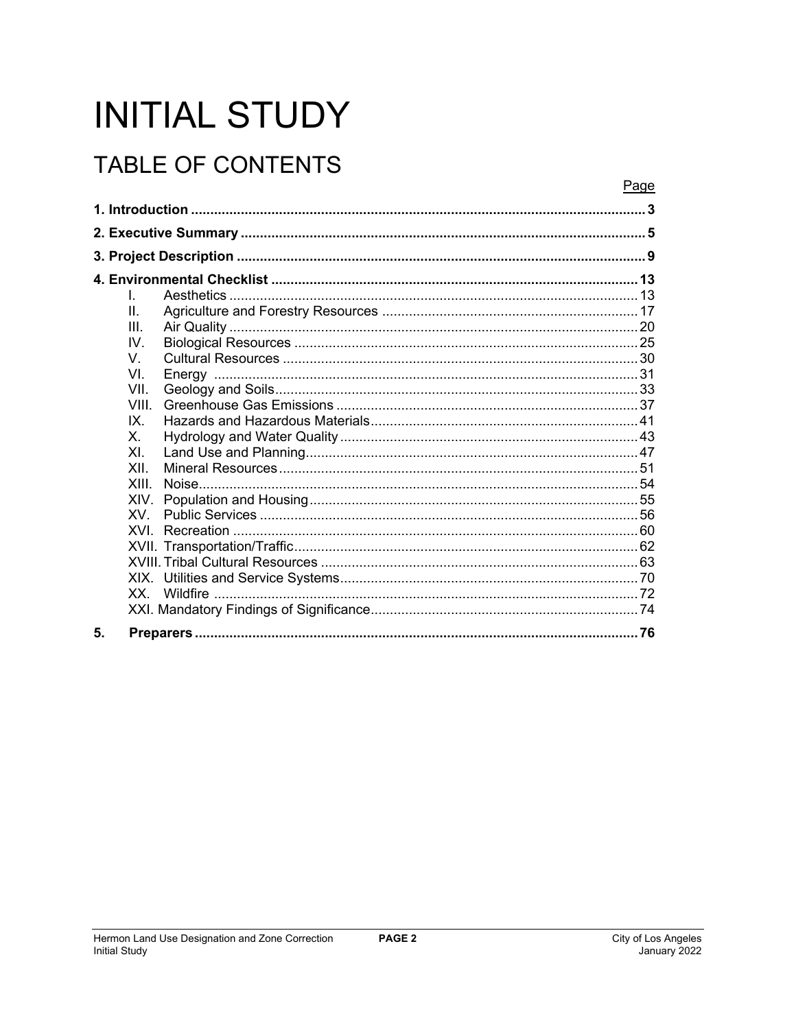# **INITIAL STUDY**

## **TABLE OF CONTENTS**

|    |                | Page |
|----|----------------|------|
|    |                |      |
|    |                |      |
|    |                |      |
|    |                |      |
|    | L              |      |
|    | $\Pi$ .        |      |
|    | III            |      |
|    | IV.            |      |
|    | V              |      |
|    | VI             |      |
|    | VII.           |      |
|    | <b>VIII</b>    |      |
|    | IX.            |      |
|    | Χ.             |      |
|    | X <sub>L</sub> |      |
|    | XII            |      |
|    | XIII           |      |
|    | XIV.           |      |
|    | XV.            |      |
|    | XVI            |      |
|    |                |      |
|    |                |      |
|    |                |      |
|    | XX —           |      |
|    |                |      |
| 5. |                |      |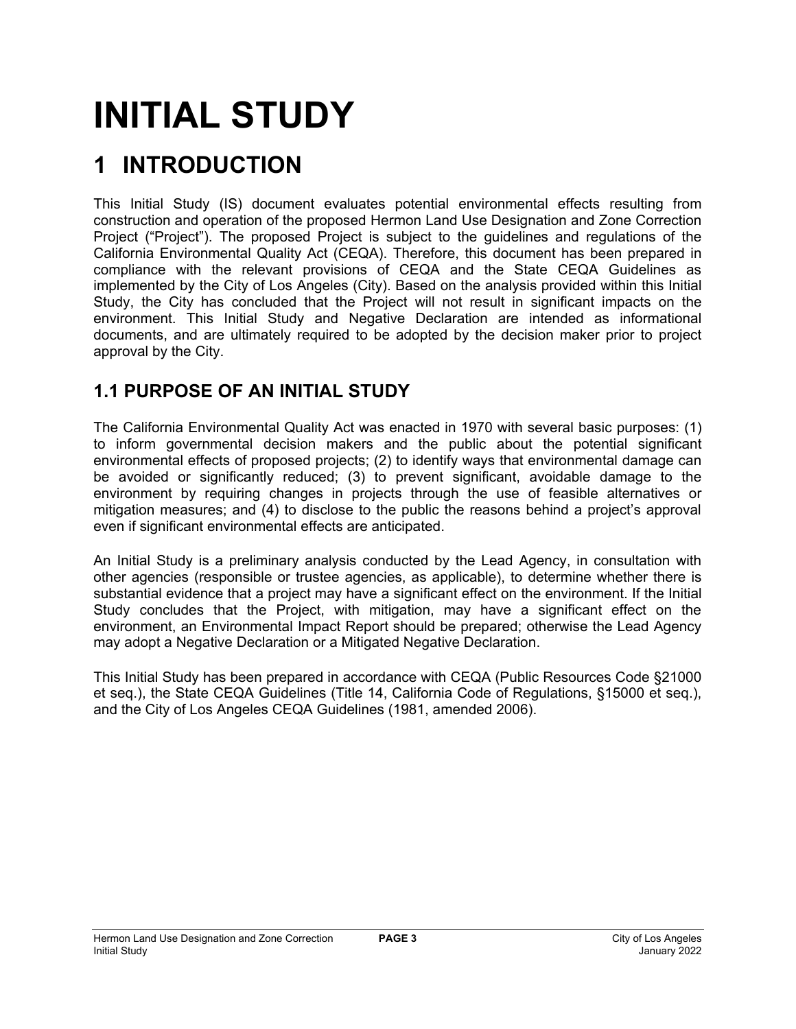# **INITIAL STUDY**

## **1 INTRODUCTION**

This Initial Study (IS) document evaluates potential environmental effects resulting from construction and operation of the proposed Hermon Land Use Designation and Zone Correction Project ("Project"). The proposed Project is subject to the guidelines and regulations of the California Environmental Quality Act (CEQA). Therefore, this document has been prepared in compliance with the relevant provisions of CEQA and the State CEQA Guidelines as implemented by the City of Los Angeles (City). Based on the analysis provided within this Initial Study, the City has concluded that the Project will not result in significant impacts on the environment. This Initial Study and Negative Declaration are intended as informational documents, and are ultimately required to be adopted by the decision maker prior to project approval by the City.

## **1.1 PURPOSE OF AN INITIAL STUDY**

The California Environmental Quality Act was enacted in 1970 with several basic purposes: (1) to inform governmental decision makers and the public about the potential significant environmental effects of proposed projects; (2) to identify ways that environmental damage can be avoided or significantly reduced; (3) to prevent significant, avoidable damage to the environment by requiring changes in projects through the use of feasible alternatives or mitigation measures; and (4) to disclose to the public the reasons behind a project's approval even if significant environmental effects are anticipated.

An Initial Study is a preliminary analysis conducted by the Lead Agency, in consultation with other agencies (responsible or trustee agencies, as applicable), to determine whether there is substantial evidence that a project may have a significant effect on the environment. If the Initial Study concludes that the Project, with mitigation, may have a significant effect on the environment, an Environmental Impact Report should be prepared; otherwise the Lead Agency may adopt a Negative Declaration or a Mitigated Negative Declaration.

This Initial Study has been prepared in accordance with CEQA (Public Resources Code §21000 et seq.), the State CEQA Guidelines (Title 14, California Code of Regulations, §15000 et seq.), and the City of Los Angeles CEQA Guidelines (1981, amended 2006).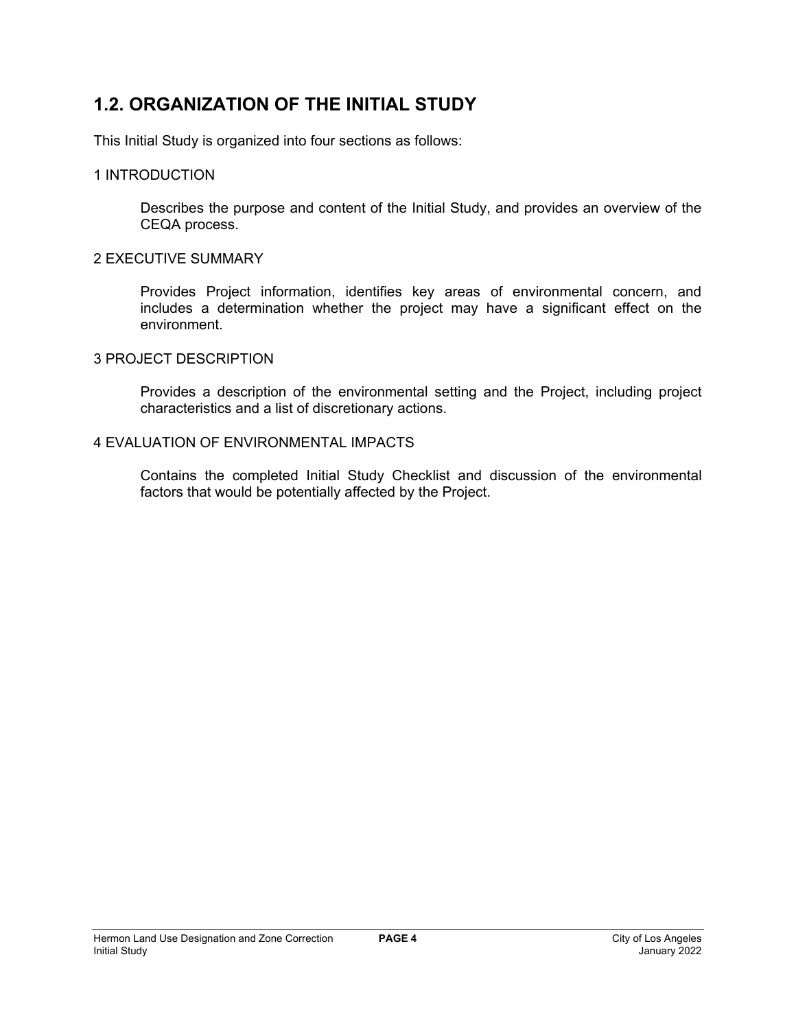## **1.2. ORGANIZATION OF THE INITIAL STUDY**

This Initial Study is organized into four sections as follows:

## 1 INTRODUCTION

Describes the purpose and content of the Initial Study, and provides an overview of the CEQA process.

## 2 EXECUTIVE SUMMARY

Provides Project information, identifies key areas of environmental concern, and includes a determination whether the project may have a significant effect on the environment.

## 3 PROJECT DESCRIPTION

Provides a description of the environmental setting and the Project, including project characteristics and a list of discretionary actions.

## 4 EVALUATION OF ENVIRONMENTAL IMPACTS

Contains the completed Initial Study Checklist and discussion of the environmental factors that would be potentially affected by the Project.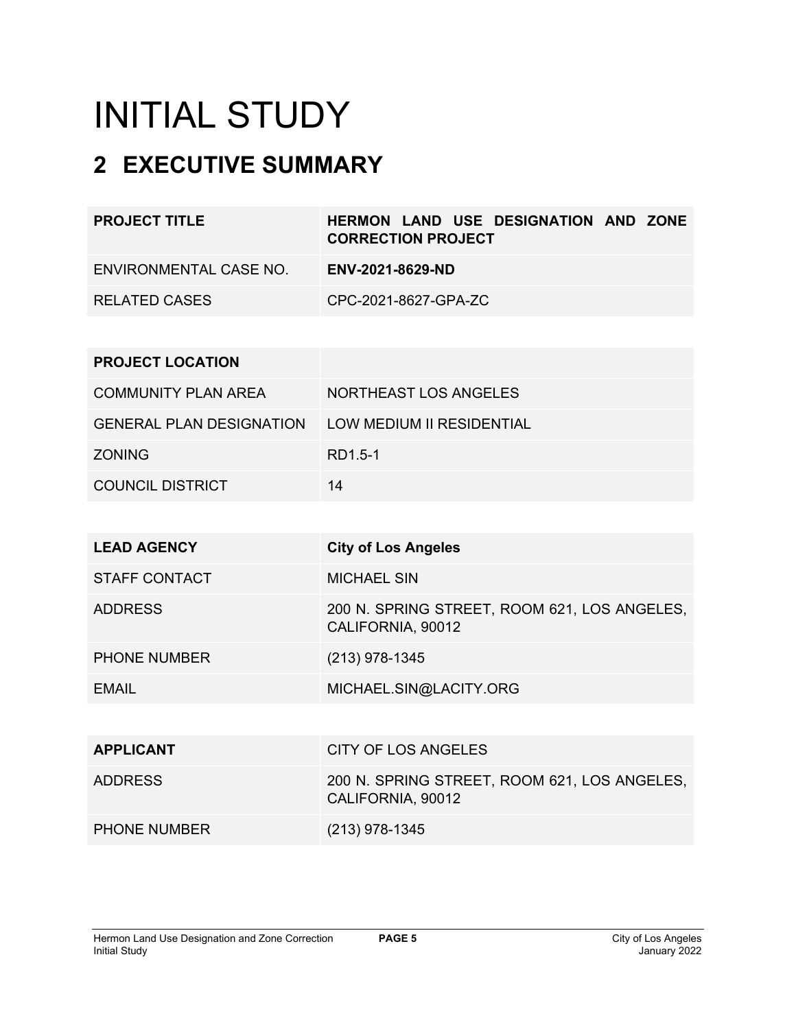# INITIAL STUDY

## **2 EXECUTIVE SUMMARY**

| <b>PROJECT TITLE</b>       | <b>HERMON LAND USE DESIGNATION AND ZONE</b><br><b>CORRECTION PROJECT</b> |
|----------------------------|--------------------------------------------------------------------------|
| ENVIRONMENTAL CASE NO.     | ENV-2021-8629-ND                                                         |
| <b>RELATED CASES</b>       | CPC-2021-8627-GPA-ZC                                                     |
|                            |                                                                          |
| <b>PROJECT LOCATION</b>    |                                                                          |
| <b>COMMUNITY PLAN AREA</b> | NORTHEAST LOS ANGELES                                                    |

| <b>GENERAL PLAN DESIGNATION</b> | LOW MEDIUM II RESIDENTIAL |
|---------------------------------|---------------------------|
| <b>ZONING</b>                   | RD1.5-1                   |
| <b>COUNCIL DISTRICT</b>         | 14                        |

| <b>LEAD AGENCY</b>   | <b>City of Los Angeles</b>                                        |
|----------------------|-------------------------------------------------------------------|
| <b>STAFF CONTACT</b> | <b>MICHAEL SIN</b>                                                |
| <b>ADDRESS</b>       | 200 N. SPRING STREET, ROOM 621, LOS ANGELES,<br>CALIFORNIA, 90012 |
| <b>PHONE NUMBER</b>  | $(213)$ 978-1345                                                  |
| <b>EMAIL</b>         | MICHAEL.SIN@LACITY.ORG                                            |
|                      |                                                                   |
| <b>APPLICANT</b>     | CITY OF LOS ANGELES                                               |
| <b>ADDRESS</b>       | 200 N. SPRING STREET, ROOM 621, LOS ANGELES,<br>CALIFORNIA, 90012 |
| <b>PHONE NUMBER</b>  | (213) 978-1345                                                    |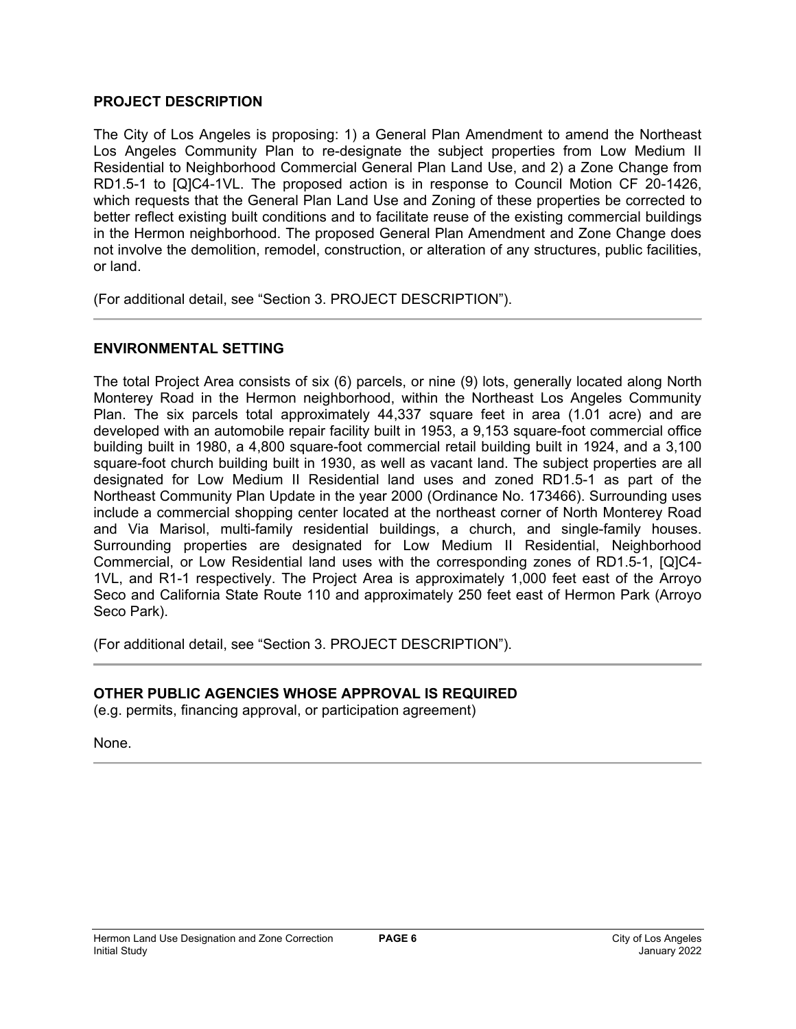## **PROJECT DESCRIPTION**

The City of Los Angeles is proposing: 1) a General Plan Amendment to amend the Northeast Los Angeles Community Plan to re-designate the subject properties from Low Medium II Residential to Neighborhood Commercial General Plan Land Use, and 2) a Zone Change from RD1.5-1 to [Q]C4-1VL. The proposed action is in response to Council Motion CF 20-1426, which requests that the General Plan Land Use and Zoning of these properties be corrected to better reflect existing built conditions and to facilitate reuse of the existing commercial buildings in the Hermon neighborhood. The proposed General Plan Amendment and Zone Change does not involve the demolition, remodel, construction, or alteration of any structures, public facilities, or land.

(For additional detail, see "Section 3. PROJECT DESCRIPTION").

## **ENVIRONMENTAL SETTING**

The total Project Area consists of six (6) parcels, or nine (9) lots, generally located along North Monterey Road in the Hermon neighborhood, within the Northeast Los Angeles Community Plan. The six parcels total approximately 44,337 square feet in area (1.01 acre) and are developed with an automobile repair facility built in 1953, a 9,153 square-foot commercial office building built in 1980, a 4,800 square-foot commercial retail building built in 1924, and a 3,100 square-foot church building built in 1930, as well as vacant land. The subject properties are all designated for Low Medium II Residential land uses and zoned RD1.5-1 as part of the Northeast Community Plan Update in the year 2000 (Ordinance No. 173466). Surrounding uses include a commercial shopping center located at the northeast corner of North Monterey Road and Via Marisol, multi-family residential buildings, a church, and single-family houses. Surrounding properties are designated for Low Medium II Residential, Neighborhood Commercial, or Low Residential land uses with the corresponding zones of RD1.5-1, [Q]C4- 1VL, and R1-1 respectively. The Project Area is approximately 1,000 feet east of the Arroyo Seco and California State Route 110 and approximately 250 feet east of Hermon Park (Arroyo Seco Park).

(For additional detail, see "Section 3. PROJECT DESCRIPTION").

## **OTHER PUBLIC AGENCIES WHOSE APPROVAL IS REQUIRED**

(e.g. permits, financing approval, or participation agreement)

None.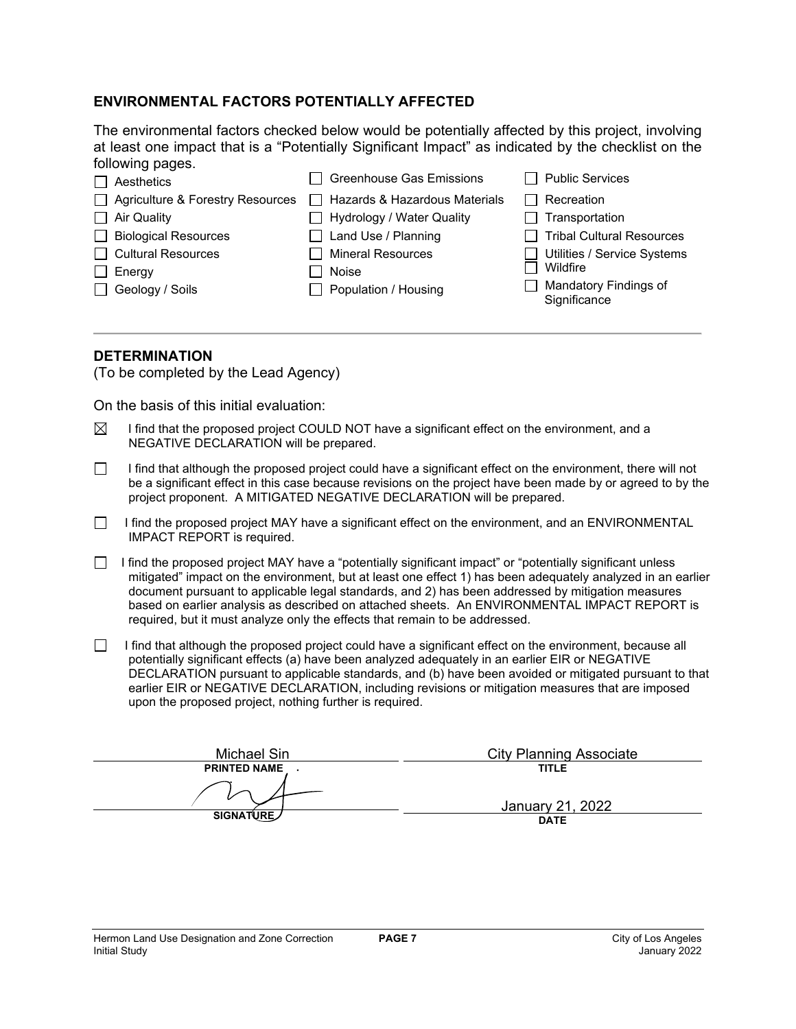#### **ENVIRONMENTAL FACTORS POTENTIALLY AFFECTED**

The environmental factors checked below would be potentially affected by this project, involving at least one impact that is a "Potentially Significant Impact" as indicated by the checklist on the following pages.

|               | $\Box$ Aesthetics                | <b>Greenhouse Gas Emissions</b>      | <b>Public Services</b>                |
|---------------|----------------------------------|--------------------------------------|---------------------------------------|
|               | Agriculture & Forestry Resources | $\Box$ Hazards & Hazardous Materials | Recreation                            |
|               | $\Box$ Air Quality               | □ Hydrology / Water Quality          | Transportation                        |
|               | <b>Biological Resources</b>      | $\Box$ Land Use / Planning           | <b>Tribal Cultural Resources</b>      |
|               | Cultural Resources               | <b>Mineral Resources</b>             | Utilities / Service Systems           |
| $\Box$ Energy |                                  | Noise                                | Wildfire                              |
|               | $\Box$ Geology / Soils           | Population / Housing                 | Mandatory Findings of<br>Significance |

#### **DETERMINATION**

(To be completed by the Lead Agency)

On the basis of this initial evaluation:

- $\boxtimes$  I find that the proposed project COULD NOT have a significant effect on the environment, and a NEGATIVE DECLARATION will be prepared.
- $\Box$  I find that although the proposed project could have a significant effect on the environment, there will not be a significant effect in this case because revisions on the project have been made by or agreed to by the project proponent. A MITIGATED NEGATIVE DECLARATION will be prepared.
- I find the proposed project MAY have a significant effect on the environment, and an ENVIRONMENTAL IMPACT REPORT is required.
- I find the proposed project MAY have a "potentially significant impact" or "potentially significant unless mitigated" impact on the environment, but at least one effect 1) has been adequately analyzed in an earlier document pursuant to applicable legal standards, and 2) has been addressed by mitigation measures based on earlier analysis as described on attached sheets. An ENVIRONMENTAL IMPACT REPORT is required, but it must analyze only the effects that remain to be addressed.
- $\Box$  I find that although the proposed project could have a significant effect on the environment, because all potentially significant effects (a) have been analyzed adequately in an earlier EIR or NEGATIVE DECLARATION pursuant to applicable standards, and (b) have been avoided or mitigated pursuant to that earlier EIR or NEGATIVE DECLARATION, including revisions or mitigation measures that are imposed upon the proposed project, nothing further is required.

| Michael Sin         | <b>City Planning Associate</b> |
|---------------------|--------------------------------|
| <b>PRINTED NAME</b> | <b>TITLE</b>                   |
|                     | January 21, 2022               |
| SIGNATURE/          | <b>DATE</b>                    |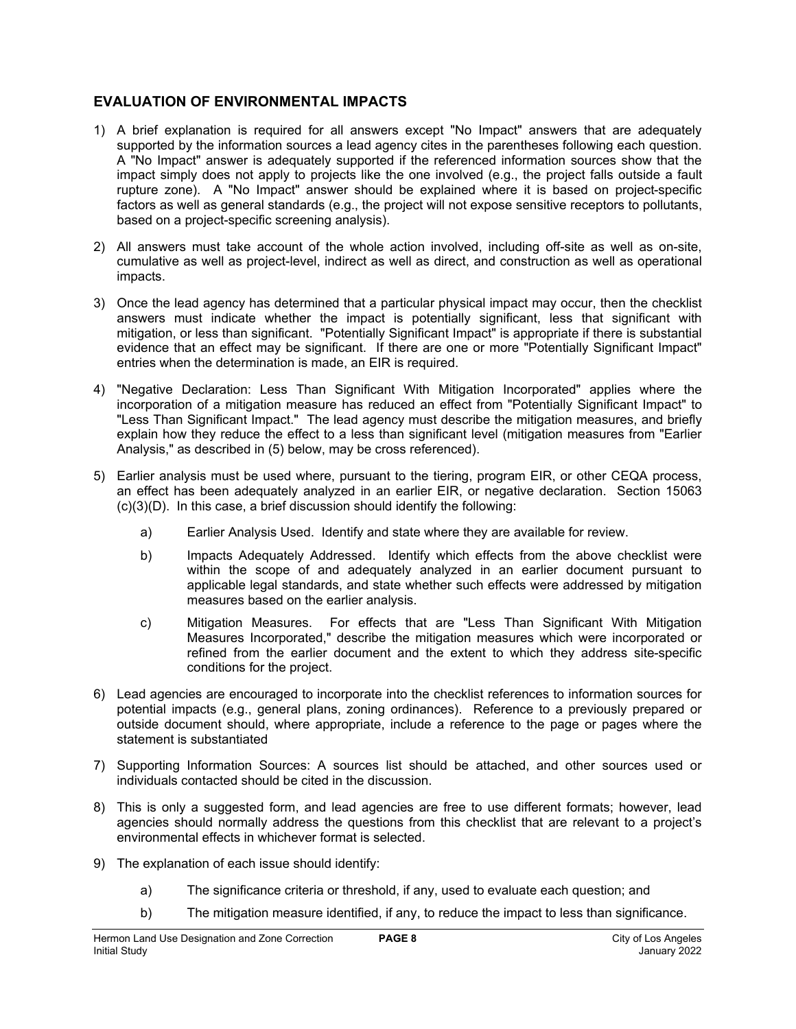## **EVALUATION OF ENVIRONMENTAL IMPACTS**

- 1) A brief explanation is required for all answers except "No Impact" answers that are adequately supported by the information sources a lead agency cites in the parentheses following each question. A "No Impact" answer is adequately supported if the referenced information sources show that the impact simply does not apply to projects like the one involved (e.g., the project falls outside a fault rupture zone). A "No Impact" answer should be explained where it is based on project-specific factors as well as general standards (e.g., the project will not expose sensitive receptors to pollutants, based on a project-specific screening analysis).
- 2) All answers must take account of the whole action involved, including off-site as well as on-site, cumulative as well as project-level, indirect as well as direct, and construction as well as operational impacts.
- 3) Once the lead agency has determined that a particular physical impact may occur, then the checklist answers must indicate whether the impact is potentially significant, less that significant with mitigation, or less than significant. "Potentially Significant Impact" is appropriate if there is substantial evidence that an effect may be significant. If there are one or more "Potentially Significant Impact" entries when the determination is made, an EIR is required.
- 4) "Negative Declaration: Less Than Significant With Mitigation Incorporated" applies where the incorporation of a mitigation measure has reduced an effect from "Potentially Significant Impact" to "Less Than Significant Impact." The lead agency must describe the mitigation measures, and briefly explain how they reduce the effect to a less than significant level (mitigation measures from "Earlier Analysis," as described in (5) below, may be cross referenced).
- 5) Earlier analysis must be used where, pursuant to the tiering, program EIR, or other CEQA process, an effect has been adequately analyzed in an earlier EIR, or negative declaration. Section 15063 (c)(3)(D). In this case, a brief discussion should identify the following:
	- a) Earlier Analysis Used. Identify and state where they are available for review.
	- b) Impacts Adequately Addressed. Identify which effects from the above checklist were within the scope of and adequately analyzed in an earlier document pursuant to applicable legal standards, and state whether such effects were addressed by mitigation measures based on the earlier analysis.
	- c) Mitigation Measures. For effects that are "Less Than Significant With Mitigation Measures Incorporated," describe the mitigation measures which were incorporated or refined from the earlier document and the extent to which they address site-specific conditions for the project.
- 6) Lead agencies are encouraged to incorporate into the checklist references to information sources for potential impacts (e.g., general plans, zoning ordinances). Reference to a previously prepared or outside document should, where appropriate, include a reference to the page or pages where the statement is substantiated
- 7) Supporting Information Sources: A sources list should be attached, and other sources used or individuals contacted should be cited in the discussion.
- 8) This is only a suggested form, and lead agencies are free to use different formats; however, lead agencies should normally address the questions from this checklist that are relevant to a project's environmental effects in whichever format is selected.
- 9) The explanation of each issue should identify:
	- a) The significance criteria or threshold, if any, used to evaluate each question; and
	- b) The mitigation measure identified, if any, to reduce the impact to less than significance.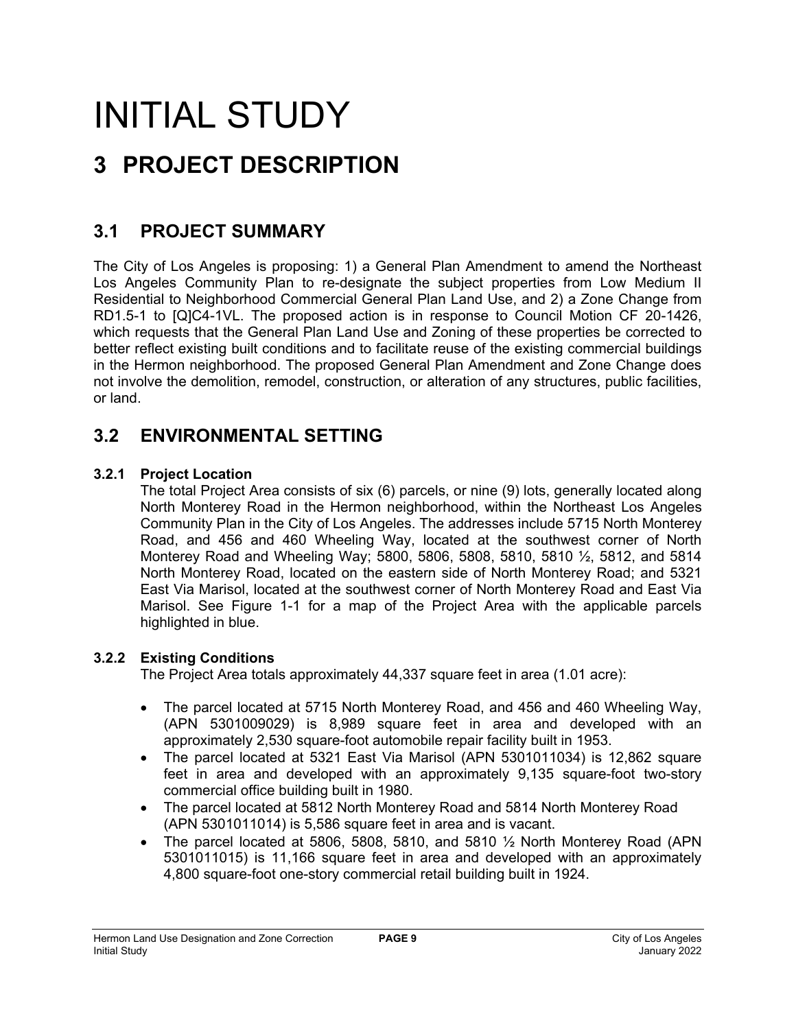## INITIAL STUDY **3 PROJECT DESCRIPTION**

## **3.1 PROJECT SUMMARY**

The City of Los Angeles is proposing: 1) a General Plan Amendment to amend the Northeast Los Angeles Community Plan to re-designate the subject properties from Low Medium II Residential to Neighborhood Commercial General Plan Land Use, and 2) a Zone Change from RD1.5-1 to [Q]C4-1VL. The proposed action is in response to Council Motion CF 20-1426, which requests that the General Plan Land Use and Zoning of these properties be corrected to better reflect existing built conditions and to facilitate reuse of the existing commercial buildings in the Hermon neighborhood. The proposed General Plan Amendment and Zone Change does not involve the demolition, remodel, construction, or alteration of any structures, public facilities, or land.

## **3.2 ENVIRONMENTAL SETTING**

## **3.2.1 Project Location**

The total Project Area consists of six (6) parcels, or nine (9) lots, generally located along North Monterey Road in the Hermon neighborhood, within the Northeast Los Angeles Community Plan in the City of Los Angeles. The addresses include 5715 North Monterey Road, and 456 and 460 Wheeling Way, located at the southwest corner of North Monterey Road and Wheeling Way; 5800, 5806, 5808, 5810, 5810 ½, 5812, and 5814 North Monterey Road, located on the eastern side of North Monterey Road; and 5321 East Via Marisol, located at the southwest corner of North Monterey Road and East Via Marisol. See Figure 1-1 for a map of the Project Area with the applicable parcels highlighted in blue.

## **3.2.2 Existing Conditions**

The Project Area totals approximately 44,337 square feet in area (1.01 acre):

- The parcel located at 5715 North Monterey Road, and 456 and 460 Wheeling Way, (APN 5301009029) is 8,989 square feet in area and developed with an approximately 2,530 square-foot automobile repair facility built in 1953.
- The parcel located at 5321 East Via Marisol (APN 5301011034) is 12,862 square feet in area and developed with an approximately 9,135 square-foot two-story commercial office building built in 1980.
- The parcel located at 5812 North Monterey Road and 5814 North Monterey Road (APN 5301011014) is 5,586 square feet in area and is vacant.
- The parcel located at 5806, 5808, 5810, and 5810  $\frac{1}{2}$  North Monterey Road (APN 5301011015) is 11,166 square feet in area and developed with an approximately 4,800 square-foot one-story commercial retail building built in 1924.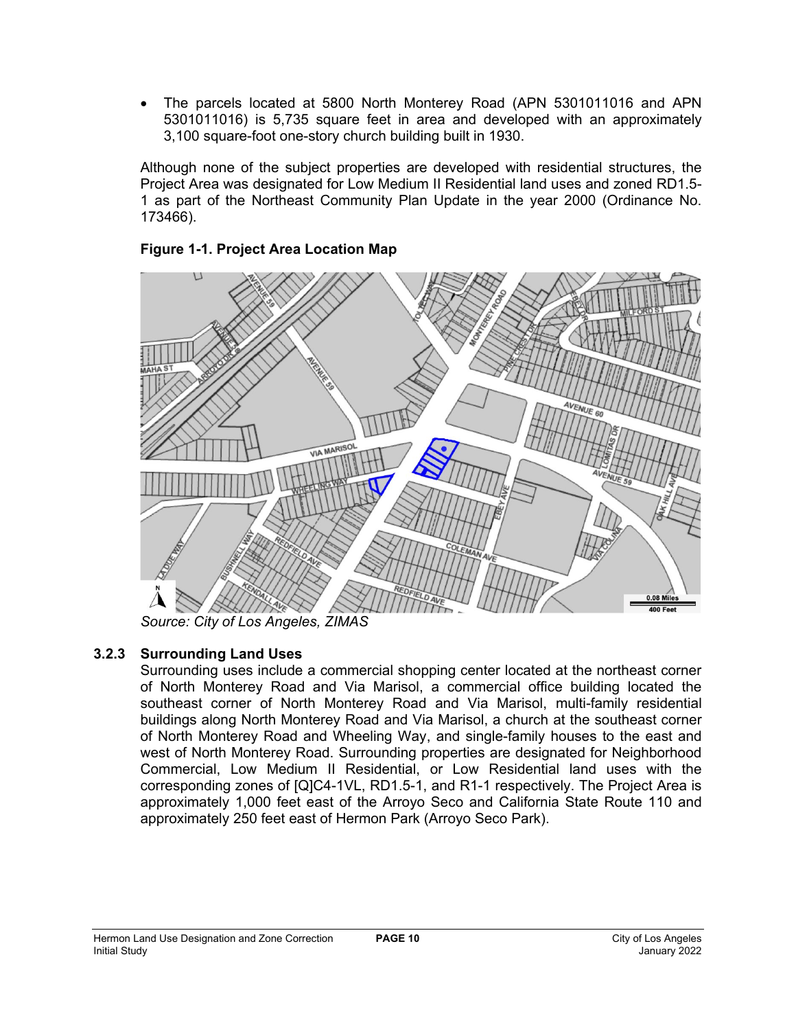• The parcels located at 5800 North Monterey Road (APN 5301011016 and APN 5301011016) is 5,735 square feet in area and developed with an approximately 3,100 square-foot one-story church building built in 1930.

Although none of the subject properties are developed with residential structures, the Project Area was designated for Low Medium II Residential land uses and zoned RD1.5- 1 as part of the Northeast Community Plan Update in the year 2000 (Ordinance No. 173466).



## **Figure 1-1. Project Area Location Map**

*Source: City of Los Angeles, ZIMAS*

## **3.2.3 Surrounding Land Uses**

Surrounding uses include a commercial shopping center located at the northeast corner of North Monterey Road and Via Marisol, a commercial office building located the southeast corner of North Monterey Road and Via Marisol, multi-family residential buildings along North Monterey Road and Via Marisol, a church at the southeast corner of North Monterey Road and Wheeling Way, and single-family houses to the east and west of North Monterey Road. Surrounding properties are designated for Neighborhood Commercial, Low Medium II Residential, or Low Residential land uses with the corresponding zones of [Q]C4-1VL, RD1.5-1, and R1-1 respectively. The Project Area is approximately 1,000 feet east of the Arroyo Seco and California State Route 110 and approximately 250 feet east of Hermon Park (Arroyo Seco Park).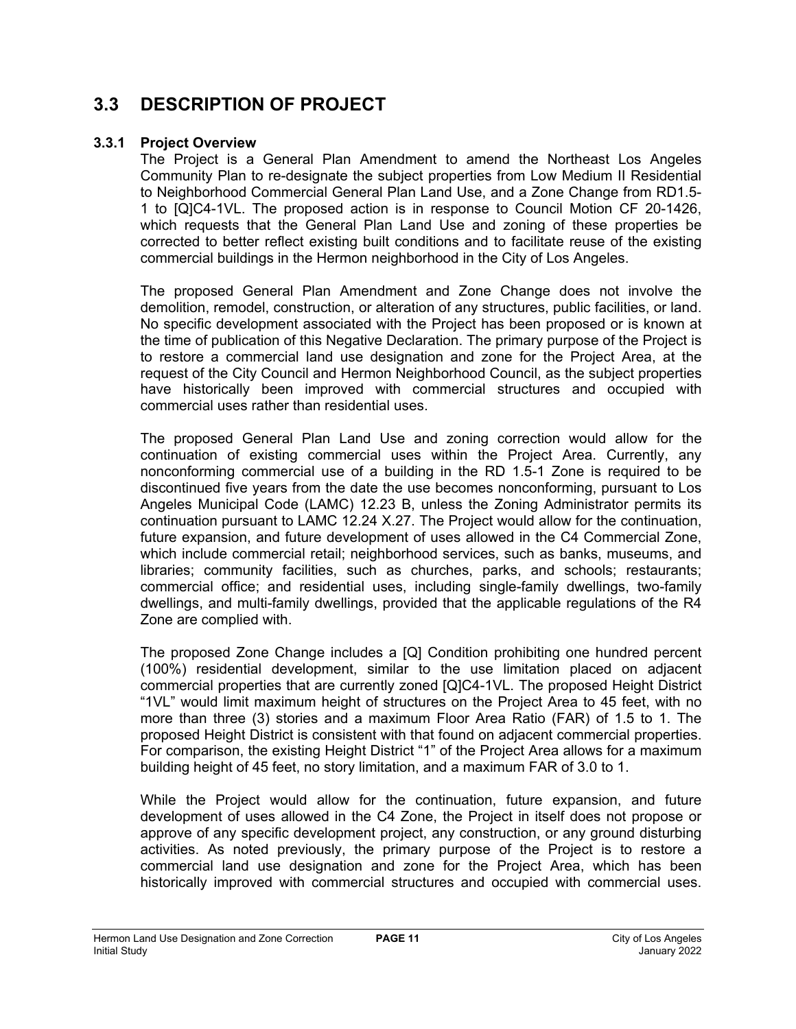## **3.3 DESCRIPTION OF PROJECT**

## **3.3.1 Project Overview**

The Project is a General Plan Amendment to amend the Northeast Los Angeles Community Plan to re-designate the subject properties from Low Medium II Residential to Neighborhood Commercial General Plan Land Use, and a Zone Change from RD1.5- 1 to [Q]C4-1VL. The proposed action is in response to Council Motion CF 20-1426, which requests that the General Plan Land Use and zoning of these properties be corrected to better reflect existing built conditions and to facilitate reuse of the existing commercial buildings in the Hermon neighborhood in the City of Los Angeles.

The proposed General Plan Amendment and Zone Change does not involve the demolition, remodel, construction, or alteration of any structures, public facilities, or land. No specific development associated with the Project has been proposed or is known at the time of publication of this Negative Declaration. The primary purpose of the Project is to restore a commercial land use designation and zone for the Project Area, at the request of the City Council and Hermon Neighborhood Council, as the subject properties have historically been improved with commercial structures and occupied with commercial uses rather than residential uses.

The proposed General Plan Land Use and zoning correction would allow for the continuation of existing commercial uses within the Project Area. Currently, any nonconforming commercial use of a building in the RD 1.5-1 Zone is required to be discontinued five years from the date the use becomes nonconforming, pursuant to Los Angeles Municipal Code (LAMC) 12.23 B, unless the Zoning Administrator permits its continuation pursuant to LAMC 12.24 X.27. The Project would allow for the continuation, future expansion, and future development of uses allowed in the C4 Commercial Zone, which include commercial retail; neighborhood services, such as banks, museums, and libraries; community facilities, such as churches, parks, and schools; restaurants; commercial office; and residential uses, including single-family dwellings, two-family dwellings, and multi-family dwellings, provided that the applicable regulations of the R4 Zone are complied with.

The proposed Zone Change includes a [Q] Condition prohibiting one hundred percent (100%) residential development, similar to the use limitation placed on adjacent commercial properties that are currently zoned [Q]C4-1VL. The proposed Height District "1VL" would limit maximum height of structures on the Project Area to 45 feet, with no more than three (3) stories and a maximum Floor Area Ratio (FAR) of 1.5 to 1. The proposed Height District is consistent with that found on adjacent commercial properties. For comparison, the existing Height District "1" of the Project Area allows for a maximum building height of 45 feet, no story limitation, and a maximum FAR of 3.0 to 1.

While the Project would allow for the continuation, future expansion, and future development of uses allowed in the C4 Zone, the Project in itself does not propose or approve of any specific development project, any construction, or any ground disturbing activities. As noted previously, the primary purpose of the Project is to restore a commercial land use designation and zone for the Project Area, which has been historically improved with commercial structures and occupied with commercial uses.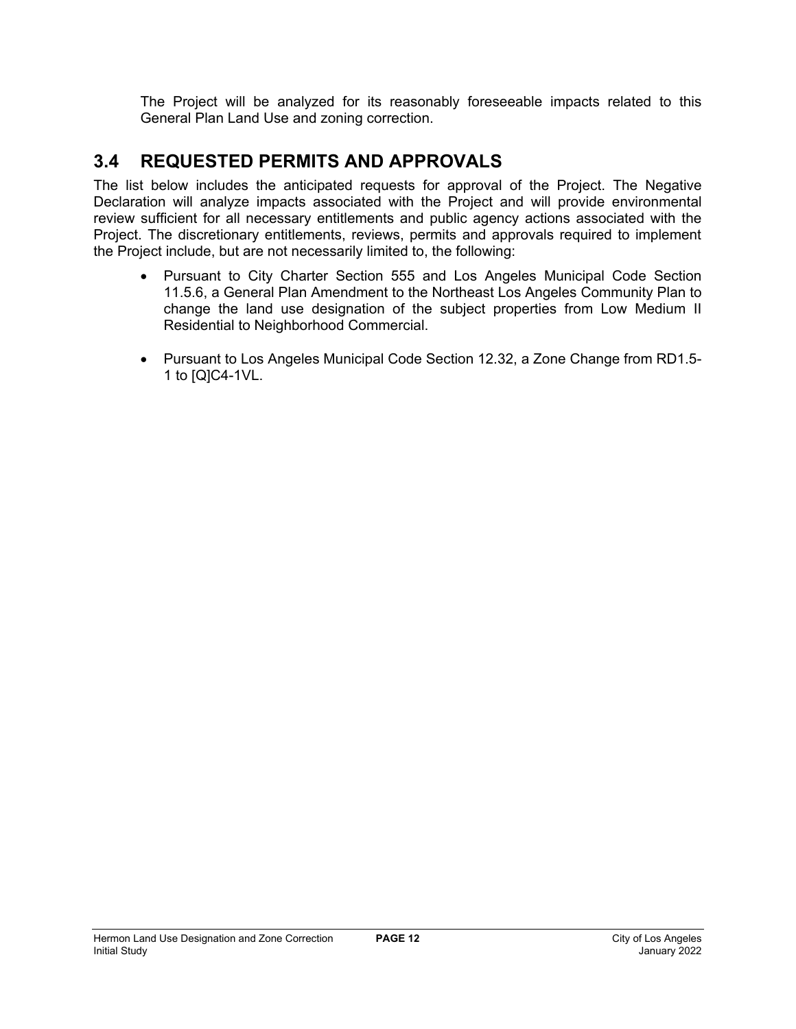The Project will be analyzed for its reasonably foreseeable impacts related to this General Plan Land Use and zoning correction.

## **3.4 REQUESTED PERMITS AND APPROVALS**

The list below includes the anticipated requests for approval of the Project. The Negative Declaration will analyze impacts associated with the Project and will provide environmental review sufficient for all necessary entitlements and public agency actions associated with the Project. The discretionary entitlements, reviews, permits and approvals required to implement the Project include, but are not necessarily limited to, the following:

- Pursuant to City Charter Section 555 and Los Angeles Municipal Code Section 11.5.6, a General Plan Amendment to the Northeast Los Angeles Community Plan to change the land use designation of the subject properties from Low Medium II Residential to Neighborhood Commercial.
- Pursuant to Los Angeles Municipal Code Section 12.32, a Zone Change from RD1.5- 1 to [Q]C4-1VL.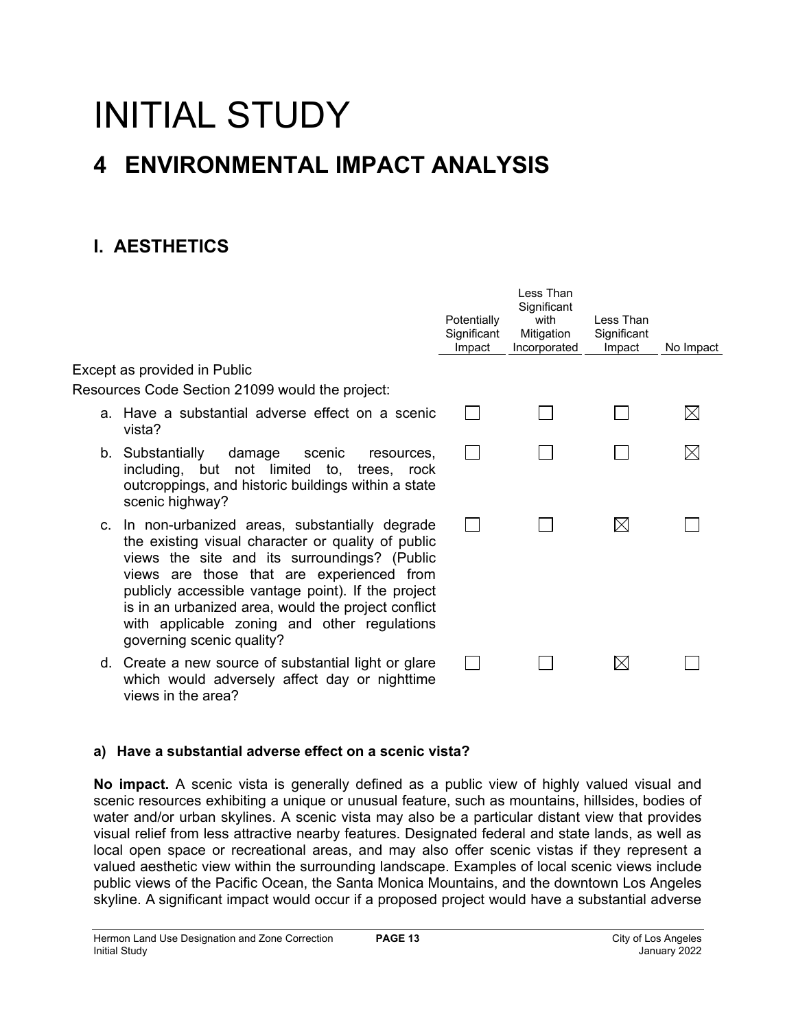# INITIAL STUDY

## **4 ENVIRONMENTAL IMPACT ANALYSIS**

## **I. AESTHETICS**

|                                     |                                                                                                                                                                                                                                                                                                                                                                                               |            | Potentially<br>Significant<br>Impact | Less Than<br>Significant<br>with<br>Mitigation<br>Incorporated | Less Than<br>Significant<br>Impact | No Impact   |
|-------------------------------------|-----------------------------------------------------------------------------------------------------------------------------------------------------------------------------------------------------------------------------------------------------------------------------------------------------------------------------------------------------------------------------------------------|------------|--------------------------------------|----------------------------------------------------------------|------------------------------------|-------------|
| Except as provided in Public        |                                                                                                                                                                                                                                                                                                                                                                                               |            |                                      |                                                                |                                    |             |
|                                     | Resources Code Section 21099 would the project:                                                                                                                                                                                                                                                                                                                                               |            |                                      |                                                                |                                    |             |
| vista?                              | a. Have a substantial adverse effect on a scenic                                                                                                                                                                                                                                                                                                                                              |            |                                      |                                                                |                                    | $\boxtimes$ |
| b. Substantially<br>scenic highway? | damage<br>scenic<br>including, but not limited to, trees, rock<br>outcroppings, and historic buildings within a state                                                                                                                                                                                                                                                                         | resources, |                                      |                                                                |                                    | $\boxtimes$ |
|                                     | c. In non-urbanized areas, substantially degrade<br>the existing visual character or quality of public<br>views the site and its surroundings? (Public<br>views are those that are experienced from<br>publicly accessible vantage point). If the project<br>is in an urbanized area, would the project conflict<br>with applicable zoning and other regulations<br>governing scenic quality? |            |                                      |                                                                | $\bowtie$                          |             |
| views in the area?                  | d. Create a new source of substantial light or glare<br>which would adversely affect day or nighttime                                                                                                                                                                                                                                                                                         |            |                                      |                                                                | $\boxtimes$                        |             |

## **a) Have a substantial adverse effect on a scenic vista?**

**No impact.** A scenic vista is generally defined as a public view of highly valued visual and scenic resources exhibiting a unique or unusual feature, such as mountains, hillsides, bodies of water and/or urban skylines. A scenic vista may also be a particular distant view that provides visual relief from less attractive nearby features. Designated federal and state lands, as well as local open space or recreational areas, and may also offer scenic vistas if they represent a valued aesthetic view within the surrounding landscape. Examples of local scenic views include public views of the Pacific Ocean, the Santa Monica Mountains, and the downtown Los Angeles skyline. A significant impact would occur if a proposed project would have a substantial adverse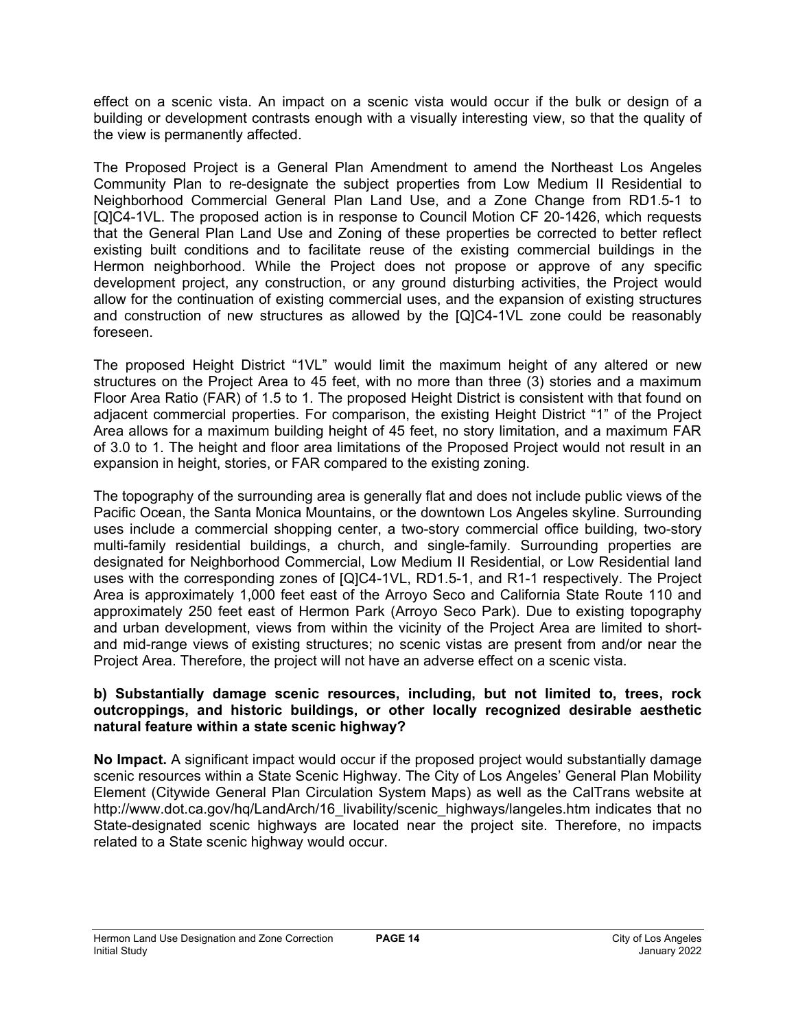effect on a scenic vista. An impact on a scenic vista would occur if the bulk or design of a building or development contrasts enough with a visually interesting view, so that the quality of the view is permanently affected.

The Proposed Project is a General Plan Amendment to amend the Northeast Los Angeles Community Plan to re-designate the subject properties from Low Medium II Residential to Neighborhood Commercial General Plan Land Use, and a Zone Change from RD1.5-1 to [Q]C4-1VL. The proposed action is in response to Council Motion CF 20-1426, which requests that the General Plan Land Use and Zoning of these properties be corrected to better reflect existing built conditions and to facilitate reuse of the existing commercial buildings in the Hermon neighborhood. While the Project does not propose or approve of any specific development project, any construction, or any ground disturbing activities, the Project would allow for the continuation of existing commercial uses, and the expansion of existing structures and construction of new structures as allowed by the [Q]C4-1VL zone could be reasonably foreseen.

The proposed Height District "1VL" would limit the maximum height of any altered or new structures on the Project Area to 45 feet, with no more than three (3) stories and a maximum Floor Area Ratio (FAR) of 1.5 to 1. The proposed Height District is consistent with that found on adjacent commercial properties. For comparison, the existing Height District "1" of the Project Area allows for a maximum building height of 45 feet, no story limitation, and a maximum FAR of 3.0 to 1. The height and floor area limitations of the Proposed Project would not result in an expansion in height, stories, or FAR compared to the existing zoning.

The topography of the surrounding area is generally flat and does not include public views of the Pacific Ocean, the Santa Monica Mountains, or the downtown Los Angeles skyline. Surrounding uses include a commercial shopping center, a two-story commercial office building, two-story multi-family residential buildings, a church, and single-family. Surrounding properties are designated for Neighborhood Commercial, Low Medium II Residential, or Low Residential land uses with the corresponding zones of [Q]C4-1VL, RD1.5-1, and R1-1 respectively. The Project Area is approximately 1,000 feet east of the Arroyo Seco and California State Route 110 and approximately 250 feet east of Hermon Park (Arroyo Seco Park). Due to existing topography and urban development, views from within the vicinity of the Project Area are limited to shortand mid-range views of existing structures; no scenic vistas are present from and/or near the Project Area. Therefore, the project will not have an adverse effect on a scenic vista.

## **b) Substantially damage scenic resources, including, but not limited to, trees, rock outcroppings, and historic buildings, or other locally recognized desirable aesthetic natural feature within a state scenic highway?**

**No Impact.** A significant impact would occur if the proposed project would substantially damage scenic resources within a State Scenic Highway. The City of Los Angeles' General Plan Mobility Element (Citywide General Plan Circulation System Maps) as well as the CalTrans website at http://www.dot.ca.gov/hq/LandArch/16 livability/scenic highways/langeles.htm indicates that no State-designated scenic highways are located near the project site. Therefore, no impacts related to a State scenic highway would occur.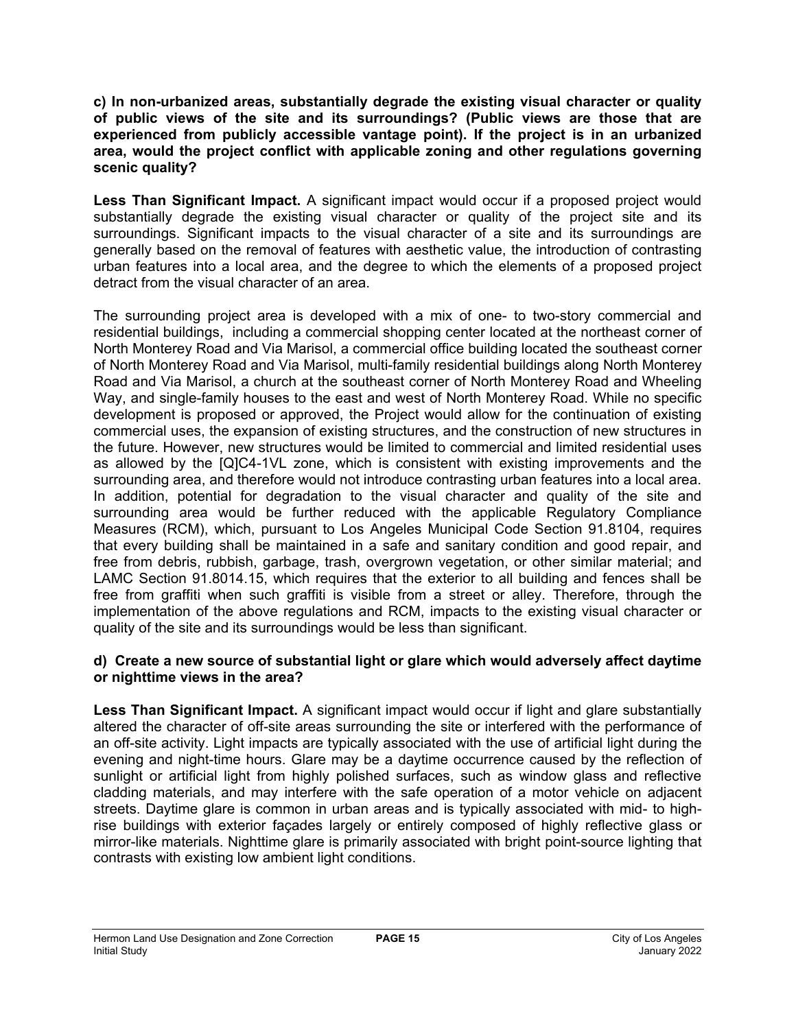**c) In non-urbanized areas, substantially degrade the existing visual character or quality of public views of the site and its surroundings? (Public views are those that are experienced from publicly accessible vantage point). If the project is in an urbanized area, would the project conflict with applicable zoning and other regulations governing scenic quality?**

**Less Than Significant Impact.** A significant impact would occur if a proposed project would substantially degrade the existing visual character or quality of the project site and its surroundings. Significant impacts to the visual character of a site and its surroundings are generally based on the removal of features with aesthetic value, the introduction of contrasting urban features into a local area, and the degree to which the elements of a proposed project detract from the visual character of an area.

The surrounding project area is developed with a mix of one- to two-story commercial and residential buildings, including a commercial shopping center located at the northeast corner of North Monterey Road and Via Marisol, a commercial office building located the southeast corner of North Monterey Road and Via Marisol, multi-family residential buildings along North Monterey Road and Via Marisol, a church at the southeast corner of North Monterey Road and Wheeling Way, and single-family houses to the east and west of North Monterey Road. While no specific development is proposed or approved, the Project would allow for the continuation of existing commercial uses, the expansion of existing structures, and the construction of new structures in the future. However, new structures would be limited to commercial and limited residential uses as allowed by the [Q]C4-1VL zone, which is consistent with existing improvements and the surrounding area, and therefore would not introduce contrasting urban features into a local area. In addition, potential for degradation to the visual character and quality of the site and surrounding area would be further reduced with the applicable Regulatory Compliance Measures (RCM), which, pursuant to Los Angeles Municipal Code Section 91.8104, requires that every building shall be maintained in a safe and sanitary condition and good repair, and free from debris, rubbish, garbage, trash, overgrown vegetation, or other similar material; and LAMC Section 91.8014.15, which requires that the exterior to all building and fences shall be free from graffiti when such graffiti is visible from a street or alley. Therefore, through the implementation of the above regulations and RCM, impacts to the existing visual character or quality of the site and its surroundings would be less than significant.

## **d) Create a new source of substantial light or glare which would adversely affect daytime or nighttime views in the area?**

**Less Than Significant Impact.** A significant impact would occur if light and glare substantially altered the character of off-site areas surrounding the site or interfered with the performance of an off-site activity. Light impacts are typically associated with the use of artificial light during the evening and night-time hours. Glare may be a daytime occurrence caused by the reflection of sunlight or artificial light from highly polished surfaces, such as window glass and reflective cladding materials, and may interfere with the safe operation of a motor vehicle on adjacent streets. Daytime glare is common in urban areas and is typically associated with mid- to highrise buildings with exterior façades largely or entirely composed of highly reflective glass or mirror-like materials. Nighttime glare is primarily associated with bright point-source lighting that contrasts with existing low ambient light conditions.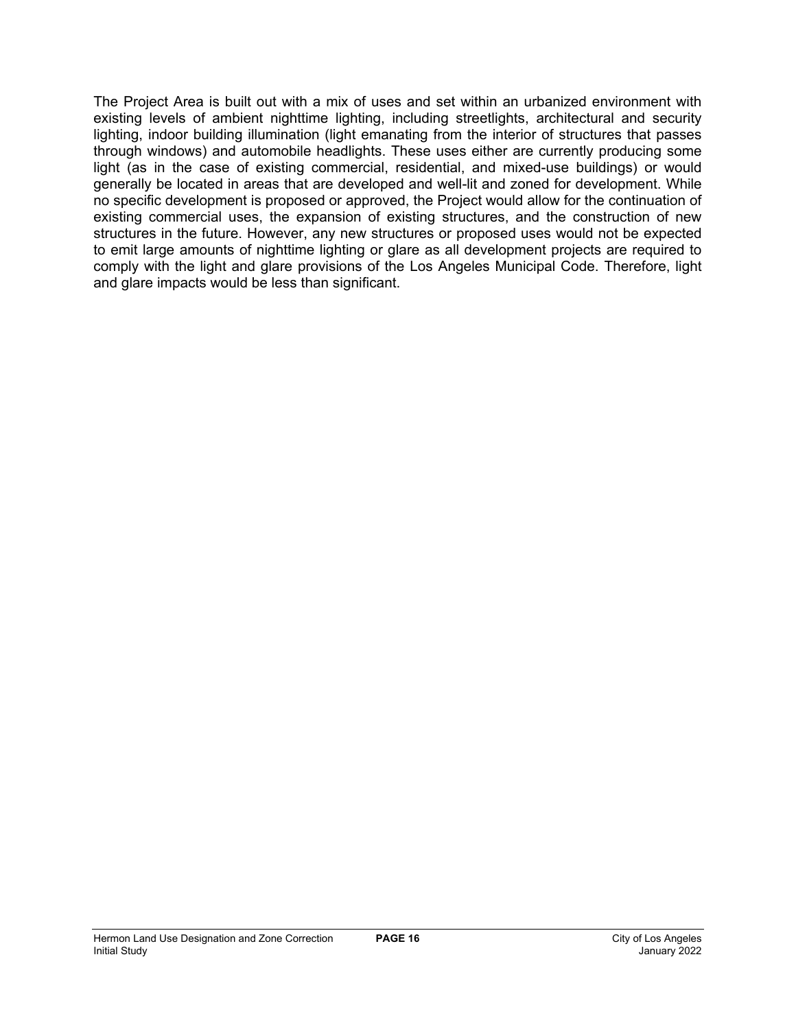The Project Area is built out with a mix of uses and set within an urbanized environment with existing levels of ambient nighttime lighting, including streetlights, architectural and security lighting, indoor building illumination (light emanating from the interior of structures that passes through windows) and automobile headlights. These uses either are currently producing some light (as in the case of existing commercial, residential, and mixed-use buildings) or would generally be located in areas that are developed and well-lit and zoned for development. While no specific development is proposed or approved, the Project would allow for the continuation of existing commercial uses, the expansion of existing structures, and the construction of new structures in the future. However, any new structures or proposed uses would not be expected to emit large amounts of nighttime lighting or glare as all development projects are required to comply with the light and glare provisions of the Los Angeles Municipal Code. Therefore, light and glare impacts would be less than significant.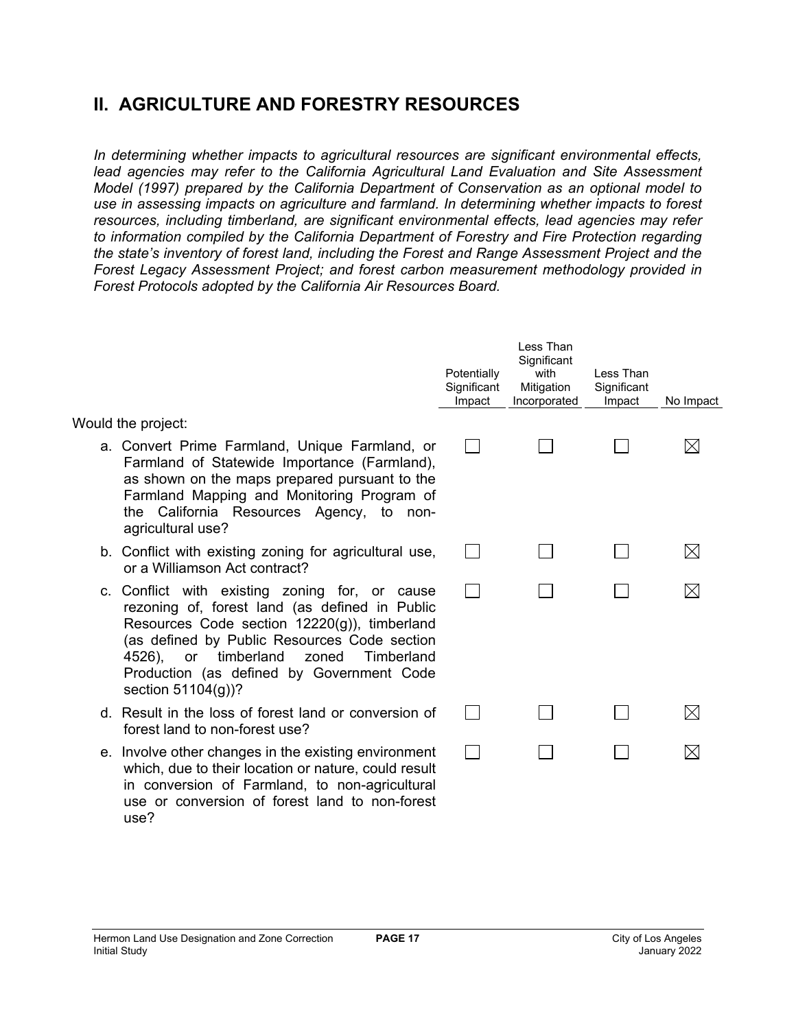## **II. AGRICULTURE AND FORESTRY RESOURCES**

*In determining whether impacts to agricultural resources are significant environmental effects,*  lead agencies may refer to the California Agricultural Land Evaluation and Site Assessment *Model (1997) prepared by the California Department of Conservation as an optional model to use in assessing impacts on agriculture and farmland. In determining whether impacts to forest resources, including timberland, are significant environmental effects, lead agencies may refer to information compiled by the California Department of Forestry and Fire Protection regarding the state's inventory of forest land, including the Forest and Range Assessment Project and the Forest Legacy Assessment Project; and forest carbon measurement methodology provided in Forest Protocols adopted by the California Air Resources Board.* 

|                                                                                                                                                                                                                                                                                                                          | Potentially<br>Significant<br>Impact | Less Than<br>Significant<br>with<br>Mitigation<br>Incorporated | Less Than<br>Significant<br>Impact | No Impact   |
|--------------------------------------------------------------------------------------------------------------------------------------------------------------------------------------------------------------------------------------------------------------------------------------------------------------------------|--------------------------------------|----------------------------------------------------------------|------------------------------------|-------------|
| Would the project:                                                                                                                                                                                                                                                                                                       |                                      |                                                                |                                    |             |
| a. Convert Prime Farmland, Unique Farmland, or<br>Farmland of Statewide Importance (Farmland),<br>as shown on the maps prepared pursuant to the<br>Farmland Mapping and Monitoring Program of<br>the California Resources Agency, to non-<br>agricultural use?                                                           |                                      |                                                                |                                    | ⋉           |
| b. Conflict with existing zoning for agricultural use,<br>or a Williamson Act contract?                                                                                                                                                                                                                                  |                                      |                                                                |                                    | $\boxtimes$ |
| c. Conflict with existing zoning for, or cause<br>rezoning of, forest land (as defined in Public<br>Resources Code section 12220(g)), timberland<br>(as defined by Public Resources Code section<br>timberland<br>Timberland<br>4526),<br>zoned<br>or<br>Production (as defined by Government Code<br>section 51104(g))? |                                      |                                                                |                                    | M           |
| d. Result in the loss of forest land or conversion of<br>forest land to non-forest use?                                                                                                                                                                                                                                  |                                      |                                                                |                                    |             |
| e. Involve other changes in the existing environment<br>which, due to their location or nature, could result<br>in conversion of Farmland, to non-agricultural<br>use or conversion of forest land to non-forest<br>use?                                                                                                 |                                      |                                                                |                                    |             |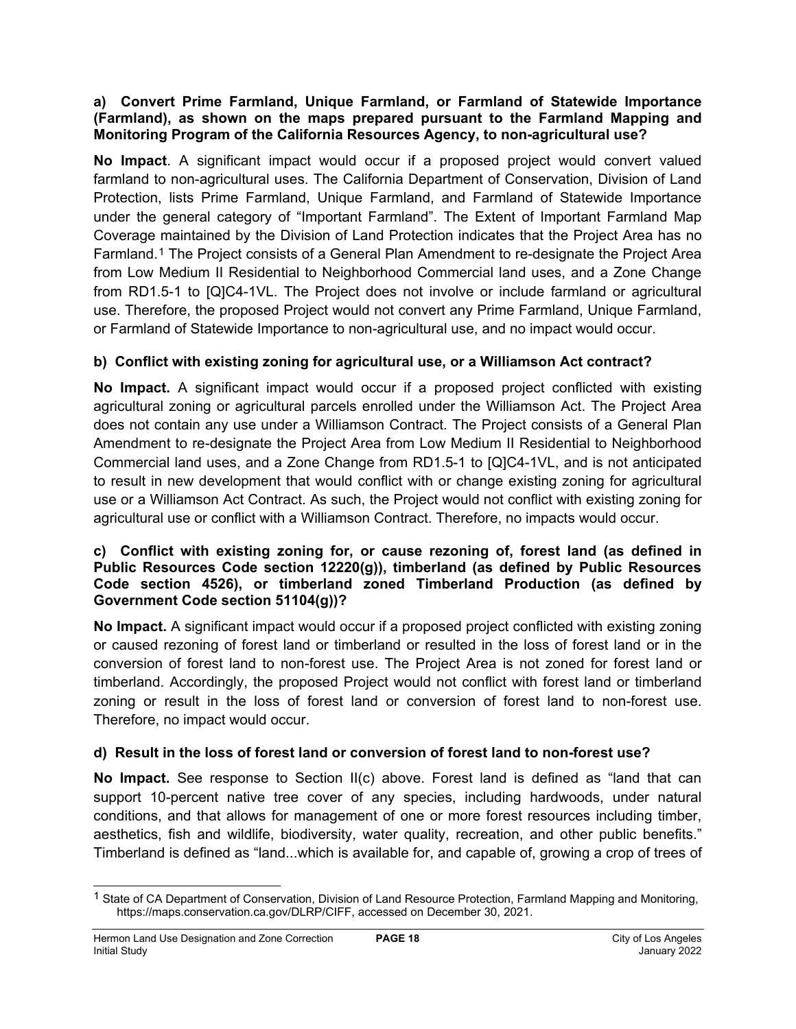## **a) Convert Prime Farmland, Unique Farmland, or Farmland of Statewide Importance (Farmland), as shown on the maps prepared pursuant to the Farmland Mapping and Monitoring Program of the California Resources Agency, to non-agricultural use?**

**No Impact**. A significant impact would occur if a proposed project would convert valued farmland to non-agricultural uses. The California Department of Conservation, Division of Land Protection, lists Prime Farmland, Unique Farmland, and Farmland of Statewide Importance under the general category of "Important Farmland". The Extent of Important Farmland Map Coverage maintained by the Division of Land Protection indicates that the Project Area has no Farmland.[1](#page-17-0) The Project consists of a General Plan Amendment to re-designate the Project Area from Low Medium II Residential to Neighborhood Commercial land uses, and a Zone Change from RD1.5-1 to [Q]C4-1VL. The Project does not involve or include farmland or agricultural use. Therefore, the proposed Project would not convert any Prime Farmland, Unique Farmland, or Farmland of Statewide Importance to non-agricultural use, and no impact would occur.

## **b) Conflict with existing zoning for agricultural use, or a Williamson Act contract?**

**No Impact.** A significant impact would occur if a proposed project conflicted with existing agricultural zoning or agricultural parcels enrolled under the Williamson Act. The Project Area does not contain any use under a Williamson Contract. The Project consists of a General Plan Amendment to re-designate the Project Area from Low Medium II Residential to Neighborhood Commercial land uses, and a Zone Change from RD1.5-1 to [Q]C4-1VL, and is not anticipated to result in new development that would conflict with or change existing zoning for agricultural use or a Williamson Act Contract. As such, the Project would not conflict with existing zoning for agricultural use or conflict with a Williamson Contract. Therefore, no impacts would occur.

## **c) Conflict with existing zoning for, or cause rezoning of, forest land (as defined in Public Resources Code section 12220(g)), timberland (as defined by Public Resources Code section 4526), or timberland zoned Timberland Production (as defined by Government Code section 51104(g))?**

**No Impact.** A significant impact would occur if a proposed project conflicted with existing zoning or caused rezoning of forest land or timberland or resulted in the loss of forest land or in the conversion of forest land to non-forest use. The Project Area is not zoned for forest land or timberland. Accordingly, the proposed Project would not conflict with forest land or timberland zoning or result in the loss of forest land or conversion of forest land to non-forest use. Therefore, no impact would occur.

## **d) Result in the loss of forest land or conversion of forest land to non-forest use?**

**No Impact.** See response to Section II(c) above. Forest land is defined as "land that can support 10-percent native tree cover of any species, including hardwoods, under natural conditions, and that allows for management of one or more forest resources including timber, aesthetics, fish and wildlife, biodiversity, water quality, recreation, and other public benefits." Timberland is defined as "land...which is available for, and capable of, growing a crop of trees of

<span id="page-17-0"></span><sup>&</sup>lt;sup>1</sup> State of CA Department of Conservation, Division of Land Resource Protection, Farmland Mapping and Monitoring, https://maps.conservation.ca.gov/DLRP/CIFF, accessed on December 30, 2021.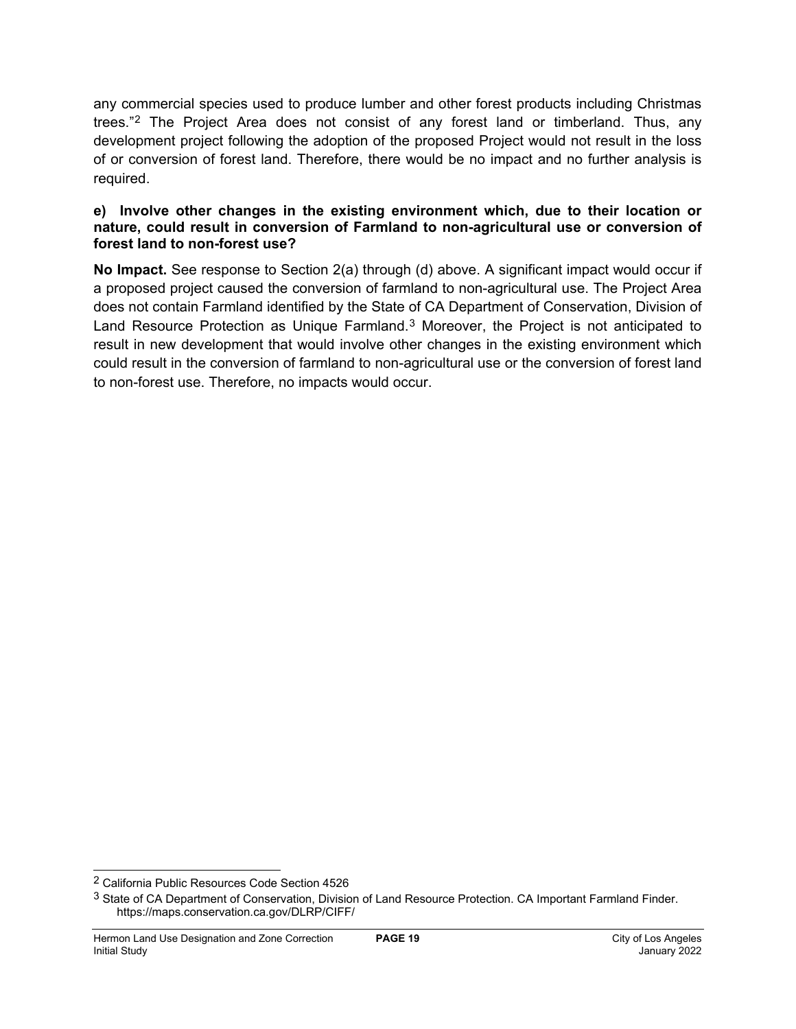any commercial species used to produce lumber and other forest products including Christmas trees."[2](#page-18-0) The Project Area does not consist of any forest land or timberland. Thus, any development project following the adoption of the proposed Project would not result in the loss of or conversion of forest land. Therefore, there would be no impact and no further analysis is required.

#### **e) Involve other changes in the existing environment which, due to their location or nature, could result in conversion of Farmland to non-agricultural use or conversion of forest land to non-forest use?**

**No Impact.** See response to Section 2(a) through (d) above. A significant impact would occur if a proposed project caused the conversion of farmland to non-agricultural use. The Project Area does not contain Farmland identified by the State of CA Department of Conservation, Division of Land Resource Protection as Unique Farmland.<sup>[3](#page-18-1)</sup> Moreover, the Project is not anticipated to result in new development that would involve other changes in the existing environment which could result in the conversion of farmland to non-agricultural use or the conversion of forest land to non-forest use. Therefore, no impacts would occur.

<span id="page-18-0"></span><sup>2</sup> California Public Resources Code Section 4526

<span id="page-18-1"></span><sup>&</sup>lt;sup>3</sup> State of CA Department of Conservation, Division of Land Resource Protection. CA Important Farmland Finder. https://maps.conservation.ca.gov/DLRP/CIFF/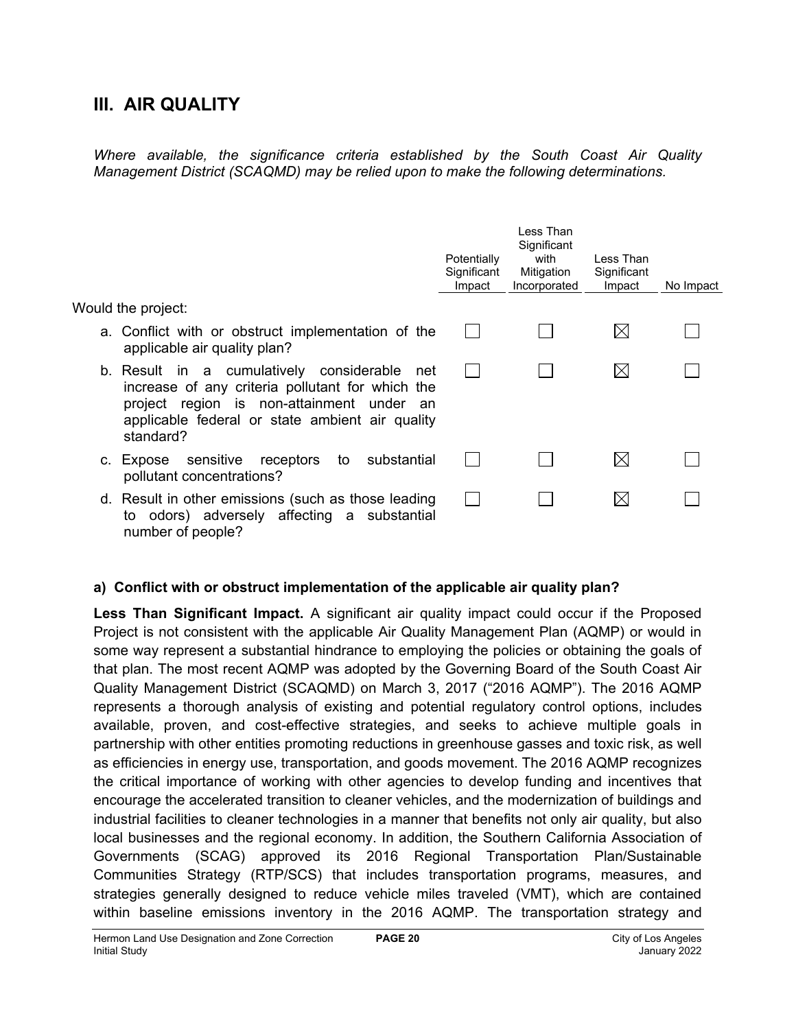## **III. AIR QUALITY**

*Where available, the significance criteria established by the South Coast Air Quality Management District (SCAQMD) may be relied upon to make the following determinations.*

|                                                                                                                                                                                                                  | Potentially<br>Significant<br>Impact | Less Than<br>Significant<br>with<br>Mitigation<br>Incorporated | Less Than<br>Significant<br>Impact | No Impact |
|------------------------------------------------------------------------------------------------------------------------------------------------------------------------------------------------------------------|--------------------------------------|----------------------------------------------------------------|------------------------------------|-----------|
| Would the project:                                                                                                                                                                                               |                                      |                                                                |                                    |           |
| a. Conflict with or obstruct implementation of the<br>applicable air quality plan?                                                                                                                               |                                      |                                                                | IХ                                 |           |
| b. Result in a cumulatively considerable<br>net<br>increase of any criteria pollutant for which the<br>project region is non-attainment under an<br>applicable federal or state ambient air quality<br>standard? |                                      |                                                                | IХ                                 |           |
| sensitive<br>substantial<br>receptors to<br>c. Expose<br>pollutant concentrations?                                                                                                                               |                                      |                                                                | IХ                                 |           |
| d. Result in other emissions (such as those leading<br>to odors) adversely affecting a substantial<br>number of people?                                                                                          |                                      |                                                                | $\boxtimes$                        |           |

## **a) Conflict with or obstruct implementation of the applicable air quality plan?**

**Less Than Significant Impact.** A significant air quality impact could occur if the Proposed Project is not consistent with the applicable Air Quality Management Plan (AQMP) or would in some way represent a substantial hindrance to employing the policies or obtaining the goals of that plan. The most recent AQMP was adopted by the Governing Board of the South Coast Air Quality Management District (SCAQMD) on March 3, 2017 ("2016 AQMP"). The 2016 AQMP represents a thorough analysis of existing and potential regulatory control options, includes available, proven, and cost-effective strategies, and seeks to achieve multiple goals in partnership with other entities promoting reductions in greenhouse gasses and toxic risk, as well as efficiencies in energy use, transportation, and goods movement. The 2016 AQMP recognizes the critical importance of working with other agencies to develop funding and incentives that encourage the accelerated transition to cleaner vehicles, and the modernization of buildings and industrial facilities to cleaner technologies in a manner that benefits not only air quality, but also local businesses and the regional economy. In addition, the Southern California Association of Governments (SCAG) approved its 2016 Regional Transportation Plan/Sustainable Communities Strategy (RTP/SCS) that includes transportation programs, measures, and strategies generally designed to reduce vehicle miles traveled (VMT), which are contained within baseline emissions inventory in the 2016 AQMP. The transportation strategy and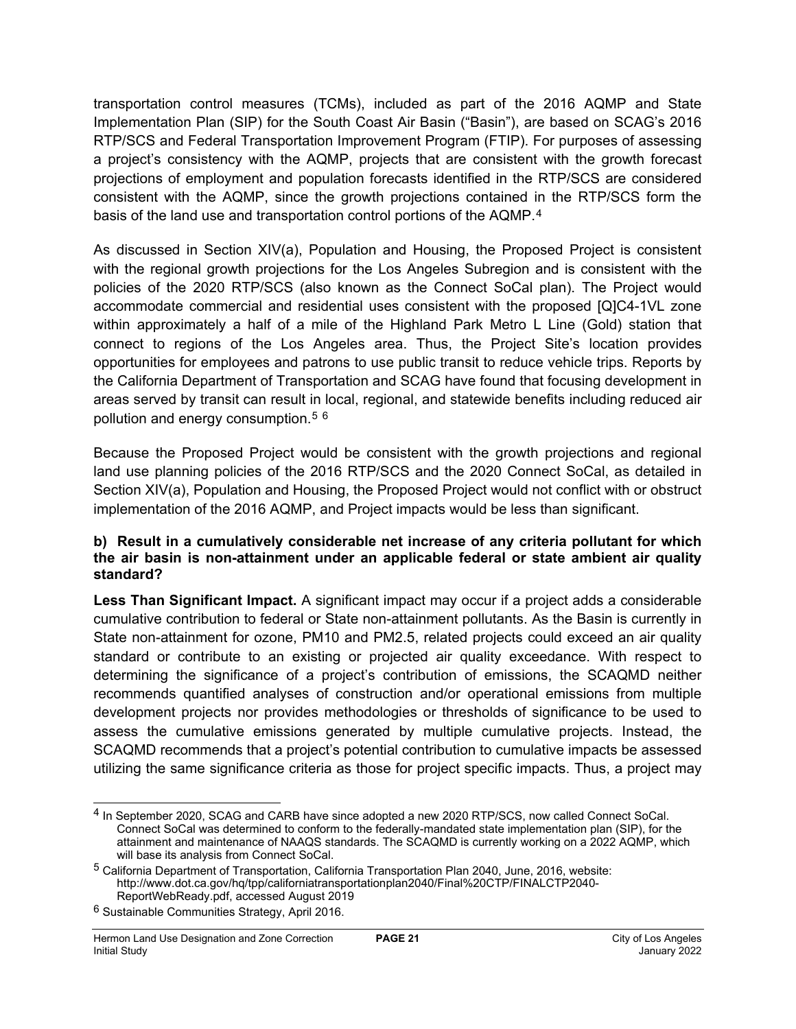transportation control measures (TCMs), included as part of the 2016 AQMP and State Implementation Plan (SIP) for the South Coast Air Basin ("Basin"), are based on SCAG's 2016 RTP/SCS and Federal Transportation Improvement Program (FTIP). For purposes of assessing a project's consistency with the AQMP, projects that are consistent with the growth forecast projections of employment and population forecasts identified in the RTP/SCS are considered consistent with the AQMP, since the growth projections contained in the RTP/SCS form the basis of the land use and transportation control portions of the AQMP.[4](#page-20-0)

As discussed in Section XIV(a), Population and Housing, the Proposed Project is consistent with the regional growth projections for the Los Angeles Subregion and is consistent with the policies of the 2020 RTP/SCS (also known as the Connect SoCal plan). The Project would accommodate commercial and residential uses consistent with the proposed [Q]C4-1VL zone within approximately a half of a mile of the Highland Park Metro L Line (Gold) station that connect to regions of the Los Angeles area. Thus, the Project Site's location provides opportunities for employees and patrons to use public transit to reduce vehicle trips. Reports by the California Department of Transportation and SCAG have found that focusing development in areas served by transit can result in local, regional, and statewide benefits including reduced air pollution and energy consumption.[5](#page-20-1) [6](#page-20-2)

Because the Proposed Project would be consistent with the growth projections and regional land use planning policies of the 2016 RTP/SCS and the 2020 Connect SoCal, as detailed in Section XIV(a), Population and Housing, the Proposed Project would not conflict with or obstruct implementation of the 2016 AQMP, and Project impacts would be less than significant.

## **b) Result in a cumulatively considerable net increase of any criteria pollutant for which the air basin is non-attainment under an applicable federal or state ambient air quality standard?**

**Less Than Significant Impact.** A significant impact may occur if a project adds a considerable cumulative contribution to federal or State non-attainment pollutants. As the Basin is currently in State non-attainment for ozone, PM10 and PM2.5, related projects could exceed an air quality standard or contribute to an existing or projected air quality exceedance. With respect to determining the significance of a project's contribution of emissions, the SCAQMD neither recommends quantified analyses of construction and/or operational emissions from multiple development projects nor provides methodologies or thresholds of significance to be used to assess the cumulative emissions generated by multiple cumulative projects. Instead, the SCAQMD recommends that a project's potential contribution to cumulative impacts be assessed utilizing the same significance criteria as those for project specific impacts. Thus, a project may

<span id="page-20-0"></span><sup>4</sup> In September 2020, SCAG and CARB have since adopted a new 2020 RTP/SCS, now called Connect SoCal. Connect SoCal was determined to conform to the federally-mandated state implementation plan (SIP), for the attainment and maintenance of NAAQS standards. The SCAQMD is currently working on a 2022 AQMP, which will base its analysis from Connect SoCal.

<span id="page-20-1"></span><sup>5</sup> California Department of Transportation, California Transportation Plan 2040, June, 2016, website: http://www.dot.ca.gov/hq/tpp/californiatransportationplan2040/Final%20CTP/FINALCTP2040- ReportWebReady.pdf, accessed August 2019

<span id="page-20-2"></span><sup>6</sup> Sustainable Communities Strategy, April 2016.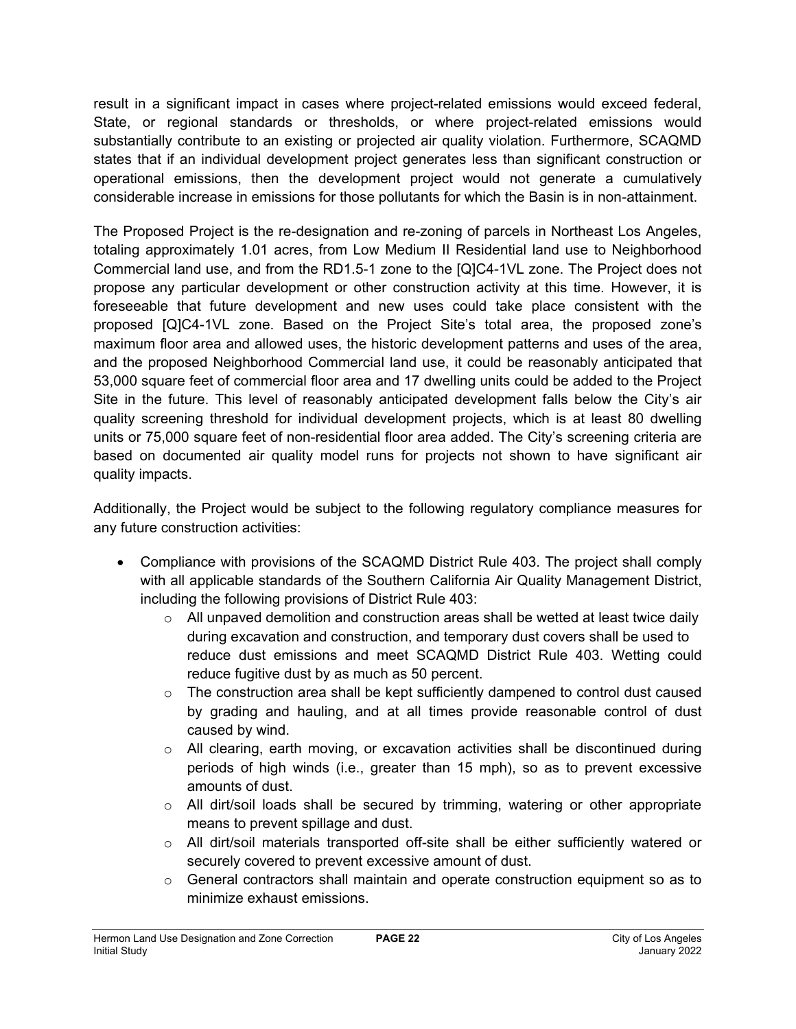result in a significant impact in cases where project-related emissions would exceed federal, State, or regional standards or thresholds, or where project-related emissions would substantially contribute to an existing or projected air quality violation. Furthermore, SCAQMD states that if an individual development project generates less than significant construction or operational emissions, then the development project would not generate a cumulatively considerable increase in emissions for those pollutants for which the Basin is in non-attainment.

The Proposed Project is the re-designation and re-zoning of parcels in Northeast Los Angeles, totaling approximately 1.01 acres, from Low Medium II Residential land use to Neighborhood Commercial land use, and from the RD1.5-1 zone to the [Q]C4-1VL zone. The Project does not propose any particular development or other construction activity at this time. However, it is foreseeable that future development and new uses could take place consistent with the proposed [Q]C4-1VL zone. Based on the Project Site's total area, the proposed zone's maximum floor area and allowed uses, the historic development patterns and uses of the area, and the proposed Neighborhood Commercial land use, it could be reasonably anticipated that 53,000 square feet of commercial floor area and 17 dwelling units could be added to the Project Site in the future. This level of reasonably anticipated development falls below the City's air quality screening threshold for individual development projects, which is at least 80 dwelling units or 75,000 square feet of non-residential floor area added. The City's screening criteria are based on documented air quality model runs for projects not shown to have significant air quality impacts.

Additionally, the Project would be subject to the following regulatory compliance measures for any future construction activities:

- Compliance with provisions of the SCAQMD District Rule 403. The project shall comply with all applicable standards of the Southern California Air Quality Management District, including the following provisions of District Rule 403:
	- $\circ$  All unpaved demolition and construction areas shall be wetted at least twice daily during excavation and construction, and temporary dust covers shall be used to reduce dust emissions and meet SCAQMD District Rule 403. Wetting could reduce fugitive dust by as much as 50 percent.
	- $\circ$  The construction area shall be kept sufficiently dampened to control dust caused by grading and hauling, and at all times provide reasonable control of dust caused by wind.
	- o All clearing, earth moving, or excavation activities shall be discontinued during periods of high winds (i.e., greater than 15 mph), so as to prevent excessive amounts of dust.
	- $\circ$  All dirt/soil loads shall be secured by trimming, watering or other appropriate means to prevent spillage and dust.
	- $\circ$  All dirt/soil materials transported off-site shall be either sufficiently watered or securely covered to prevent excessive amount of dust.
	- $\circ$  General contractors shall maintain and operate construction equipment so as to minimize exhaust emissions.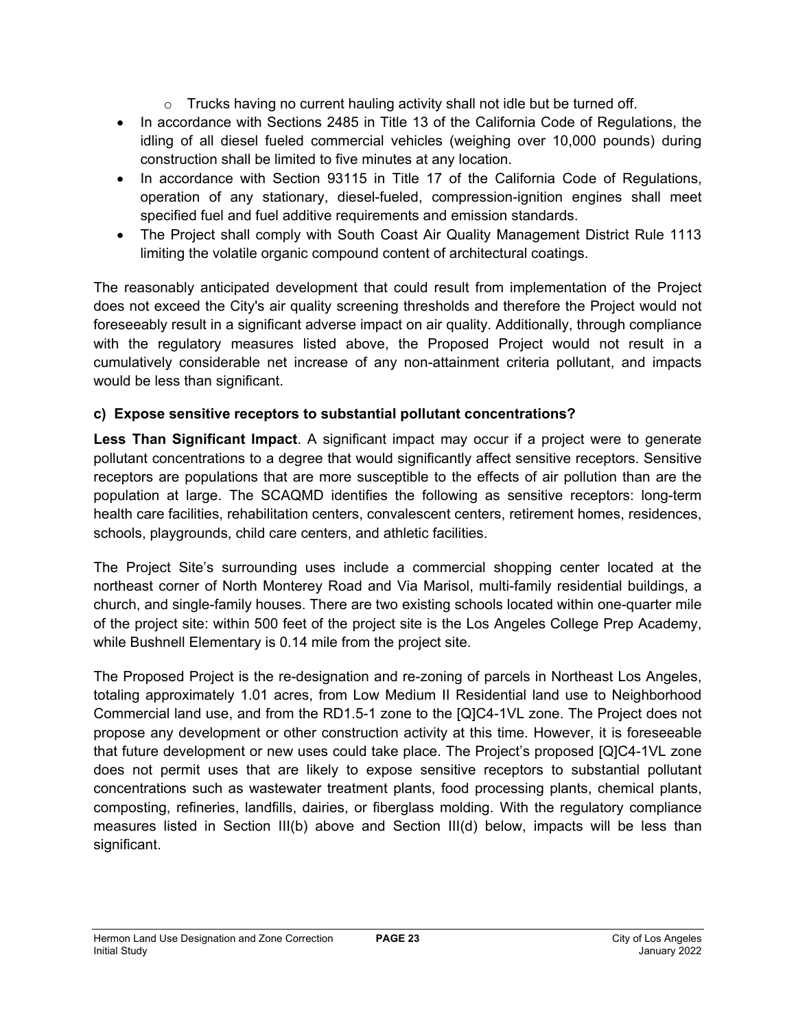- $\circ$  Trucks having no current hauling activity shall not idle but be turned off.
- In accordance with Sections 2485 in Title 13 of the California Code of Regulations, the idling of all diesel fueled commercial vehicles (weighing over 10,000 pounds) during construction shall be limited to five minutes at any location.
- In accordance with Section 93115 in Title 17 of the California Code of Regulations, operation of any stationary, diesel-fueled, compression-ignition engines shall meet specified fuel and fuel additive requirements and emission standards.
- The Project shall comply with South Coast Air Quality Management District Rule 1113 limiting the volatile organic compound content of architectural coatings.

The reasonably anticipated development that could result from implementation of the Project does not exceed the City's air quality screening thresholds and therefore the Project would not foreseeably result in a significant adverse impact on air quality. Additionally, through compliance with the regulatory measures listed above, the Proposed Project would not result in a cumulatively considerable net increase of any non-attainment criteria pollutant, and impacts would be less than significant.

## **c) Expose sensitive receptors to substantial pollutant concentrations?**

**Less Than Significant Impact**. A significant impact may occur if a project were to generate pollutant concentrations to a degree that would significantly affect sensitive receptors. Sensitive receptors are populations that are more susceptible to the effects of air pollution than are the population at large. The SCAQMD identifies the following as sensitive receptors: long-term health care facilities, rehabilitation centers, convalescent centers, retirement homes, residences, schools, playgrounds, child care centers, and athletic facilities.

The Project Site's surrounding uses include a commercial shopping center located at the northeast corner of North Monterey Road and Via Marisol, multi-family residential buildings, a church, and single-family houses. There are two existing schools located within one-quarter mile of the project site: within 500 feet of the project site is the Los Angeles College Prep Academy, while Bushnell Elementary is 0.14 mile from the project site.

The Proposed Project is the re-designation and re-zoning of parcels in Northeast Los Angeles, totaling approximately 1.01 acres, from Low Medium II Residential land use to Neighborhood Commercial land use, and from the RD1.5-1 zone to the [Q]C4-1VL zone. The Project does not propose any development or other construction activity at this time. However, it is foreseeable that future development or new uses could take place. The Project's proposed [Q]C4-1VL zone does not permit uses that are likely to expose sensitive receptors to substantial pollutant concentrations such as wastewater treatment plants, food processing plants, chemical plants, composting, refineries, landfills, dairies, or fiberglass molding. With the regulatory compliance measures listed in Section III(b) above and Section III(d) below, impacts will be less than significant.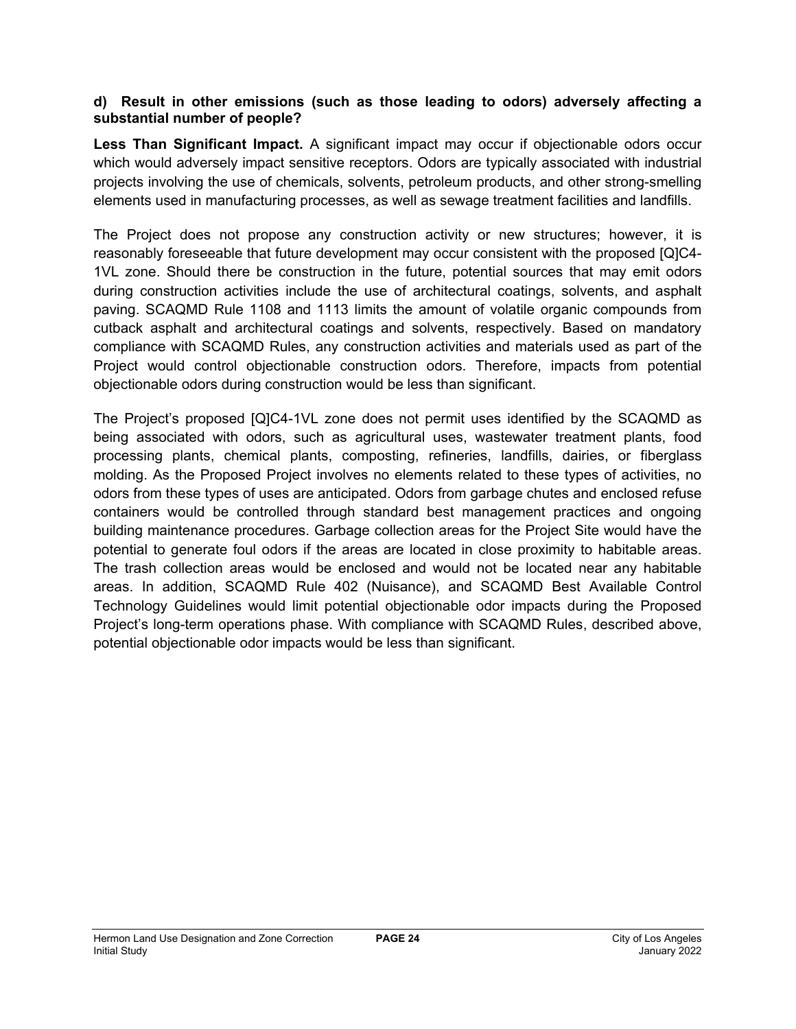## **d) Result in other emissions (such as those leading to odors) adversely affecting a substantial number of people?**

**Less Than Significant Impact.** A significant impact may occur if objectionable odors occur which would adversely impact sensitive receptors. Odors are typically associated with industrial projects involving the use of chemicals, solvents, petroleum products, and other strong-smelling elements used in manufacturing processes, as well as sewage treatment facilities and landfills.

The Project does not propose any construction activity or new structures; however, it is reasonably foreseeable that future development may occur consistent with the proposed [Q]C4- 1VL zone. Should there be construction in the future, potential sources that may emit odors during construction activities include the use of architectural coatings, solvents, and asphalt paving. SCAQMD Rule 1108 and 1113 limits the amount of volatile organic compounds from cutback asphalt and architectural coatings and solvents, respectively. Based on mandatory compliance with SCAQMD Rules, any construction activities and materials used as part of the Project would control objectionable construction odors. Therefore, impacts from potential objectionable odors during construction would be less than significant.

The Project's proposed [Q]C4-1VL zone does not permit uses identified by the SCAQMD as being associated with odors, such as agricultural uses, wastewater treatment plants, food processing plants, chemical plants, composting, refineries, landfills, dairies, or fiberglass molding. As the Proposed Project involves no elements related to these types of activities, no odors from these types of uses are anticipated. Odors from garbage chutes and enclosed refuse containers would be controlled through standard best management practices and ongoing building maintenance procedures. Garbage collection areas for the Project Site would have the potential to generate foul odors if the areas are located in close proximity to habitable areas. The trash collection areas would be enclosed and would not be located near any habitable areas. In addition, SCAQMD Rule 402 (Nuisance), and SCAQMD Best Available Control Technology Guidelines would limit potential objectionable odor impacts during the Proposed Project's long-term operations phase. With compliance with SCAQMD Rules, described above, potential objectionable odor impacts would be less than significant.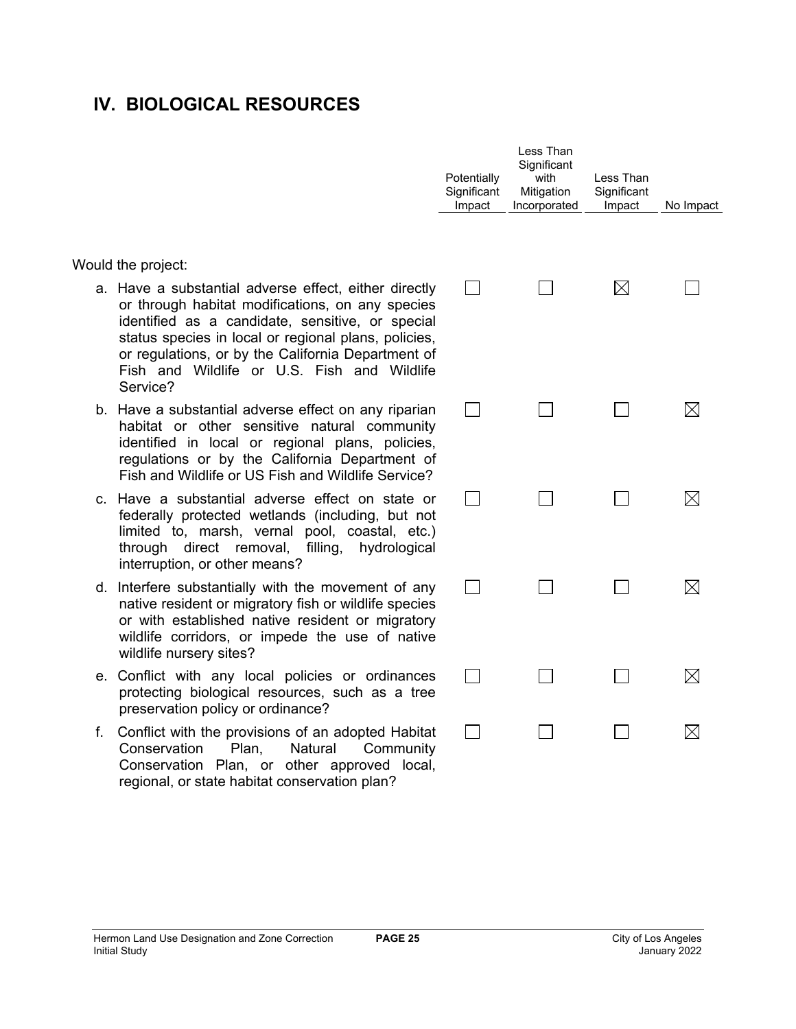## **IV. BIOLOGICAL RESOURCES**

Would the project:

- a. Have a substantial adverse effect, either directly or through habitat modifications, on any species identified as a candidate, sensitive, or special status species in local or regional plans, policies, or regulations, or by the California Department of Fish and Wildlife or U.S. Fish and Wildlife Service?
- b. Have a substantial adverse effect on any riparian habitat or other sensitive natural community identified in local or regional plans, policies, regulations or by the California Department of Fish and Wildlife or US Fish and Wildlife Service?
- c. Have a substantial adverse effect on state or federally protected wetlands (including, but not limited to, marsh, vernal pool, coastal, etc.) through direct removal, filling, hydrological interruption, or other means?
- d. Interfere substantially with the movement of any native resident or migratory fish or wildlife species or with established native resident or migratory wildlife corridors, or impede the use of native wildlife nursery sites?
- e. Conflict with any local policies or ordinances protecting biological resources, such as a tree preservation policy or ordinance?
- f. Conflict with the provisions of an adopted Habitat Conservation Plan, Natural Community Conservation Plan, or other approved local, regional, or state habitat conservation plan?

| Potentially<br>Significant<br>Impact | Less Than<br>Significant<br>with<br>Mitigation<br>Incorporated | Less Than<br>Significant<br>Impact | No Impact   |
|--------------------------------------|----------------------------------------------------------------|------------------------------------|-------------|
|                                      |                                                                | $\boxtimes$                        |             |
|                                      |                                                                |                                    | IХ          |
|                                      |                                                                |                                    | $\boxtimes$ |
|                                      |                                                                |                                    | ⊠           |
|                                      |                                                                |                                    | $\boxtimes$ |
|                                      |                                                                |                                    |             |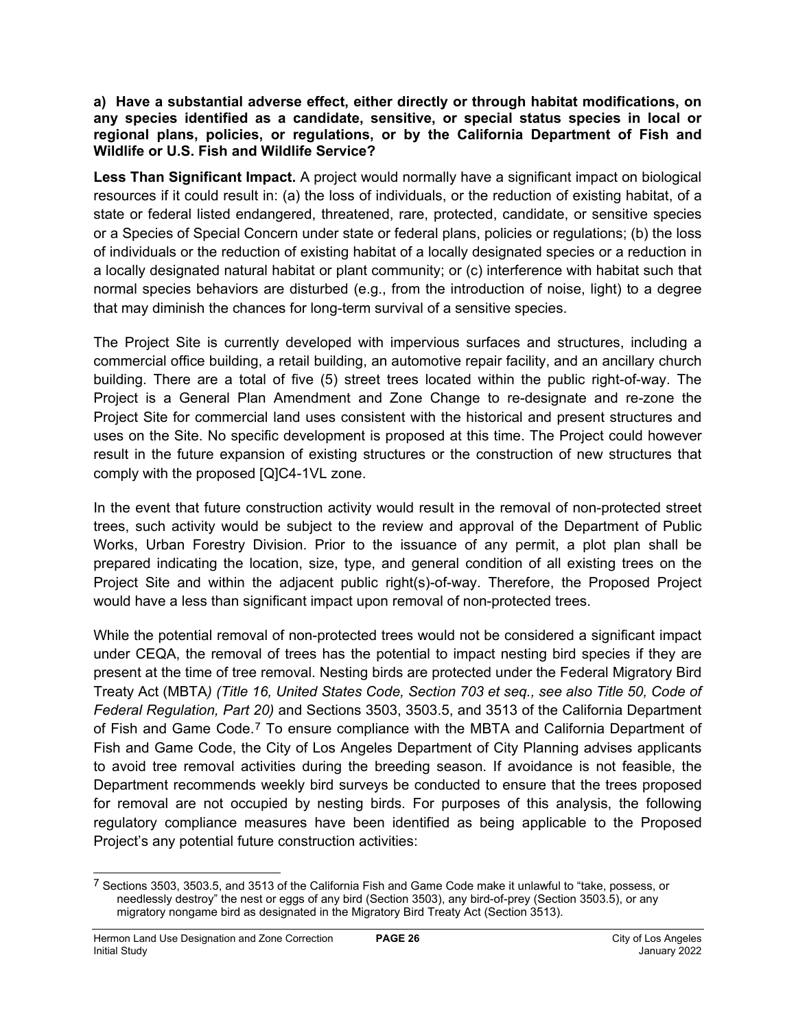#### **a) Have a substantial adverse effect, either directly or through habitat modifications, on any species identified as a candidate, sensitive, or special status species in local or regional plans, policies, or regulations, or by the California Department of Fish and Wildlife or U.S. Fish and Wildlife Service?**

**Less Than Significant Impact.** A project would normally have a significant impact on biological resources if it could result in: (a) the loss of individuals, or the reduction of existing habitat, of a state or federal listed endangered, threatened, rare, protected, candidate, or sensitive species or a Species of Special Concern under state or federal plans, policies or regulations; (b) the loss of individuals or the reduction of existing habitat of a locally designated species or a reduction in a locally designated natural habitat or plant community; or (c) interference with habitat such that normal species behaviors are disturbed (e.g., from the introduction of noise, light) to a degree that may diminish the chances for long-term survival of a sensitive species.

The Project Site is currently developed with impervious surfaces and structures, including a commercial office building, a retail building, an automotive repair facility, and an ancillary church building. There are a total of five (5) street trees located within the public right-of-way. The Project is a General Plan Amendment and Zone Change to re-designate and re-zone the Project Site for commercial land uses consistent with the historical and present structures and uses on the Site. No specific development is proposed at this time. The Project could however result in the future expansion of existing structures or the construction of new structures that comply with the proposed [Q]C4-1VL zone.

In the event that future construction activity would result in the removal of non-protected street trees, such activity would be subject to the review and approval of the Department of Public Works, Urban Forestry Division. Prior to the issuance of any permit, a plot plan shall be prepared indicating the location, size, type, and general condition of all existing trees on the Project Site and within the adjacent public right(s)-of-way. Therefore, the Proposed Project would have a less than significant impact upon removal of non-protected trees.

While the potential removal of non-protected trees would not be considered a significant impact under CEQA, the removal of trees has the potential to impact nesting bird species if they are present at the time of tree removal. Nesting birds are protected under the Federal Migratory Bird Treaty Act (MBTA*) (Title 16, United States Code, Section 703 et seq., see also Title 50, Code of Federal Regulation, Part 20)* and Sections 3503, 3503.5, and 3513 of the California Department of Fish and Game Code.<sup>[7](#page-25-0)</sup> To ensure compliance with the MBTA and California Department of Fish and Game Code, the City of Los Angeles Department of City Planning advises applicants to avoid tree removal activities during the breeding season. If avoidance is not feasible, the Department recommends weekly bird surveys be conducted to ensure that the trees proposed for removal are not occupied by nesting birds. For purposes of this analysis, the following regulatory compliance measures have been identified as being applicable to the Proposed Project's any potential future construction activities:

<span id="page-25-0"></span><sup>7</sup> Sections 3503, 3503.5, and 3513 of the California Fish and Game Code make it unlawful to "take, possess, or needlessly destroy" the nest or eggs of any bird (Section 3503), any bird-of-prey (Section 3503.5), or any migratory nongame bird as designated in the Migratory Bird Treaty Act (Section 3513).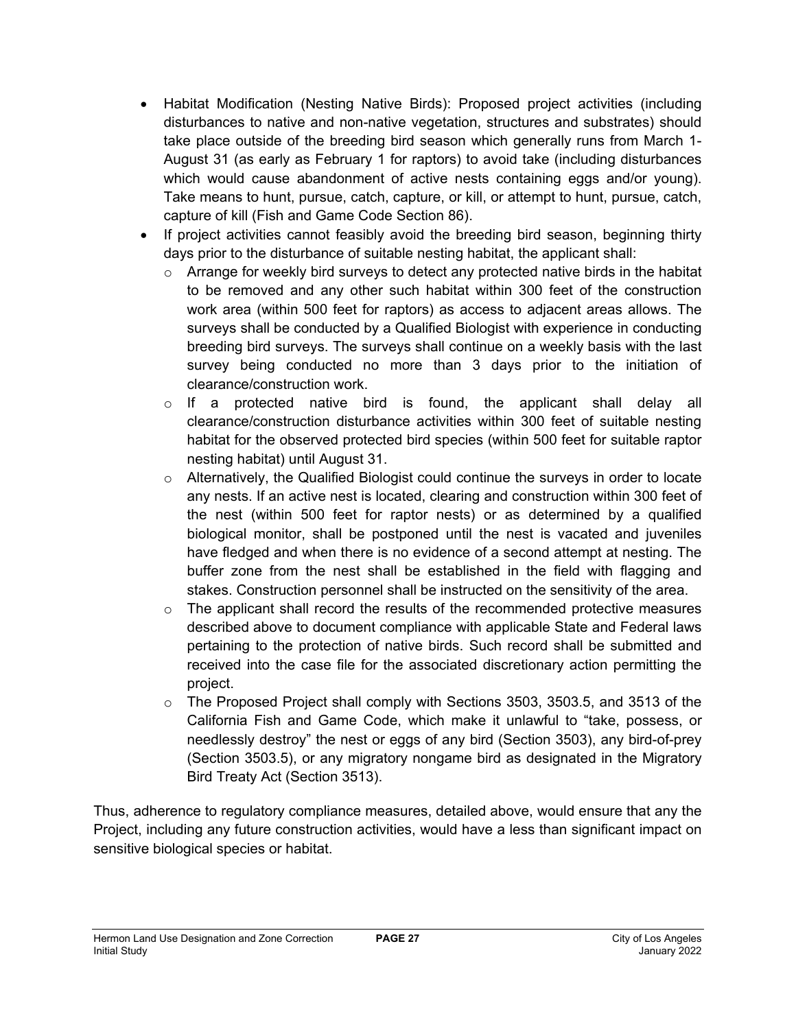- Habitat Modification (Nesting Native Birds): Proposed project activities (including disturbances to native and non-native vegetation, structures and substrates) should take place outside of the breeding bird season which generally runs from March 1- August 31 (as early as February 1 for raptors) to avoid take (including disturbances which would cause abandonment of active nests containing eggs and/or young). Take means to hunt, pursue, catch, capture, or kill, or attempt to hunt, pursue, catch, capture of kill (Fish and Game Code Section 86).
- If project activities cannot feasibly avoid the breeding bird season, beginning thirty days prior to the disturbance of suitable nesting habitat, the applicant shall:
	- $\circ$  Arrange for weekly bird surveys to detect any protected native birds in the habitat to be removed and any other such habitat within 300 feet of the construction work area (within 500 feet for raptors) as access to adjacent areas allows. The surveys shall be conducted by a Qualified Biologist with experience in conducting breeding bird surveys. The surveys shall continue on a weekly basis with the last survey being conducted no more than 3 days prior to the initiation of clearance/construction work.
	- $\circ$  If a protected native bird is found, the applicant shall delay all clearance/construction disturbance activities within 300 feet of suitable nesting habitat for the observed protected bird species (within 500 feet for suitable raptor nesting habitat) until August 31.
	- $\circ$  Alternatively, the Qualified Biologist could continue the surveys in order to locate any nests. If an active nest is located, clearing and construction within 300 feet of the nest (within 500 feet for raptor nests) or as determined by a qualified biological monitor, shall be postponed until the nest is vacated and juveniles have fledged and when there is no evidence of a second attempt at nesting. The buffer zone from the nest shall be established in the field with flagging and stakes. Construction personnel shall be instructed on the sensitivity of the area.
	- $\circ$  The applicant shall record the results of the recommended protective measures described above to document compliance with applicable State and Federal laws pertaining to the protection of native birds. Such record shall be submitted and received into the case file for the associated discretionary action permitting the project.
	- $\circ$  The Proposed Project shall comply with Sections 3503, 3503.5, and 3513 of the California Fish and Game Code, which make it unlawful to "take, possess, or needlessly destroy" the nest or eggs of any bird (Section 3503), any bird-of-prey (Section 3503.5), or any migratory nongame bird as designated in the Migratory Bird Treaty Act (Section 3513).

Thus, adherence to regulatory compliance measures, detailed above, would ensure that any the Project, including any future construction activities, would have a less than significant impact on sensitive biological species or habitat.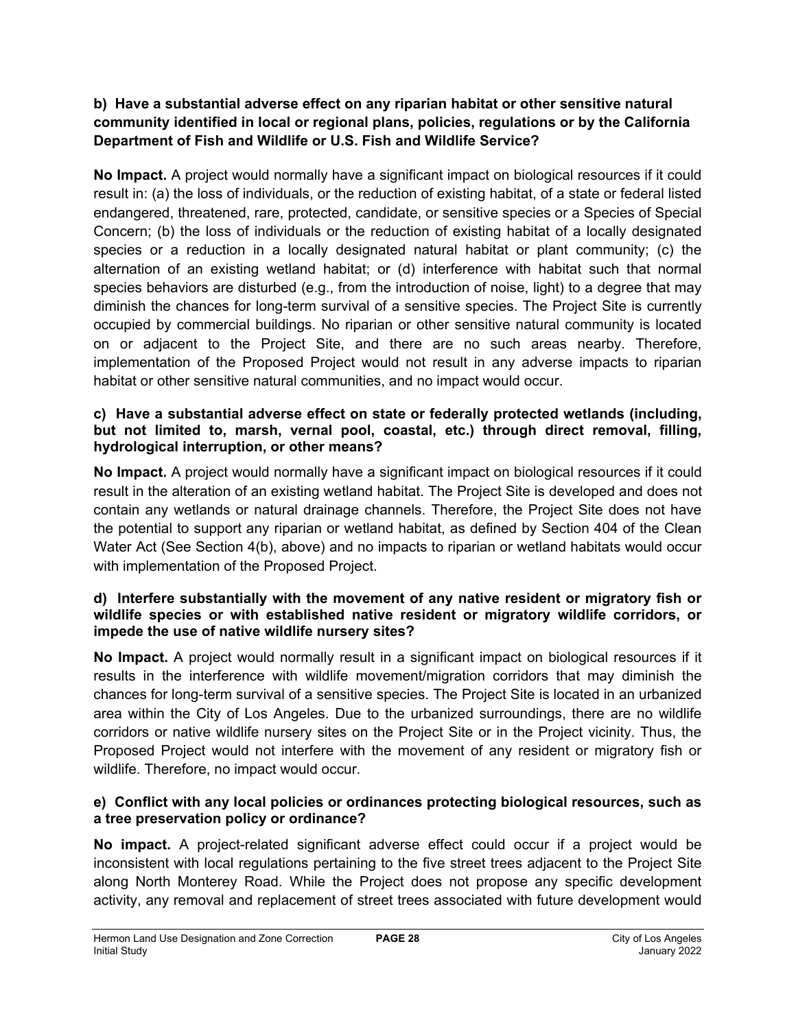## **b) Have a substantial adverse effect on any riparian habitat or other sensitive natural community identified in local or regional plans, policies, regulations or by the California Department of Fish and Wildlife or U.S. Fish and Wildlife Service?**

**No Impact.** A project would normally have a significant impact on biological resources if it could result in: (a) the loss of individuals, or the reduction of existing habitat, of a state or federal listed endangered, threatened, rare, protected, candidate, or sensitive species or a Species of Special Concern; (b) the loss of individuals or the reduction of existing habitat of a locally designated species or a reduction in a locally designated natural habitat or plant community; (c) the alternation of an existing wetland habitat; or (d) interference with habitat such that normal species behaviors are disturbed (e.g., from the introduction of noise, light) to a degree that may diminish the chances for long-term survival of a sensitive species. The Project Site is currently occupied by commercial buildings. No riparian or other sensitive natural community is located on or adjacent to the Project Site, and there are no such areas nearby. Therefore, implementation of the Proposed Project would not result in any adverse impacts to riparian habitat or other sensitive natural communities, and no impact would occur.

## **c) Have a substantial adverse effect on state or federally protected wetlands (including, but not limited to, marsh, vernal pool, coastal, etc.) through direct removal, filling, hydrological interruption, or other means?**

**No Impact.** A project would normally have a significant impact on biological resources if it could result in the alteration of an existing wetland habitat. The Project Site is developed and does not contain any wetlands or natural drainage channels. Therefore, the Project Site does not have the potential to support any riparian or wetland habitat, as defined by Section 404 of the Clean Water Act (See Section 4(b), above) and no impacts to riparian or wetland habitats would occur with implementation of the Proposed Project.

## **d) Interfere substantially with the movement of any native resident or migratory fish or wildlife species or with established native resident or migratory wildlife corridors, or impede the use of native wildlife nursery sites?**

**No Impact.** A project would normally result in a significant impact on biological resources if it results in the interference with wildlife movement/migration corridors that may diminish the chances for long-term survival of a sensitive species. The Project Site is located in an urbanized area within the City of Los Angeles. Due to the urbanized surroundings, there are no wildlife corridors or native wildlife nursery sites on the Project Site or in the Project vicinity. Thus, the Proposed Project would not interfere with the movement of any resident or migratory fish or wildlife. Therefore, no impact would occur.

## **e) Conflict with any local policies or ordinances protecting biological resources, such as a tree preservation policy or ordinance?**

**No impact.** A project-related significant adverse effect could occur if a project would be inconsistent with local regulations pertaining to the five street trees adjacent to the Project Site along North Monterey Road. While the Project does not propose any specific development activity, any removal and replacement of street trees associated with future development would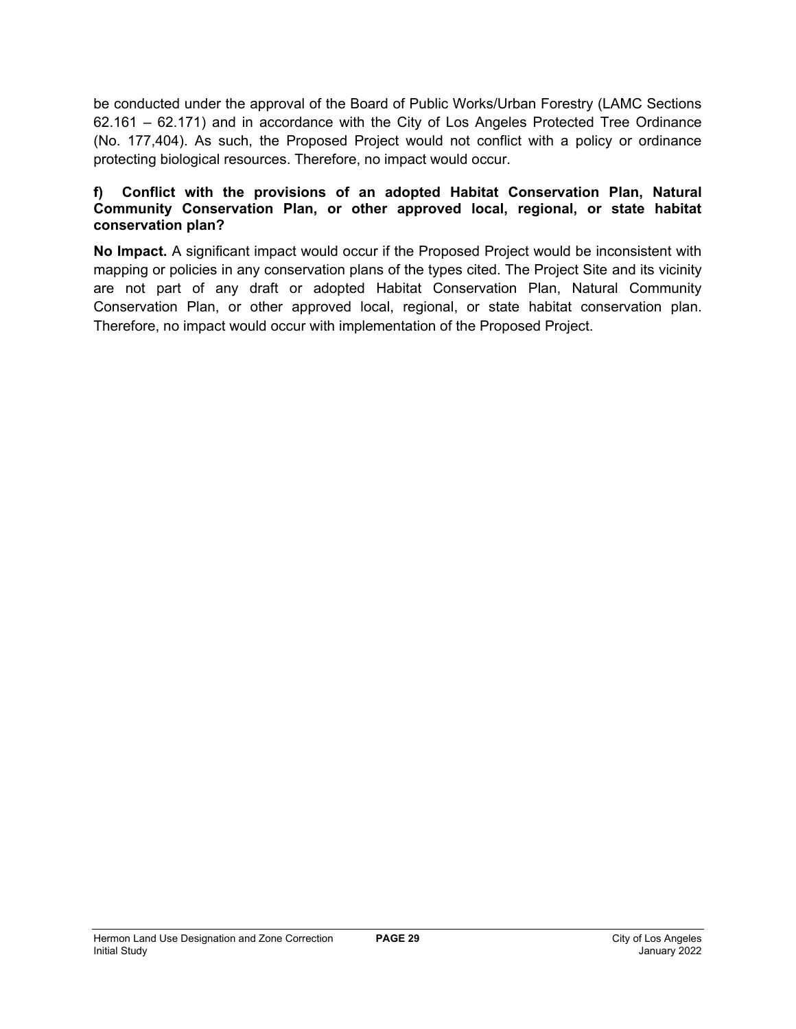be conducted under the approval of the Board of Public Works/Urban Forestry (LAMC Sections 62.161 – 62.171) and in accordance with the City of Los Angeles Protected Tree Ordinance (No. 177,404). As such, the Proposed Project would not conflict with a policy or ordinance protecting biological resources. Therefore, no impact would occur.

## **f) Conflict with the provisions of an adopted Habitat Conservation Plan, Natural Community Conservation Plan, or other approved local, regional, or state habitat conservation plan?**

**No Impact.** A significant impact would occur if the Proposed Project would be inconsistent with mapping or policies in any conservation plans of the types cited. The Project Site and its vicinity are not part of any draft or adopted Habitat Conservation Plan, Natural Community Conservation Plan, or other approved local, regional, or state habitat conservation plan. Therefore, no impact would occur with implementation of the Proposed Project.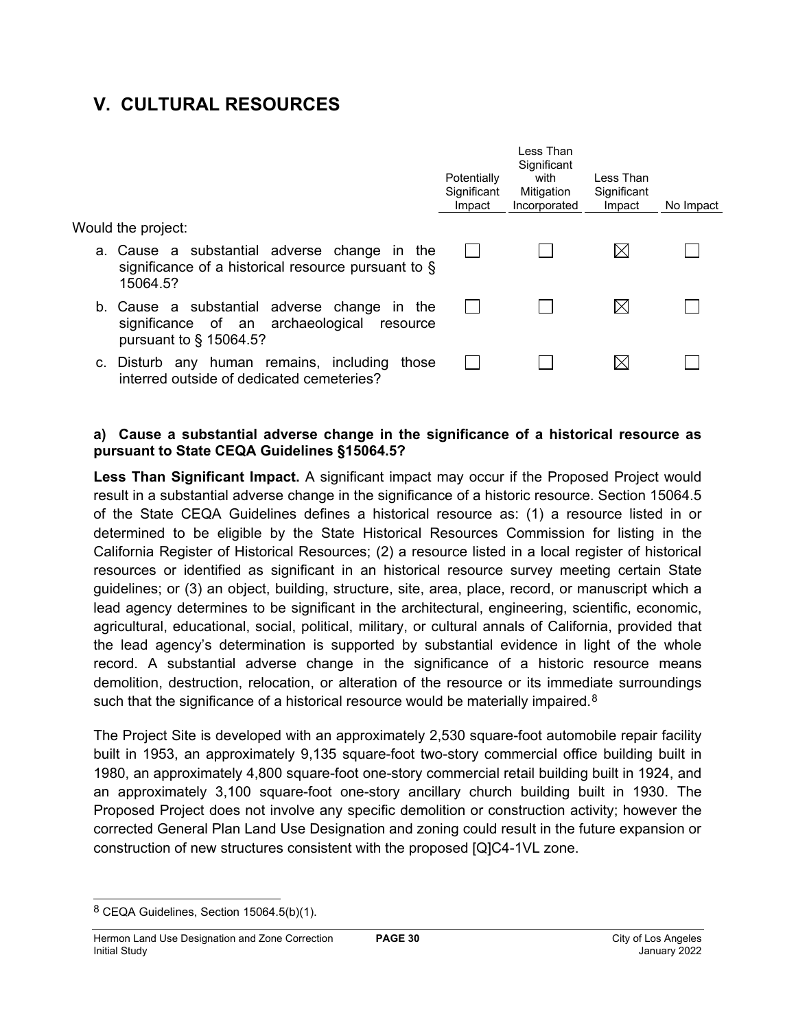## **V. CULTURAL RESOURCES**

|                                                                                                                         | Potentially<br>Significant<br>Impact | Less Than<br>Significant<br>with<br>Mitigation<br>Incorporated | I ess Than<br>Significant<br>Impact | No Impact |
|-------------------------------------------------------------------------------------------------------------------------|--------------------------------------|----------------------------------------------------------------|-------------------------------------|-----------|
| Would the project:                                                                                                      |                                      |                                                                |                                     |           |
| a. Cause a substantial adverse change in the<br>significance of a historical resource pursuant to $\S$<br>15064.5?      |                                      |                                                                |                                     |           |
| b. Cause a substantial adverse change in the<br>significance of an archaeological resource<br>pursuant to $\S$ 15064.5? |                                      |                                                                |                                     |           |
| c. Disturb any human remains, including<br>those<br>interred outside of dedicated cemeteries?                           |                                      |                                                                |                                     |           |

## **a) Cause a substantial adverse change in the significance of a historical resource as pursuant to State CEQA Guidelines §15064.5?**

**Less Than Significant Impact.** A significant impact may occur if the Proposed Project would result in a substantial adverse change in the significance of a historic resource. Section 15064.5 of the State CEQA Guidelines defines a historical resource as: (1) a resource listed in or determined to be eligible by the State Historical Resources Commission for listing in the California Register of Historical Resources; (2) a resource listed in a local register of historical resources or identified as significant in an historical resource survey meeting certain State guidelines; or (3) an object, building, structure, site, area, place, record, or manuscript which a lead agency determines to be significant in the architectural, engineering, scientific, economic, agricultural, educational, social, political, military, or cultural annals of California, provided that the lead agency's determination is supported by substantial evidence in light of the whole record. A substantial adverse change in the significance of a historic resource means demolition, destruction, relocation, or alteration of the resource or its immediate surroundings such that the significance of a historical resource would be materially impaired.<sup>[8](#page-29-0)</sup>

The Project Site is developed with an approximately 2,530 square-foot automobile repair facility built in 1953, an approximately 9,135 square-foot two-story commercial office building built in 1980, an approximately 4,800 square-foot one-story commercial retail building built in 1924, and an approximately 3,100 square-foot one-story ancillary church building built in 1930. The Proposed Project does not involve any specific demolition or construction activity; however the corrected General Plan Land Use Designation and zoning could result in the future expansion or construction of new structures consistent with the proposed [Q]C4-1VL zone.

<span id="page-29-0"></span><sup>8</sup> CEQA Guidelines, Section 15064.5(b)(1).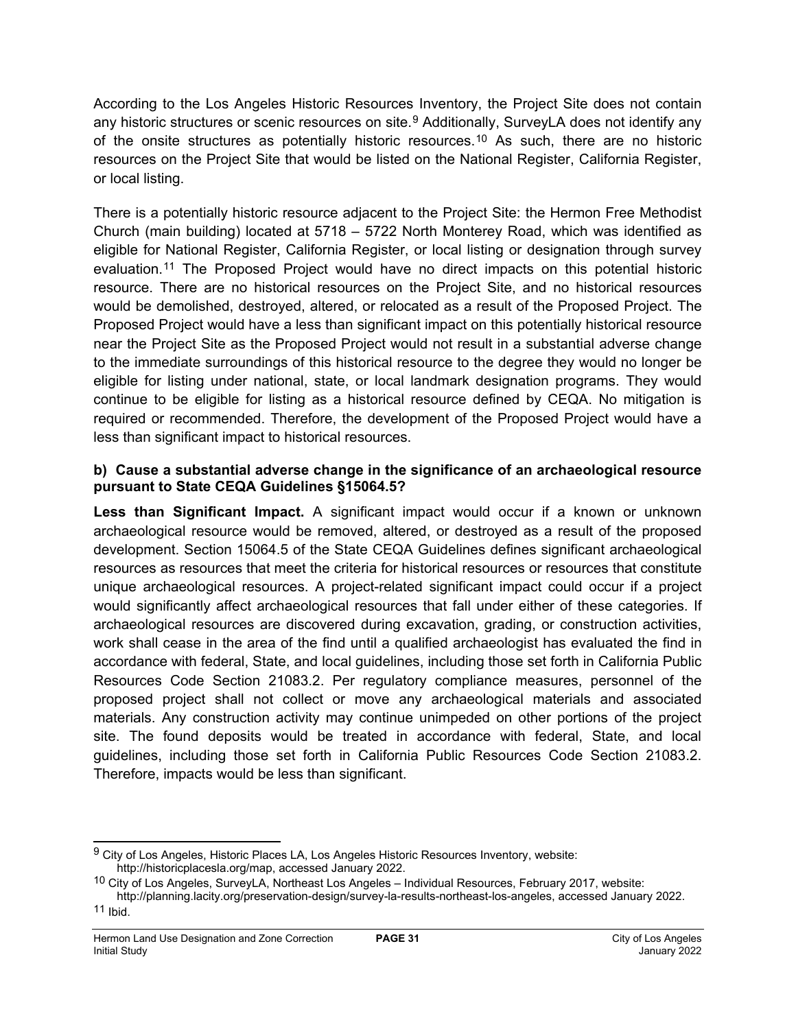According to the Los Angeles Historic Resources Inventory, the Project Site does not contain any historic structures or scenic resources on site.<sup>[9](#page-30-0)</sup> Additionally, SurveyLA does not identify any of the onsite structures as potentially historic resources.[10](#page-30-1) As such, there are no historic resources on the Project Site that would be listed on the National Register, California Register, or local listing.

There is a potentially historic resource adjacent to the Project Site: the Hermon Free Methodist Church (main building) located at 5718 – 5722 North Monterey Road, which was identified as eligible for National Register, California Register, or local listing or designation through survey evaluation.[11](#page-30-2) The Proposed Project would have no direct impacts on this potential historic resource. There are no historical resources on the Project Site, and no historical resources would be demolished, destroyed, altered, or relocated as a result of the Proposed Project. The Proposed Project would have a less than significant impact on this potentially historical resource near the Project Site as the Proposed Project would not result in a substantial adverse change to the immediate surroundings of this historical resource to the degree they would no longer be eligible for listing under national, state, or local landmark designation programs. They would continue to be eligible for listing as a historical resource defined by CEQA. No mitigation is required or recommended. Therefore, the development of the Proposed Project would have a less than significant impact to historical resources.

## **b) Cause a substantial adverse change in the significance of an archaeological resource pursuant to State CEQA Guidelines §15064.5?**

**Less than Significant Impact.** A significant impact would occur if a known or unknown archaeological resource would be removed, altered, or destroyed as a result of the proposed development. Section 15064.5 of the State CEQA Guidelines defines significant archaeological resources as resources that meet the criteria for historical resources or resources that constitute unique archaeological resources. A project-related significant impact could occur if a project would significantly affect archaeological resources that fall under either of these categories. If archaeological resources are discovered during excavation, grading, or construction activities, work shall cease in the area of the find until a qualified archaeologist has evaluated the find in accordance with federal, State, and local guidelines, including those set forth in California Public Resources Code Section 21083.2. Per regulatory compliance measures, personnel of the proposed project shall not collect or move any archaeological materials and associated materials. Any construction activity may continue unimpeded on other portions of the project site. The found deposits would be treated in accordance with federal, State, and local guidelines, including those set forth in California Public Resources Code Section 21083.2. Therefore, impacts would be less than significant.

<span id="page-30-0"></span><sup>&</sup>lt;sup>9</sup> City of Los Angeles, Historic Places LA, Los Angeles Historic Resources Inventory, website: http://historicplacesla.org/map, accessed January 2022.

<span id="page-30-1"></span><sup>10</sup> City of Los Angeles, SurveyLA, Northeast Los Angeles – Individual Resources, February 2017, website: http://planning.lacity.org/preservation-design/survey-la-results-northeast-los-angeles, accessed January 2022.

<span id="page-30-2"></span><sup>11</sup> Ibid.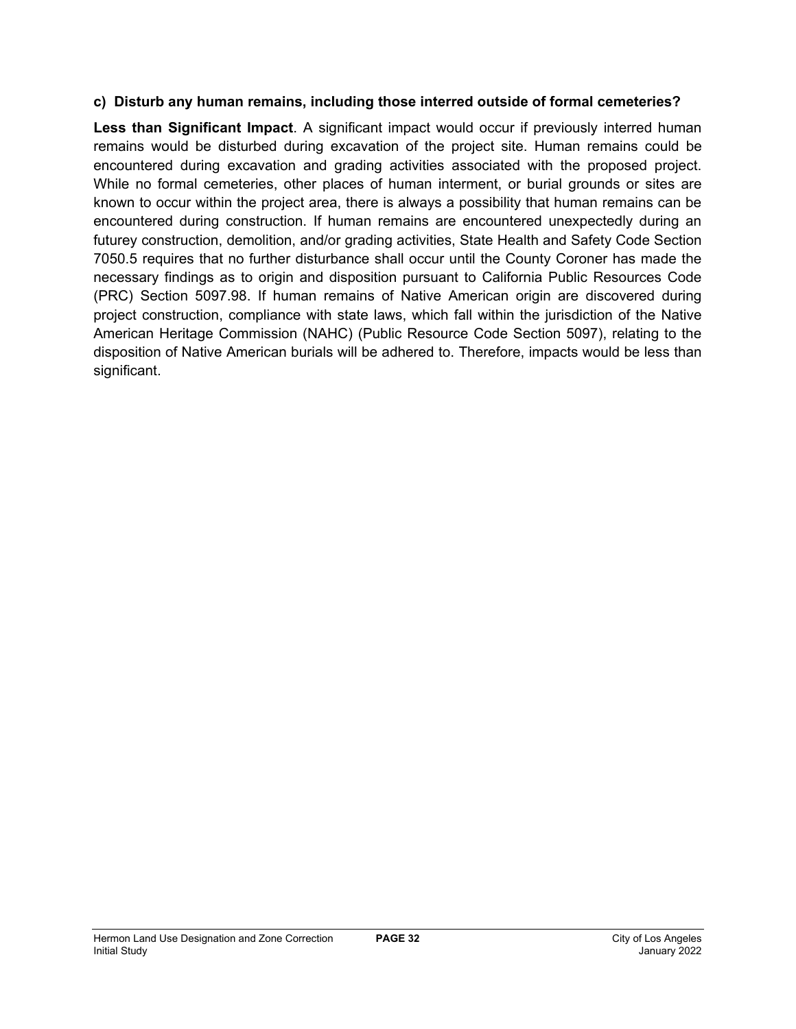## **c) Disturb any human remains, including those interred outside of formal cemeteries?**

**Less than Significant Impact**. A significant impact would occur if previously interred human remains would be disturbed during excavation of the project site. Human remains could be encountered during excavation and grading activities associated with the proposed project. While no formal cemeteries, other places of human interment, or burial grounds or sites are known to occur within the project area, there is always a possibility that human remains can be encountered during construction. If human remains are encountered unexpectedly during an futurey construction, demolition, and/or grading activities, State Health and Safety Code Section 7050.5 requires that no further disturbance shall occur until the County Coroner has made the necessary findings as to origin and disposition pursuant to California Public Resources Code (PRC) Section 5097.98. If human remains of Native American origin are discovered during project construction, compliance with state laws, which fall within the jurisdiction of the Native American Heritage Commission (NAHC) (Public Resource Code Section 5097), relating to the disposition of Native American burials will be adhered to. Therefore, impacts would be less than significant.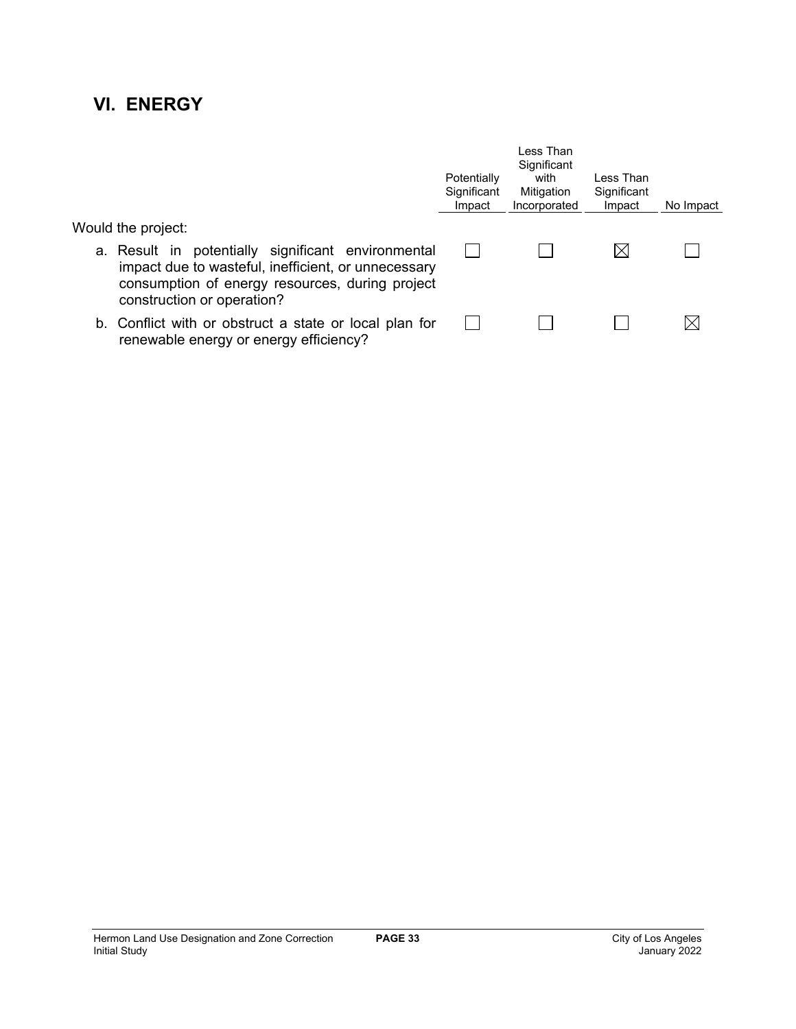## **VI. ENERGY**

|                                                                                                                                                                                            | Potentially<br>Significant<br>Impact | Less Than<br>Significant<br>with<br>Mitigation<br>Incorporated | Less Than<br>Significant<br>Impact | No Impact |
|--------------------------------------------------------------------------------------------------------------------------------------------------------------------------------------------|--------------------------------------|----------------------------------------------------------------|------------------------------------|-----------|
| Would the project:                                                                                                                                                                         |                                      |                                                                |                                    |           |
| a. Result in potentially significant environmental<br>impact due to wasteful, inefficient, or unnecessary<br>consumption of energy resources, during project<br>construction or operation? |                                      |                                                                |                                    |           |
| b. Conflict with or obstruct a state or local plan for<br>renewable energy or energy efficiency?                                                                                           |                                      |                                                                |                                    |           |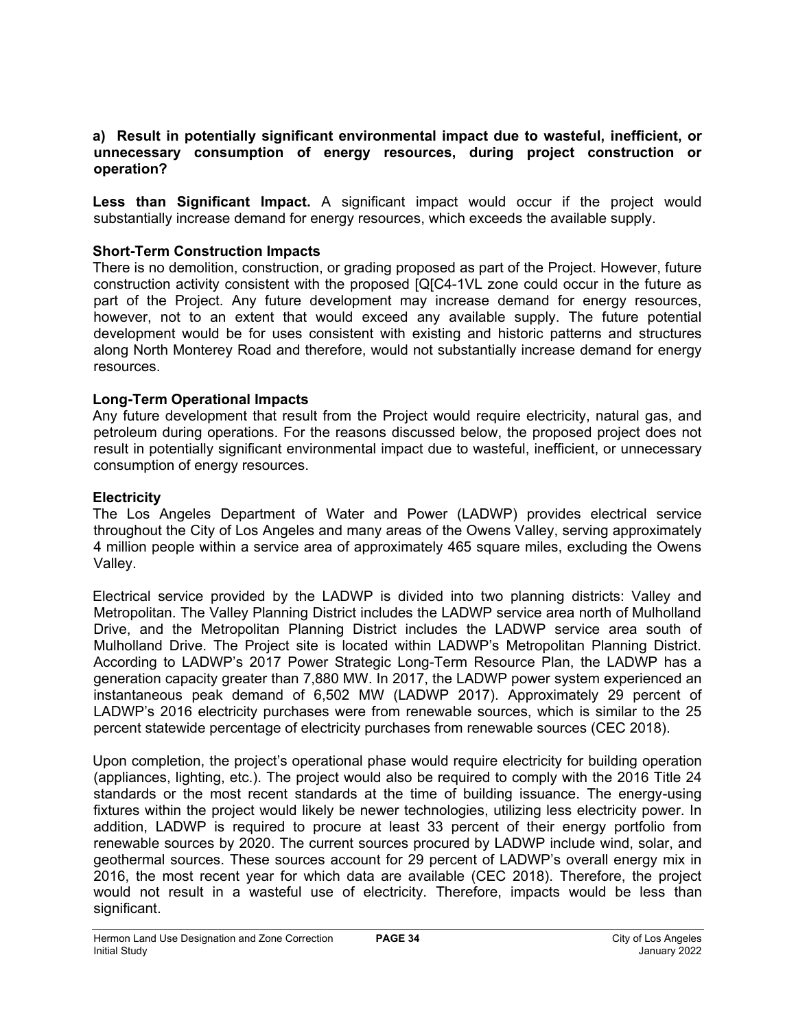#### **a) Result in potentially significant environmental impact due to wasteful, inefficient, or unnecessary consumption of energy resources, during project construction or operation?**

**Less than Significant Impact.** A significant impact would occur if the project would substantially increase demand for energy resources, which exceeds the available supply.

## **Short-Term Construction Impacts**

There is no demolition, construction, or grading proposed as part of the Project. However, future construction activity consistent with the proposed [Q[C4-1VL zone could occur in the future as part of the Project. Any future development may increase demand for energy resources, however, not to an extent that would exceed any available supply. The future potential development would be for uses consistent with existing and historic patterns and structures along North Monterey Road and therefore, would not substantially increase demand for energy resources.

## **Long-Term Operational Impacts**

Any future development that result from the Project would require electricity, natural gas, and petroleum during operations. For the reasons discussed below, the proposed project does not result in potentially significant environmental impact due to wasteful, inefficient, or unnecessary consumption of energy resources.

## **Electricity**

The Los Angeles Department of Water and Power (LADWP) provides electrical service throughout the City of Los Angeles and many areas of the Owens Valley, serving approximately 4 million people within a service area of approximately 465 square miles, excluding the Owens Valley.

Electrical service provided by the LADWP is divided into two planning districts: Valley and Metropolitan. The Valley Planning District includes the LADWP service area north of Mulholland Drive, and the Metropolitan Planning District includes the LADWP service area south of Mulholland Drive. The Project site is located within LADWP's Metropolitan Planning District. According to LADWP's 2017 Power Strategic Long-Term Resource Plan, the LADWP has a generation capacity greater than 7,880 MW. In 2017, the LADWP power system experienced an instantaneous peak demand of 6,502 MW (LADWP 2017). Approximately 29 percent of LADWP's 2016 electricity purchases were from renewable sources, which is similar to the 25 percent statewide percentage of electricity purchases from renewable sources (CEC 2018).

Upon completion, the project's operational phase would require electricity for building operation (appliances, lighting, etc.). The project would also be required to comply with the 2016 Title 24 standards or the most recent standards at the time of building issuance. The energy-using fixtures within the project would likely be newer technologies, utilizing less electricity power. In addition, LADWP is required to procure at least 33 percent of their energy portfolio from renewable sources by 2020. The current sources procured by LADWP include wind, solar, and geothermal sources. These sources account for 29 percent of LADWP's overall energy mix in 2016, the most recent year for which data are available (CEC 2018). Therefore, the project would not result in a wasteful use of electricity. Therefore, impacts would be less than significant.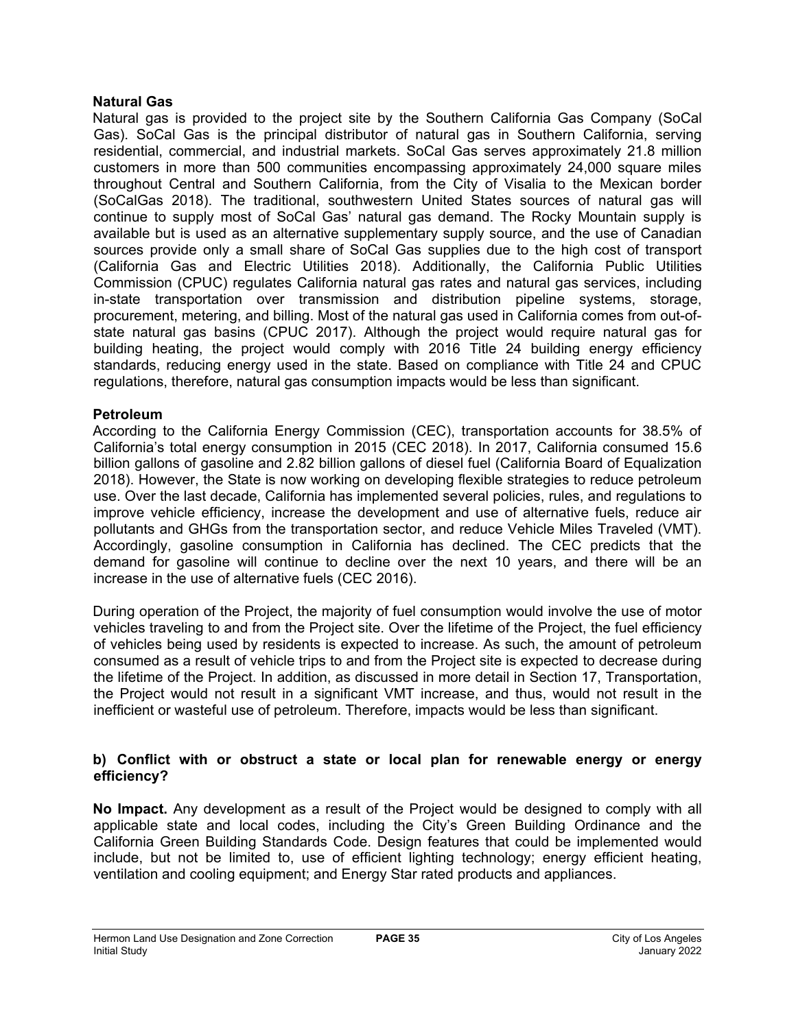## **Natural Gas**

Natural gas is provided to the project site by the Southern California Gas Company (SoCal Gas). SoCal Gas is the principal distributor of natural gas in Southern California, serving residential, commercial, and industrial markets. SoCal Gas serves approximately 21.8 million customers in more than 500 communities encompassing approximately 24,000 square miles throughout Central and Southern California, from the City of Visalia to the Mexican border (SoCalGas 2018). The traditional, southwestern United States sources of natural gas will continue to supply most of SoCal Gas' natural gas demand. The Rocky Mountain supply is available but is used as an alternative supplementary supply source, and the use of Canadian sources provide only a small share of SoCal Gas supplies due to the high cost of transport (California Gas and Electric Utilities 2018). Additionally, the California Public Utilities Commission (CPUC) regulates California natural gas rates and natural gas services, including in-state transportation over transmission and distribution pipeline systems, storage, procurement, metering, and billing. Most of the natural gas used in California comes from out-ofstate natural gas basins (CPUC 2017). Although the project would require natural gas for building heating, the project would comply with 2016 Title 24 building energy efficiency standards, reducing energy used in the state. Based on compliance with Title 24 and CPUC regulations, therefore, natural gas consumption impacts would be less than significant.

## **Petroleum**

According to the California Energy Commission (CEC), transportation accounts for 38.5% of California's total energy consumption in 2015 (CEC 2018). In 2017, California consumed 15.6 billion gallons of gasoline and 2.82 billion gallons of diesel fuel (California Board of Equalization 2018). However, the State is now working on developing flexible strategies to reduce petroleum use. Over the last decade, California has implemented several policies, rules, and regulations to improve vehicle efficiency, increase the development and use of alternative fuels, reduce air pollutants and GHGs from the transportation sector, and reduce Vehicle Miles Traveled (VMT). Accordingly, gasoline consumption in California has declined. The CEC predicts that the demand for gasoline will continue to decline over the next 10 years, and there will be an increase in the use of alternative fuels (CEC 2016).

During operation of the Project, the majority of fuel consumption would involve the use of motor vehicles traveling to and from the Project site. Over the lifetime of the Project, the fuel efficiency of vehicles being used by residents is expected to increase. As such, the amount of petroleum consumed as a result of vehicle trips to and from the Project site is expected to decrease during the lifetime of the Project. In addition, as discussed in more detail in Section 17, Transportation, the Project would not result in a significant VMT increase, and thus, would not result in the inefficient or wasteful use of petroleum. Therefore, impacts would be less than significant.

## **b) Conflict with or obstruct a state or local plan for renewable energy or energy efficiency?**

**No Impact.** Any development as a result of the Project would be designed to comply with all applicable state and local codes, including the City's Green Building Ordinance and the California Green Building Standards Code. Design features that could be implemented would include, but not be limited to, use of efficient lighting technology; energy efficient heating, ventilation and cooling equipment; and Energy Star rated products and appliances.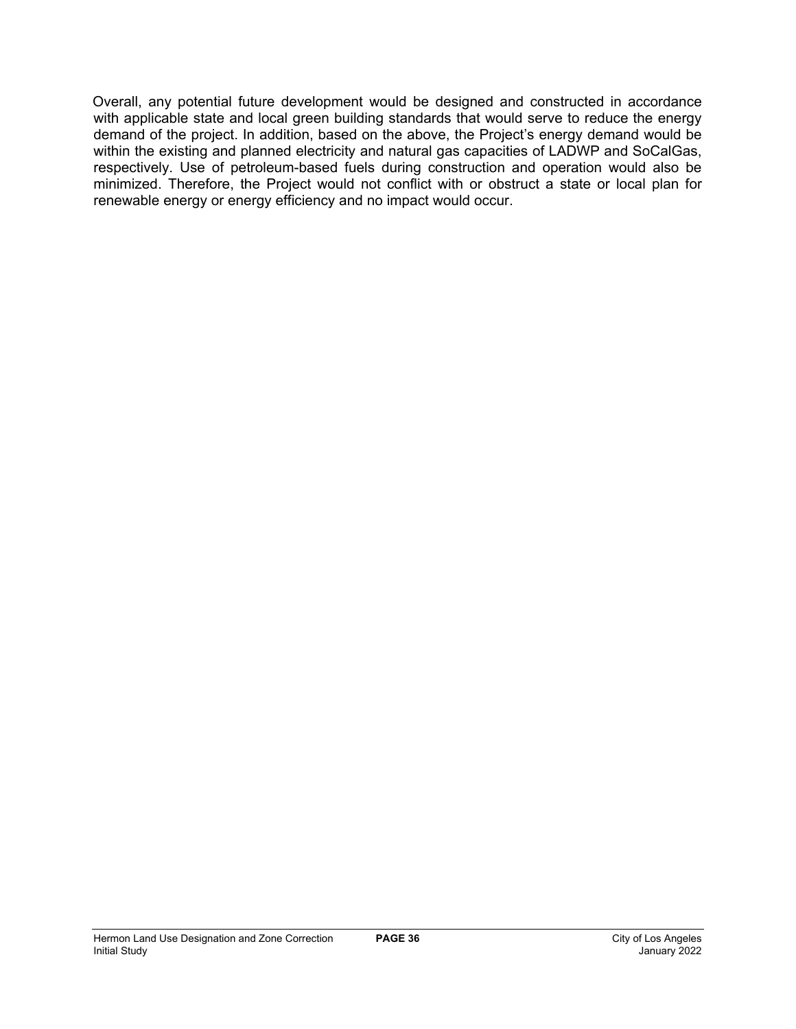Overall, any potential future development would be designed and constructed in accordance with applicable state and local green building standards that would serve to reduce the energy demand of the project. In addition, based on the above, the Project's energy demand would be within the existing and planned electricity and natural gas capacities of LADWP and SoCalGas, respectively. Use of petroleum-based fuels during construction and operation would also be minimized. Therefore, the Project would not conflict with or obstruct a state or local plan for renewable energy or energy efficiency and no impact would occur.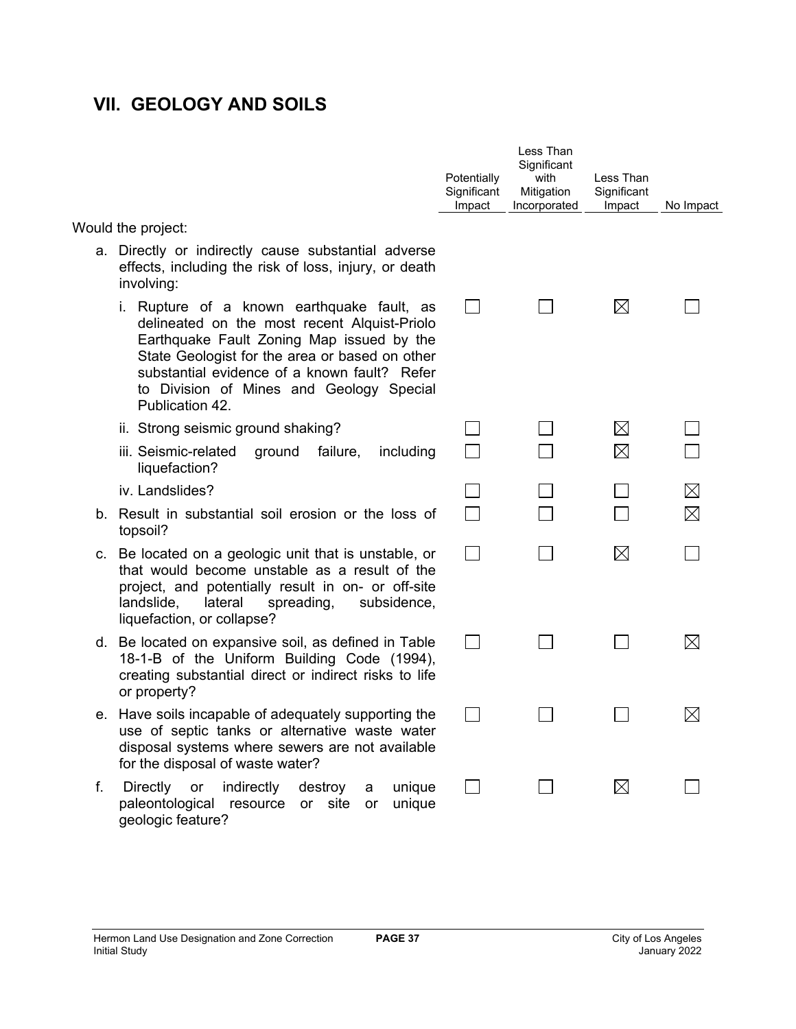# **VII. GEOLOGY AND SOILS**

|    |                                                                                                                                                                                                                                                                                                          | Potentially<br>Significant<br>Impact | Less Than<br>Significant<br>with<br>Mitigation<br>Incorporated | Less Than<br>Significant<br>Impact | No Impact   |
|----|----------------------------------------------------------------------------------------------------------------------------------------------------------------------------------------------------------------------------------------------------------------------------------------------------------|--------------------------------------|----------------------------------------------------------------|------------------------------------|-------------|
|    | Would the project:                                                                                                                                                                                                                                                                                       |                                      |                                                                |                                    |             |
|    | a. Directly or indirectly cause substantial adverse<br>effects, including the risk of loss, injury, or death<br>involving:                                                                                                                                                                               |                                      |                                                                |                                    |             |
|    | i. Rupture of a known earthquake fault, as<br>delineated on the most recent Alquist-Priolo<br>Earthquake Fault Zoning Map issued by the<br>State Geologist for the area or based on other<br>substantial evidence of a known fault? Refer<br>to Division of Mines and Geology Special<br>Publication 42. |                                      |                                                                | $\boxtimes$                        |             |
|    | ii. Strong seismic ground shaking?                                                                                                                                                                                                                                                                       |                                      |                                                                | $\boxtimes$                        |             |
|    | iii. Seismic-related<br>failure,<br>including<br>ground<br>liquefaction?                                                                                                                                                                                                                                 |                                      |                                                                | $\boxtimes$                        |             |
|    | iv. Landslides?                                                                                                                                                                                                                                                                                          |                                      |                                                                |                                    | $\boxtimes$ |
|    | b. Result in substantial soil erosion or the loss of<br>topsoil?                                                                                                                                                                                                                                         |                                      |                                                                |                                    | $\boxtimes$ |
|    | c. Be located on a geologic unit that is unstable, or<br>that would become unstable as a result of the<br>project, and potentially result in on- or off-site<br>landslide,<br>lateral<br>spreading,<br>subsidence,<br>liquefaction, or collapse?                                                         |                                      |                                                                | $\boxtimes$                        |             |
|    | d. Be located on expansive soil, as defined in Table<br>18-1-B of the Uniform Building Code (1994),<br>creating substantial direct or indirect risks to life<br>or property?                                                                                                                             |                                      |                                                                |                                    | $\times$    |
|    | e. Have soils incapable of adequately supporting the<br>use of septic tanks or alternative waste water<br>disposal systems where sewers are not available<br>for the disposal of waste water?                                                                                                            |                                      |                                                                |                                    | $\times$    |
| f. | Directly or<br>indirectly<br>destroy<br>unique<br>a<br>paleontological resource<br>or site<br>unique<br>or<br>geologic feature?                                                                                                                                                                          |                                      |                                                                | $\boxtimes$                        |             |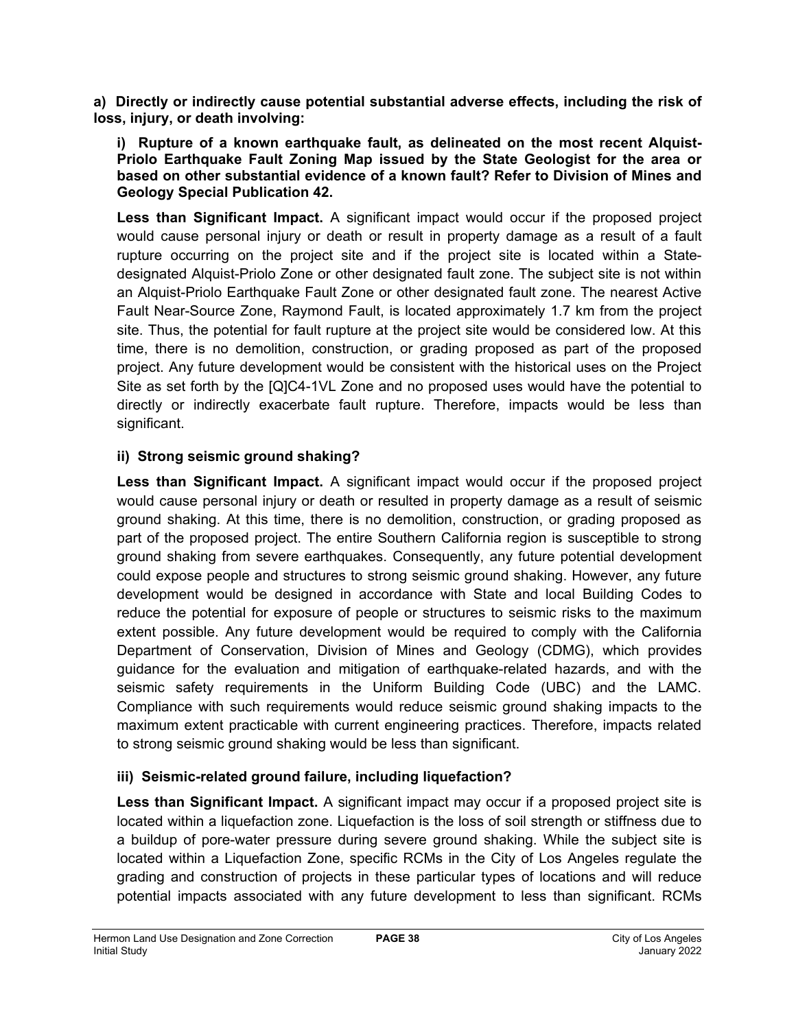**a) Directly or indirectly cause potential substantial adverse effects, including the risk of loss, injury, or death involving:**

**i) Rupture of a known earthquake fault, as delineated on the most recent Alquist-Priolo Earthquake Fault Zoning Map issued by the State Geologist for the area or based on other substantial evidence of a known fault? Refer to Division of Mines and Geology Special Publication 42.**

**Less than Significant Impact.** A significant impact would occur if the proposed project would cause personal injury or death or result in property damage as a result of a fault rupture occurring on the project site and if the project site is located within a Statedesignated Alquist-Priolo Zone or other designated fault zone. The subject site is not within an Alquist-Priolo Earthquake Fault Zone or other designated fault zone. The nearest Active Fault Near-Source Zone, Raymond Fault, is located approximately 1.7 km from the project site. Thus, the potential for fault rupture at the project site would be considered low. At this time, there is no demolition, construction, or grading proposed as part of the proposed project. Any future development would be consistent with the historical uses on the Project Site as set forth by the [Q]C4-1VL Zone and no proposed uses would have the potential to directly or indirectly exacerbate fault rupture. Therefore, impacts would be less than significant.

## **ii) Strong seismic ground shaking?**

**Less than Significant Impact.** A significant impact would occur if the proposed project would cause personal injury or death or resulted in property damage as a result of seismic ground shaking. At this time, there is no demolition, construction, or grading proposed as part of the proposed project. The entire Southern California region is susceptible to strong ground shaking from severe earthquakes. Consequently, any future potential development could expose people and structures to strong seismic ground shaking. However, any future development would be designed in accordance with State and local Building Codes to reduce the potential for exposure of people or structures to seismic risks to the maximum extent possible. Any future development would be required to comply with the California Department of Conservation, Division of Mines and Geology (CDMG), which provides guidance for the evaluation and mitigation of earthquake-related hazards, and with the seismic safety requirements in the Uniform Building Code (UBC) and the LAMC. Compliance with such requirements would reduce seismic ground shaking impacts to the maximum extent practicable with current engineering practices. Therefore, impacts related to strong seismic ground shaking would be less than significant.

## **iii) Seismic-related ground failure, including liquefaction?**

**Less than Significant Impact.** A significant impact may occur if a proposed project site is located within a liquefaction zone. Liquefaction is the loss of soil strength or stiffness due to a buildup of pore-water pressure during severe ground shaking. While the subject site is located within a Liquefaction Zone, specific RCMs in the City of Los Angeles regulate the grading and construction of projects in these particular types of locations and will reduce potential impacts associated with any future development to less than significant. RCMs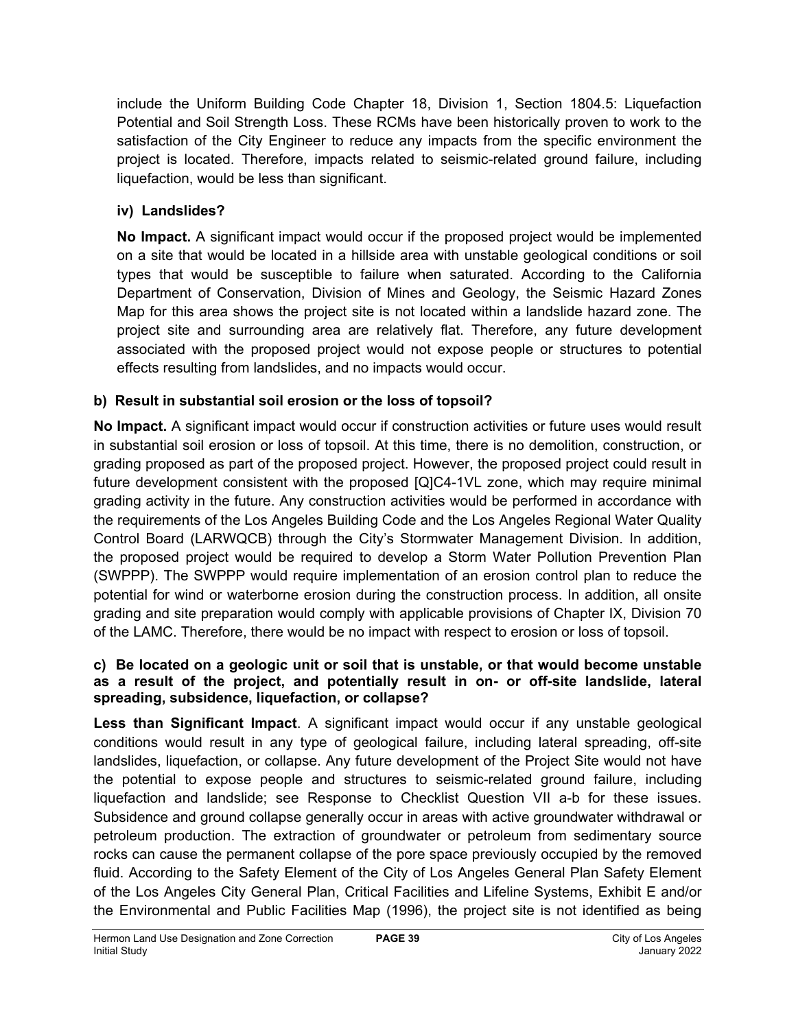include the Uniform Building Code Chapter 18, Division 1, Section 1804.5: Liquefaction Potential and Soil Strength Loss. These RCMs have been historically proven to work to the satisfaction of the City Engineer to reduce any impacts from the specific environment the project is located. Therefore, impacts related to seismic-related ground failure, including liquefaction, would be less than significant.

## **iv) Landslides?**

**No Impact.** A significant impact would occur if the proposed project would be implemented on a site that would be located in a hillside area with unstable geological conditions or soil types that would be susceptible to failure when saturated. According to the California Department of Conservation, Division of Mines and Geology, the Seismic Hazard Zones Map for this area shows the project site is not located within a landslide hazard zone. The project site and surrounding area are relatively flat. Therefore, any future development associated with the proposed project would not expose people or structures to potential effects resulting from landslides, and no impacts would occur.

## **b) Result in substantial soil erosion or the loss of topsoil?**

**No Impact.** A significant impact would occur if construction activities or future uses would result in substantial soil erosion or loss of topsoil. At this time, there is no demolition, construction, or grading proposed as part of the proposed project. However, the proposed project could result in future development consistent with the proposed [Q]C4-1VL zone, which may require minimal grading activity in the future. Any construction activities would be performed in accordance with the requirements of the Los Angeles Building Code and the Los Angeles Regional Water Quality Control Board (LARWQCB) through the City's Stormwater Management Division. In addition, the proposed project would be required to develop a Storm Water Pollution Prevention Plan (SWPPP). The SWPPP would require implementation of an erosion control plan to reduce the potential for wind or waterborne erosion during the construction process. In addition, all onsite grading and site preparation would comply with applicable provisions of Chapter IX, Division 70 of the LAMC. Therefore, there would be no impact with respect to erosion or loss of topsoil.

### **c) Be located on a geologic unit or soil that is unstable, or that would become unstable as a result of the project, and potentially result in on- or off-site landslide, lateral spreading, subsidence, liquefaction, or collapse?**

**Less than Significant Impact**. A significant impact would occur if any unstable geological conditions would result in any type of geological failure, including lateral spreading, off-site landslides, liquefaction, or collapse. Any future development of the Project Site would not have the potential to expose people and structures to seismic-related ground failure, including liquefaction and landslide; see Response to Checklist Question VII a-b for these issues. Subsidence and ground collapse generally occur in areas with active groundwater withdrawal or petroleum production. The extraction of groundwater or petroleum from sedimentary source rocks can cause the permanent collapse of the pore space previously occupied by the removed fluid. According to the Safety Element of the City of Los Angeles General Plan Safety Element of the Los Angeles City General Plan, Critical Facilities and Lifeline Systems, Exhibit E and/or the Environmental and Public Facilities Map (1996), the project site is not identified as being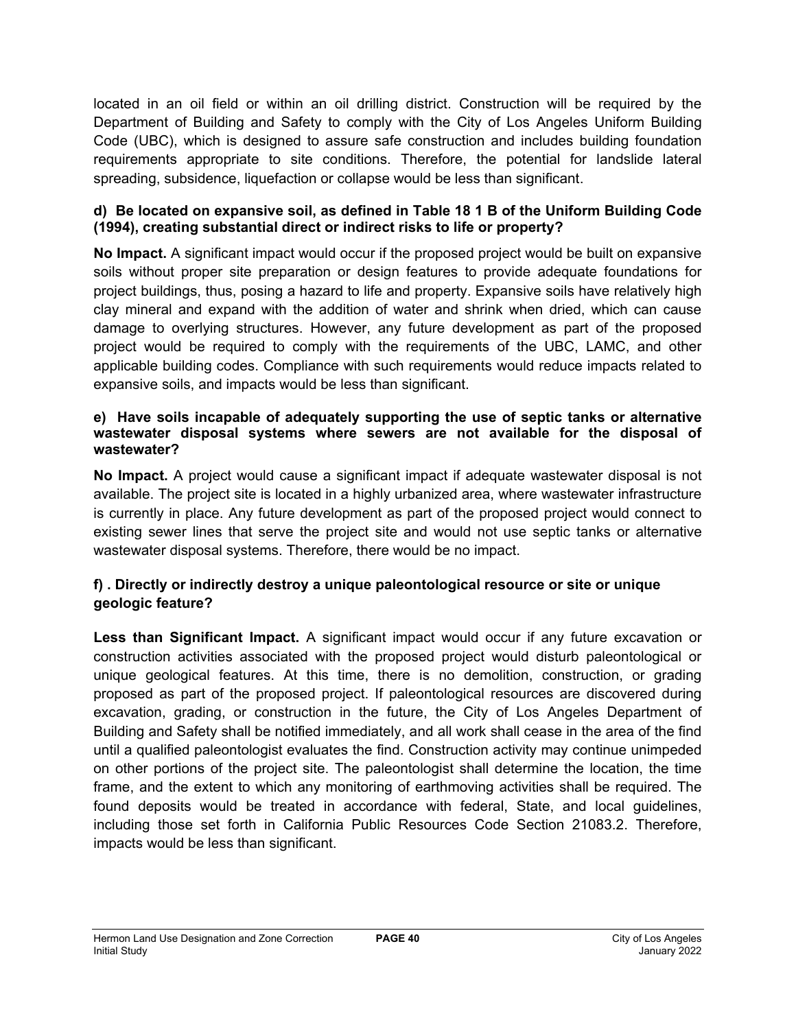located in an oil field or within an oil drilling district. Construction will be required by the Department of Building and Safety to comply with the City of Los Angeles Uniform Building Code (UBC), which is designed to assure safe construction and includes building foundation requirements appropriate to site conditions. Therefore, the potential for landslide lateral spreading, subsidence, liquefaction or collapse would be less than significant.

### **d) Be located on expansive soil, as defined in Table 18 1 B of the Uniform Building Code (1994), creating substantial direct or indirect risks to life or property?**

**No Impact.** A significant impact would occur if the proposed project would be built on expansive soils without proper site preparation or design features to provide adequate foundations for project buildings, thus, posing a hazard to life and property. Expansive soils have relatively high clay mineral and expand with the addition of water and shrink when dried, which can cause damage to overlying structures. However, any future development as part of the proposed project would be required to comply with the requirements of the UBC, LAMC, and other applicable building codes. Compliance with such requirements would reduce impacts related to expansive soils, and impacts would be less than significant.

### **e) Have soils incapable of adequately supporting the use of septic tanks or alternative wastewater disposal systems where sewers are not available for the disposal of wastewater?**

**No Impact.** A project would cause a significant impact if adequate wastewater disposal is not available. The project site is located in a highly urbanized area, where wastewater infrastructure is currently in place. Any future development as part of the proposed project would connect to existing sewer lines that serve the project site and would not use septic tanks or alternative wastewater disposal systems. Therefore, there would be no impact.

## **f) . Directly or indirectly destroy a unique paleontological resource or site or unique geologic feature?**

**Less than Significant Impact.** A significant impact would occur if any future excavation or construction activities associated with the proposed project would disturb paleontological or unique geological features. At this time, there is no demolition, construction, or grading proposed as part of the proposed project. If paleontological resources are discovered during excavation, grading, or construction in the future, the City of Los Angeles Department of Building and Safety shall be notified immediately, and all work shall cease in the area of the find until a qualified paleontologist evaluates the find. Construction activity may continue unimpeded on other portions of the project site. The paleontologist shall determine the location, the time frame, and the extent to which any monitoring of earthmoving activities shall be required. The found deposits would be treated in accordance with federal, State, and local guidelines, including those set forth in California Public Resources Code Section 21083.2. Therefore, impacts would be less than significant.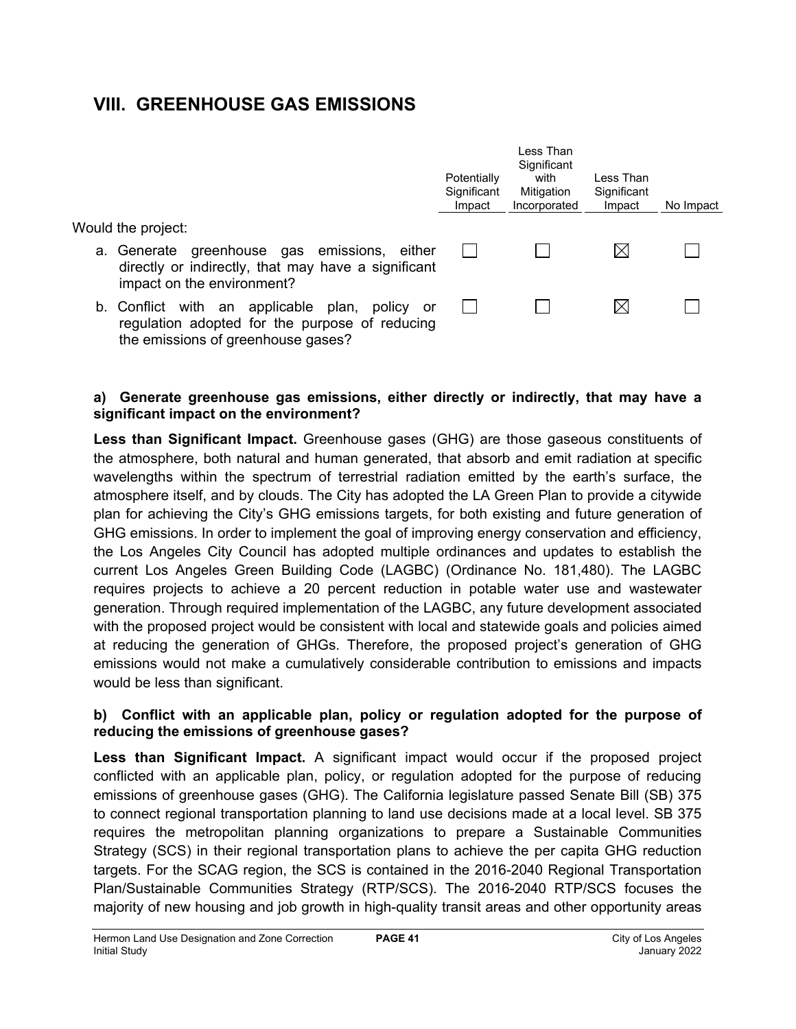# **VIII. GREENHOUSE GAS EMISSIONS**

|                                                                                                                                              | Potentially<br>Significant<br>Impact | Less Than<br>Significant<br>with<br>Mitigation<br>Incorporated | Less Than<br>Significant<br>Impact | No Impact |
|----------------------------------------------------------------------------------------------------------------------------------------------|--------------------------------------|----------------------------------------------------------------|------------------------------------|-----------|
| Would the project:                                                                                                                           |                                      |                                                                |                                    |           |
| a. Generate greenhouse gas emissions, either<br>directly or indirectly, that may have a significant<br>impact on the environment?            |                                      |                                                                |                                    |           |
| b. Conflict with an applicable plan,<br>policy<br>or<br>regulation adopted for the purpose of reducing<br>the emissions of greenhouse gases? |                                      |                                                                |                                    |           |

### **a) Generate greenhouse gas emissions, either directly or indirectly, that may have a significant impact on the environment?**

**Less than Significant Impact.** Greenhouse gases (GHG) are those gaseous constituents of the atmosphere, both natural and human generated, that absorb and emit radiation at specific wavelengths within the spectrum of terrestrial radiation emitted by the earth's surface, the atmosphere itself, and by clouds. The City has adopted the LA Green Plan to provide a citywide plan for achieving the City's GHG emissions targets, for both existing and future generation of GHG emissions. In order to implement the goal of improving energy conservation and efficiency, the Los Angeles City Council has adopted multiple ordinances and updates to establish the current Los Angeles Green Building Code (LAGBC) (Ordinance No. 181,480). The LAGBC requires projects to achieve a 20 percent reduction in potable water use and wastewater generation. Through required implementation of the LAGBC, any future development associated with the proposed project would be consistent with local and statewide goals and policies aimed at reducing the generation of GHGs. Therefore, the proposed project's generation of GHG emissions would not make a cumulatively considerable contribution to emissions and impacts would be less than significant.

### **b) Conflict with an applicable plan, policy or regulation adopted for the purpose of reducing the emissions of greenhouse gases?**

**Less than Significant Impact.** A significant impact would occur if the proposed project conflicted with an applicable plan, policy, or regulation adopted for the purpose of reducing emissions of greenhouse gases (GHG). The California legislature passed Senate Bill (SB) 375 to connect regional transportation planning to land use decisions made at a local level. SB 375 requires the metropolitan planning organizations to prepare a Sustainable Communities Strategy (SCS) in their regional transportation plans to achieve the per capita GHG reduction targets. For the SCAG region, the SCS is contained in the 2016-2040 Regional Transportation Plan/Sustainable Communities Strategy (RTP/SCS). The 2016-2040 RTP/SCS focuses the majority of new housing and job growth in high-quality transit areas and other opportunity areas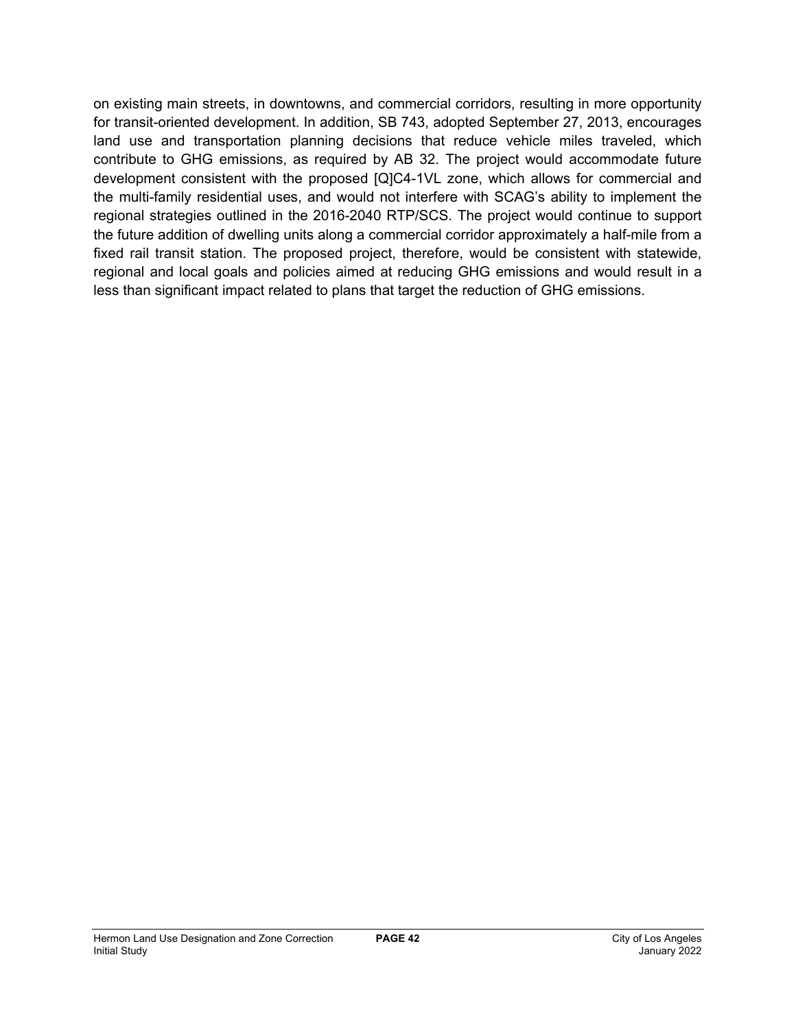on existing main streets, in downtowns, and commercial corridors, resulting in more opportunity for transit-oriented development. In addition, SB 743, adopted September 27, 2013, encourages land use and transportation planning decisions that reduce vehicle miles traveled, which contribute to GHG emissions, as required by AB 32. The project would accommodate future development consistent with the proposed [Q]C4-1VL zone, which allows for commercial and the multi-family residential uses, and would not interfere with SCAG's ability to implement the regional strategies outlined in the 2016-2040 RTP/SCS. The project would continue to support the future addition of dwelling units along a commercial corridor approximately a half-mile from a fixed rail transit station. The proposed project, therefore, would be consistent with statewide, regional and local goals and policies aimed at reducing GHG emissions and would result in a less than significant impact related to plans that target the reduction of GHG emissions.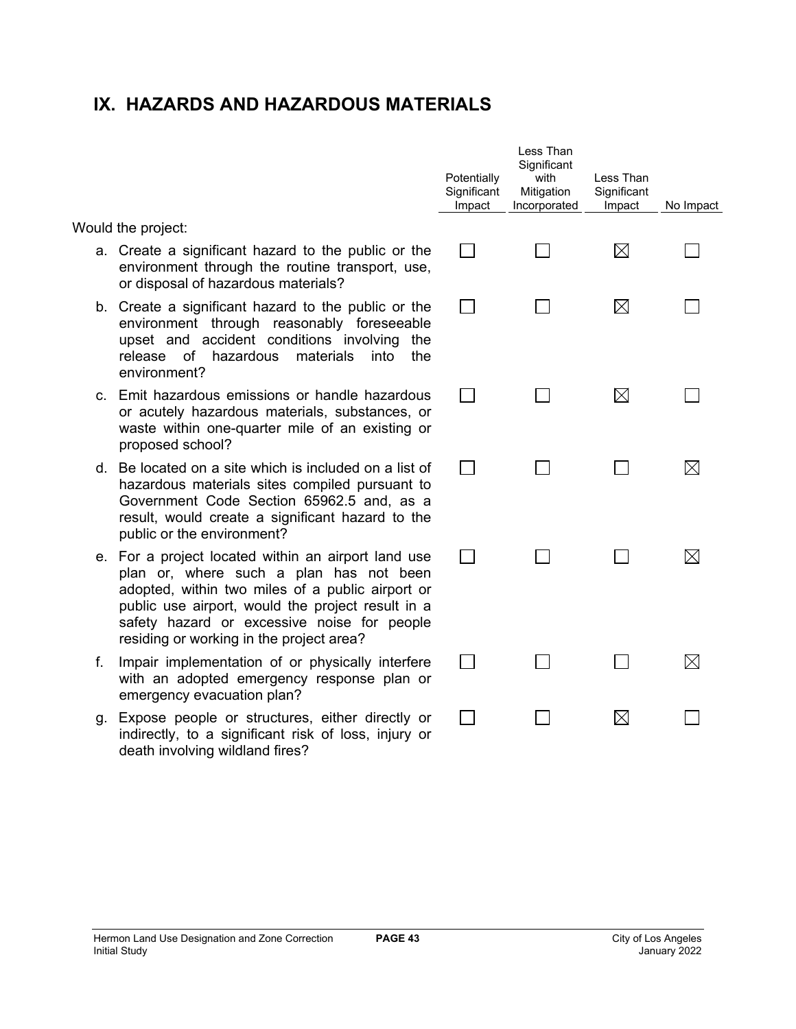# **IX. HAZARDS AND HAZARDOUS MATERIALS**

Would the project:

- a. Create a significant hazard to the public or the environment through the routine transport, use, or disposal of hazardous materials?
- b. Create a significant hazard to the public or the environment through reasonably foreseeable upset and accident conditions involving the release of hazardous materials into the environment?
- c. Emit hazardous emissions or handle hazardous or acutely hazardous materials, substances, or waste within one-quarter mile of an existing or proposed school?
- d. Be located on a site which is included on a list of hazardous materials sites compiled pursuant to Government Code Section 65962.5 and, as a result, would create a significant hazard to the public or the environment?
- e. For a project located within an airport land use plan or, where such a plan has not been adopted, within two miles of a public airport or public use airport, would the project result in a safety hazard or excessive noise for people residing or working in the project area?
- f. Impair implementation of or physically interfere with an adopted emergency response plan or emergency evacuation plan?
- g. Expose people or structures, either directly or indirectly, to a significant risk of loss, injury or death involving wildland fires?

| Potentially<br>Significant<br>Impact | Less Than<br>Significant<br>with<br>Mitigation<br>Incorporated | Less Than<br>Significant<br>Impact | No Impact   |
|--------------------------------------|----------------------------------------------------------------|------------------------------------|-------------|
|                                      |                                                                | $\boxtimes$                        |             |
|                                      |                                                                | $\boxtimes$                        |             |
|                                      |                                                                | $\boxtimes$                        |             |
| $\sim$                               |                                                                | ΙI                                 | $\boxtimes$ |
|                                      |                                                                |                                    | $\boxtimes$ |
|                                      |                                                                |                                    | Х           |
|                                      |                                                                | $\boxtimes$                        |             |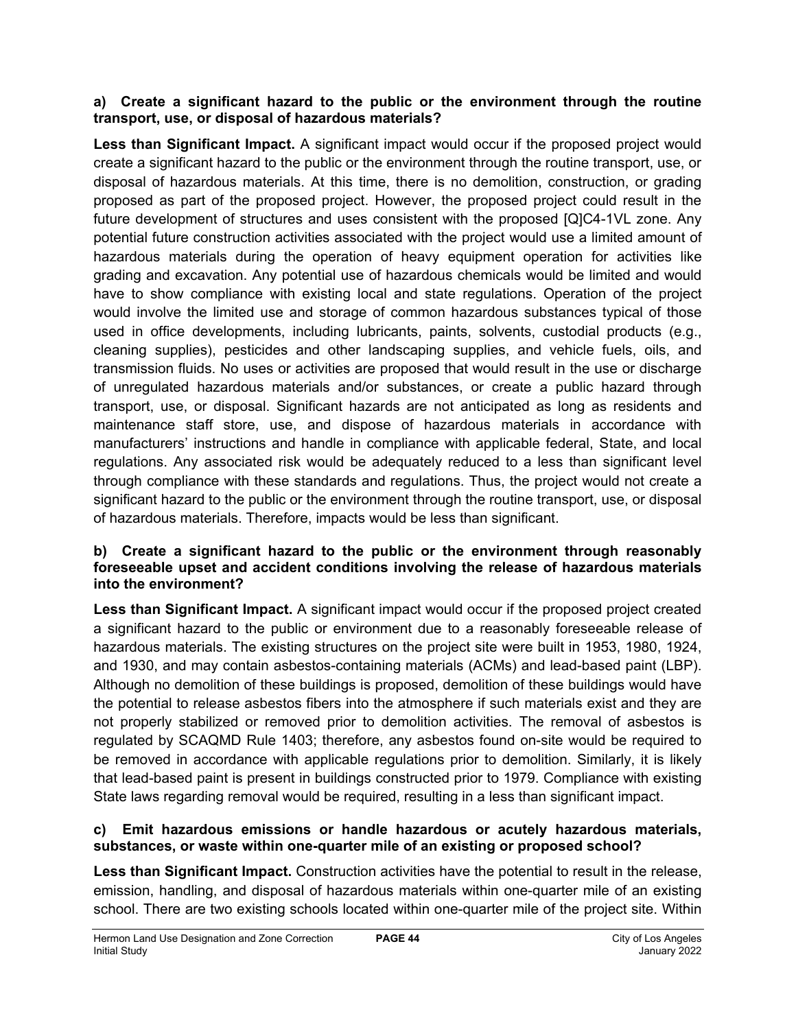### **a) Create a significant hazard to the public or the environment through the routine transport, use, or disposal of hazardous materials?**

**Less than Significant Impact.** A significant impact would occur if the proposed project would create a significant hazard to the public or the environment through the routine transport, use, or disposal of hazardous materials. At this time, there is no demolition, construction, or grading proposed as part of the proposed project. However, the proposed project could result in the future development of structures and uses consistent with the proposed [Q]C4-1VL zone. Any potential future construction activities associated with the project would use a limited amount of hazardous materials during the operation of heavy equipment operation for activities like grading and excavation. Any potential use of hazardous chemicals would be limited and would have to show compliance with existing local and state regulations. Operation of the project would involve the limited use and storage of common hazardous substances typical of those used in office developments, including lubricants, paints, solvents, custodial products (e.g., cleaning supplies), pesticides and other landscaping supplies, and vehicle fuels, oils, and transmission fluids. No uses or activities are proposed that would result in the use or discharge of unregulated hazardous materials and/or substances, or create a public hazard through transport, use, or disposal. Significant hazards are not anticipated as long as residents and maintenance staff store, use, and dispose of hazardous materials in accordance with manufacturers' instructions and handle in compliance with applicable federal, State, and local regulations. Any associated risk would be adequately reduced to a less than significant level through compliance with these standards and regulations. Thus, the project would not create a significant hazard to the public or the environment through the routine transport, use, or disposal of hazardous materials. Therefore, impacts would be less than significant.

### **b) Create a significant hazard to the public or the environment through reasonably foreseeable upset and accident conditions involving the release of hazardous materials into the environment?**

**Less than Significant Impact.** A significant impact would occur if the proposed project created a significant hazard to the public or environment due to a reasonably foreseeable release of hazardous materials. The existing structures on the project site were built in 1953, 1980, 1924, and 1930, and may contain asbestos-containing materials (ACMs) and lead-based paint (LBP). Although no demolition of these buildings is proposed, demolition of these buildings would have the potential to release asbestos fibers into the atmosphere if such materials exist and they are not properly stabilized or removed prior to demolition activities. The removal of asbestos is regulated by SCAQMD Rule 1403; therefore, any asbestos found on-site would be required to be removed in accordance with applicable regulations prior to demolition. Similarly, it is likely that lead-based paint is present in buildings constructed prior to 1979. Compliance with existing State laws regarding removal would be required, resulting in a less than significant impact.

### **c) Emit hazardous emissions or handle hazardous or acutely hazardous materials, substances, or waste within one-quarter mile of an existing or proposed school?**

**Less than Significant Impact.** Construction activities have the potential to result in the release, emission, handling, and disposal of hazardous materials within one-quarter mile of an existing school. There are two existing schools located within one-quarter mile of the project site. Within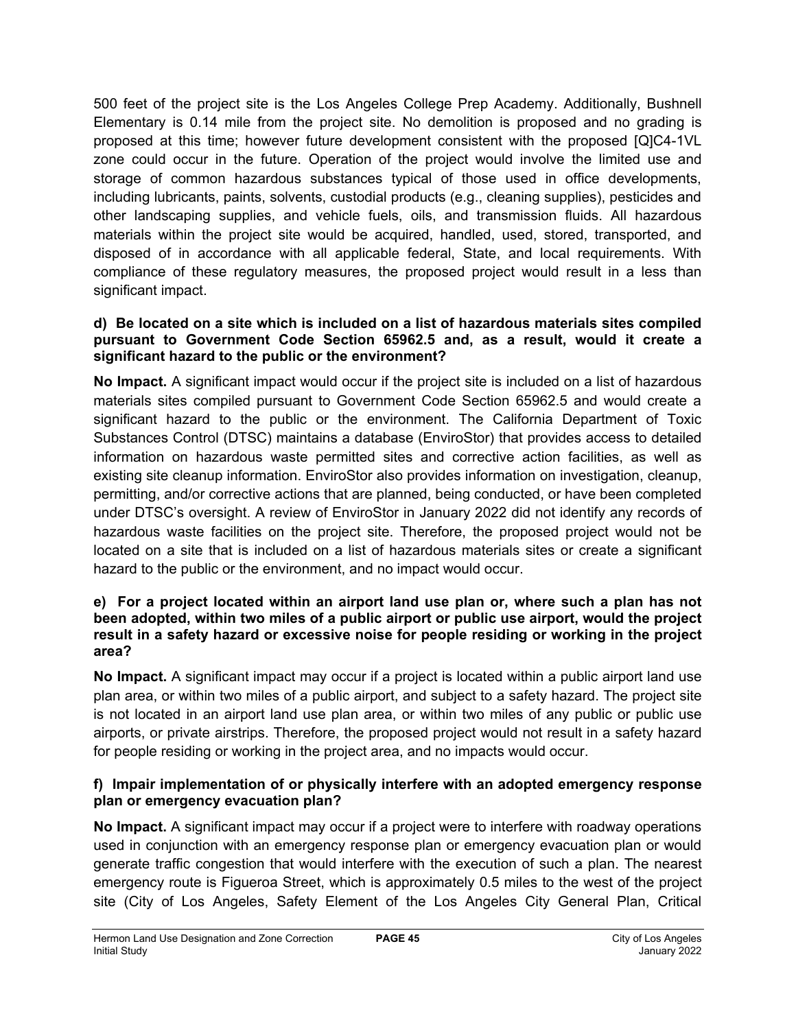500 feet of the project site is the Los Angeles College Prep Academy. Additionally, Bushnell Elementary is 0.14 mile from the project site. No demolition is proposed and no grading is proposed at this time; however future development consistent with the proposed [Q]C4-1VL zone could occur in the future. Operation of the project would involve the limited use and storage of common hazardous substances typical of those used in office developments, including lubricants, paints, solvents, custodial products (e.g., cleaning supplies), pesticides and other landscaping supplies, and vehicle fuels, oils, and transmission fluids. All hazardous materials within the project site would be acquired, handled, used, stored, transported, and disposed of in accordance with all applicable federal, State, and local requirements. With compliance of these regulatory measures, the proposed project would result in a less than significant impact.

### **d) Be located on a site which is included on a list of hazardous materials sites compiled pursuant to Government Code Section 65962.5 and, as a result, would it create a significant hazard to the public or the environment?**

**No Impact.** A significant impact would occur if the project site is included on a list of hazardous materials sites compiled pursuant to Government Code Section 65962.5 and would create a significant hazard to the public or the environment. The California Department of Toxic Substances Control (DTSC) maintains a database (EnviroStor) that provides access to detailed information on hazardous waste permitted sites and corrective action facilities, as well as existing site cleanup information. EnviroStor also provides information on investigation, cleanup, permitting, and/or corrective actions that are planned, being conducted, or have been completed under DTSC's oversight. A review of EnviroStor in January 2022 did not identify any records of hazardous waste facilities on the project site. Therefore, the proposed project would not be located on a site that is included on a list of hazardous materials sites or create a significant hazard to the public or the environment, and no impact would occur.

### **e) For a project located within an airport land use plan or, where such a plan has not been adopted, within two miles of a public airport or public use airport, would the project result in a safety hazard or excessive noise for people residing or working in the project area?**

**No Impact.** A significant impact may occur if a project is located within a public airport land use plan area, or within two miles of a public airport, and subject to a safety hazard. The project site is not located in an airport land use plan area, or within two miles of any public or public use airports, or private airstrips. Therefore, the proposed project would not result in a safety hazard for people residing or working in the project area, and no impacts would occur.

### **f) Impair implementation of or physically interfere with an adopted emergency response plan or emergency evacuation plan?**

**No Impact.** A significant impact may occur if a project were to interfere with roadway operations used in conjunction with an emergency response plan or emergency evacuation plan or would generate traffic congestion that would interfere with the execution of such a plan. The nearest emergency route is Figueroa Street, which is approximately 0.5 miles to the west of the project site (City of Los Angeles, Safety Element of the Los Angeles City General Plan, Critical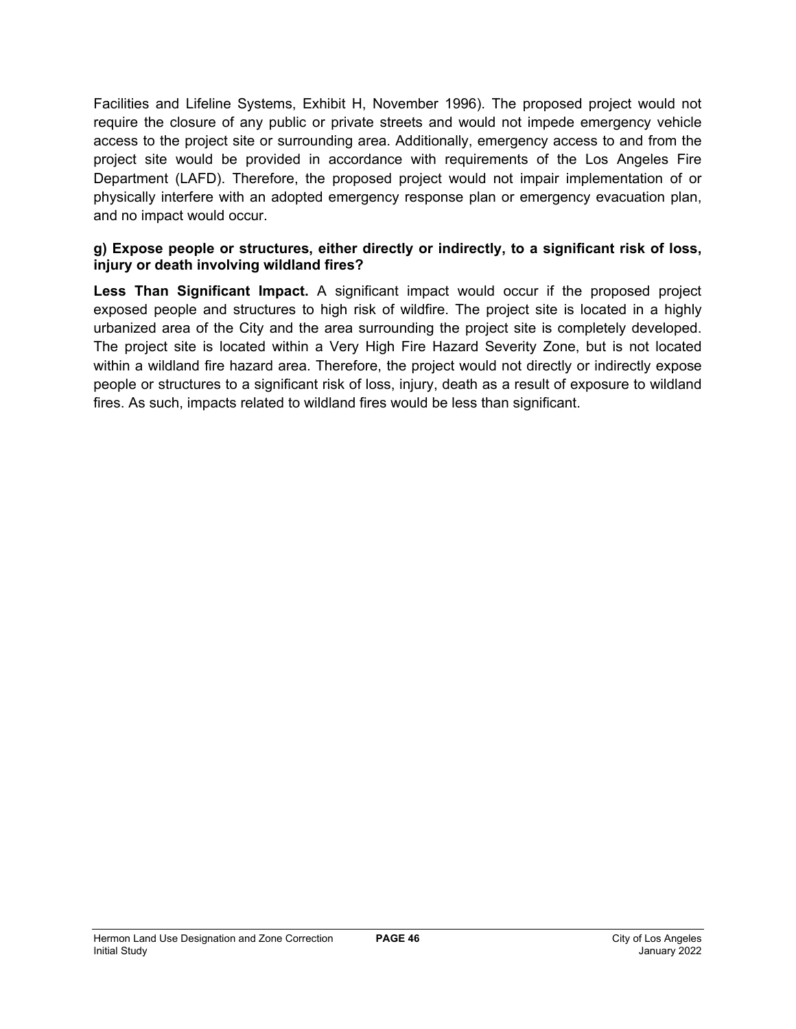Facilities and Lifeline Systems, Exhibit H, November 1996). The proposed project would not require the closure of any public or private streets and would not impede emergency vehicle access to the project site or surrounding area. Additionally, emergency access to and from the project site would be provided in accordance with requirements of the Los Angeles Fire Department (LAFD). Therefore, the proposed project would not impair implementation of or physically interfere with an adopted emergency response plan or emergency evacuation plan, and no impact would occur.

### **g) Expose people or structures, either directly or indirectly, to a significant risk of loss, injury or death involving wildland fires?**

**Less Than Significant Impact.** A significant impact would occur if the proposed project exposed people and structures to high risk of wildfire. The project site is located in a highly urbanized area of the City and the area surrounding the project site is completely developed. The project site is located within a Very High Fire Hazard Severity Zone, but is not located within a wildland fire hazard area. Therefore, the project would not directly or indirectly expose people or structures to a significant risk of loss, injury, death as a result of exposure to wildland fires. As such, impacts related to wildland fires would be less than significant.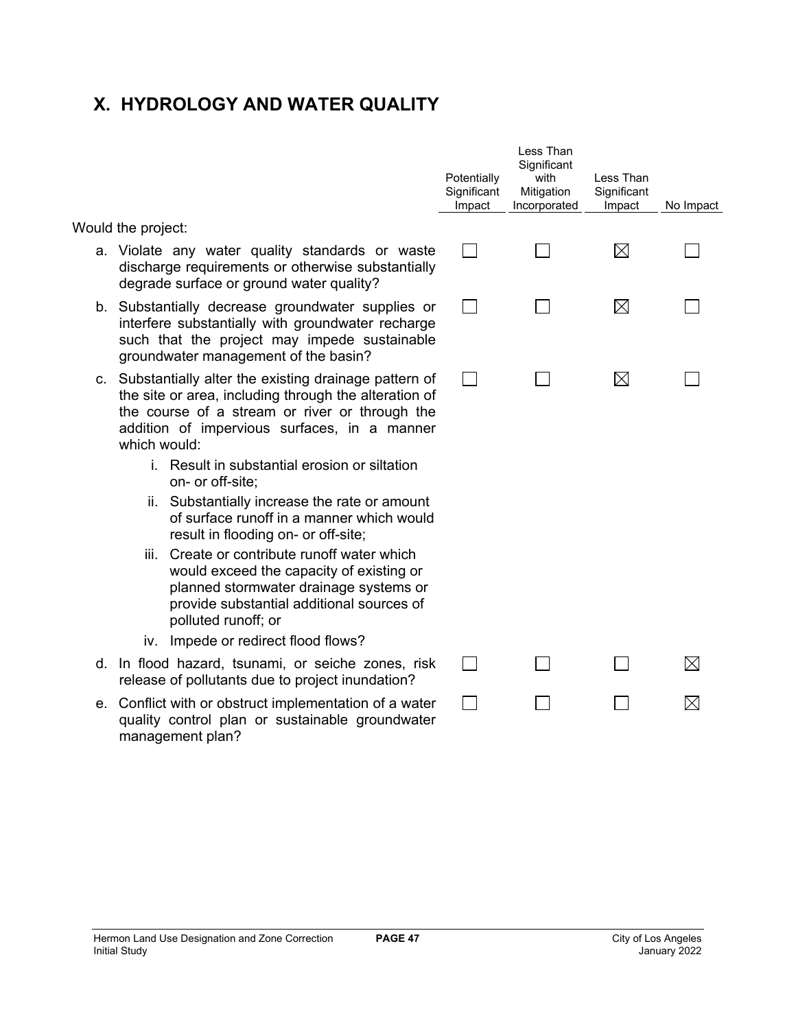# **X. HYDROLOGY AND WATER QUALITY**

Would the project:

- a. Violate any water quality standards or was discharge requirements or otherwise substantial degrade surface or ground water quality?
- b. Substantially decrease groundwater supplies interfere substantially with groundwater recharge such that the project may impede sustainab groundwater management of the basin?
- c. Substantially alter the existing drainage pattern the site or area, including through the alteration the course of a stream or river or through the addition of impervious surfaces, in a mann which would:
	- i. Result in substantial erosion or siltation on- or off-site;
	- ii. Substantially increase the rate or amoun of surface runoff in a manner which would result in flooding on- or off-site;
	- iii. Create or contribute runoff water which would exceed the capacity of existing or planned stormwater drainage systems o provide substantial additional sources of polluted runoff; or
	- iv. Impede or redirect flood flows?
- d. In flood hazard, tsunami, or seiche zones, ris release of pollutants due to project inundation?
- e. Conflict with or obstruct implementation of a water quality control plan or sustainable groundwat management plan?

|  |             | No Impact   |
|--|-------------|-------------|
|  | $\boxtimes$ |             |
|  | $\boxtimes$ |             |
|  | $\boxtimes$ |             |
|  |             |             |
|  |             |             |
|  |             | $\boxtimes$ |
|  |             | ⊠           |
|  |             |             |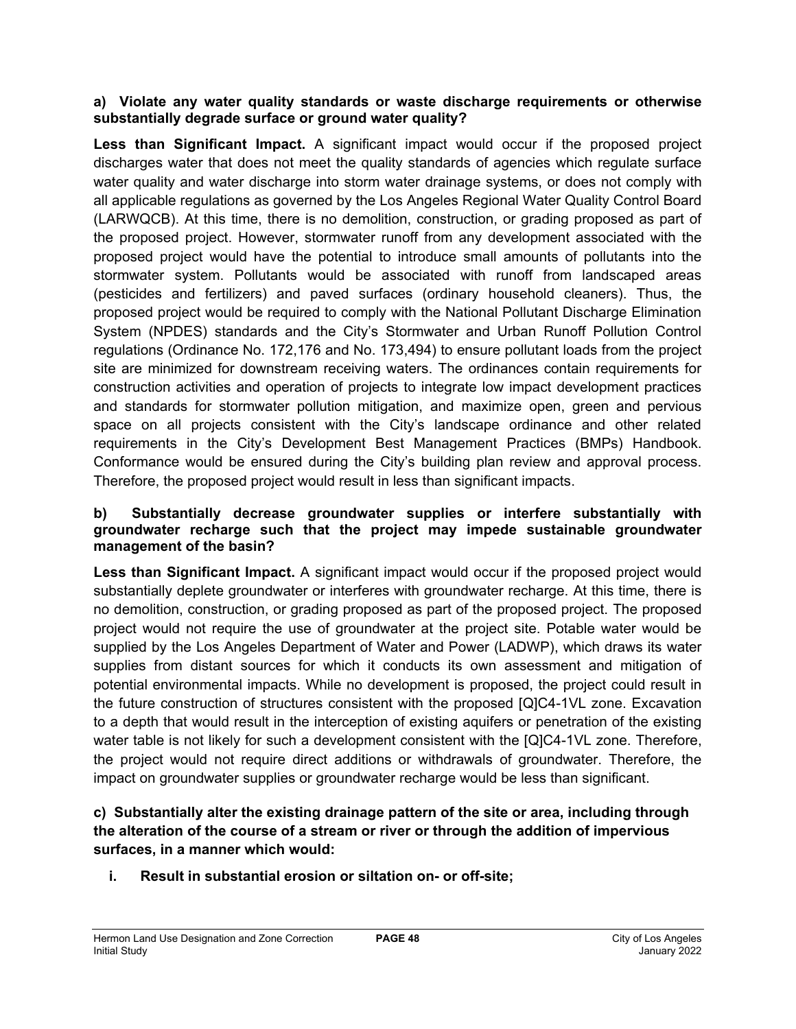### **a) Violate any water quality standards or waste discharge requirements or otherwise substantially degrade surface or ground water quality?**

**Less than Significant Impact.** A significant impact would occur if the proposed project discharges water that does not meet the quality standards of agencies which regulate surface water quality and water discharge into storm water drainage systems, or does not comply with all applicable regulations as governed by the Los Angeles Regional Water Quality Control Board (LARWQCB). At this time, there is no demolition, construction, or grading proposed as part of the proposed project. However, stormwater runoff from any development associated with the proposed project would have the potential to introduce small amounts of pollutants into the stormwater system. Pollutants would be associated with runoff from landscaped areas (pesticides and fertilizers) and paved surfaces (ordinary household cleaners). Thus, the proposed project would be required to comply with the National Pollutant Discharge Elimination System (NPDES) standards and the City's Stormwater and Urban Runoff Pollution Control regulations (Ordinance No. 172,176 and No. 173,494) to ensure pollutant loads from the project site are minimized for downstream receiving waters. The ordinances contain requirements for construction activities and operation of projects to integrate low impact development practices and standards for stormwater pollution mitigation, and maximize open, green and pervious space on all projects consistent with the City's landscape ordinance and other related requirements in the City's Development Best Management Practices (BMPs) Handbook. Conformance would be ensured during the City's building plan review and approval process. Therefore, the proposed project would result in less than significant impacts.

### **b) Substantially decrease groundwater supplies or interfere substantially with groundwater recharge such that the project may impede sustainable groundwater management of the basin?**

Less than Significant Impact. A significant impact would occur if the proposed project would substantially deplete groundwater or interferes with groundwater recharge. At this time, there is no demolition, construction, or grading proposed as part of the proposed project. The proposed project would not require the use of groundwater at the project site. Potable water would be supplied by the Los Angeles Department of Water and Power (LADWP), which draws its water supplies from distant sources for which it conducts its own assessment and mitigation of potential environmental impacts. While no development is proposed, the project could result in the future construction of structures consistent with the proposed [Q]C4-1VL zone. Excavation to a depth that would result in the interception of existing aquifers or penetration of the existing water table is not likely for such a development consistent with the [Q]C4-1VL zone. Therefore, the project would not require direct additions or withdrawals of groundwater. Therefore, the impact on groundwater supplies or groundwater recharge would be less than significant.

## **c) Substantially alter the existing drainage pattern of the site or area, including through the alteration of the course of a stream or river or through the addition of impervious surfaces, in a manner which would:**

**i. Result in substantial erosion or siltation on- or off-site;**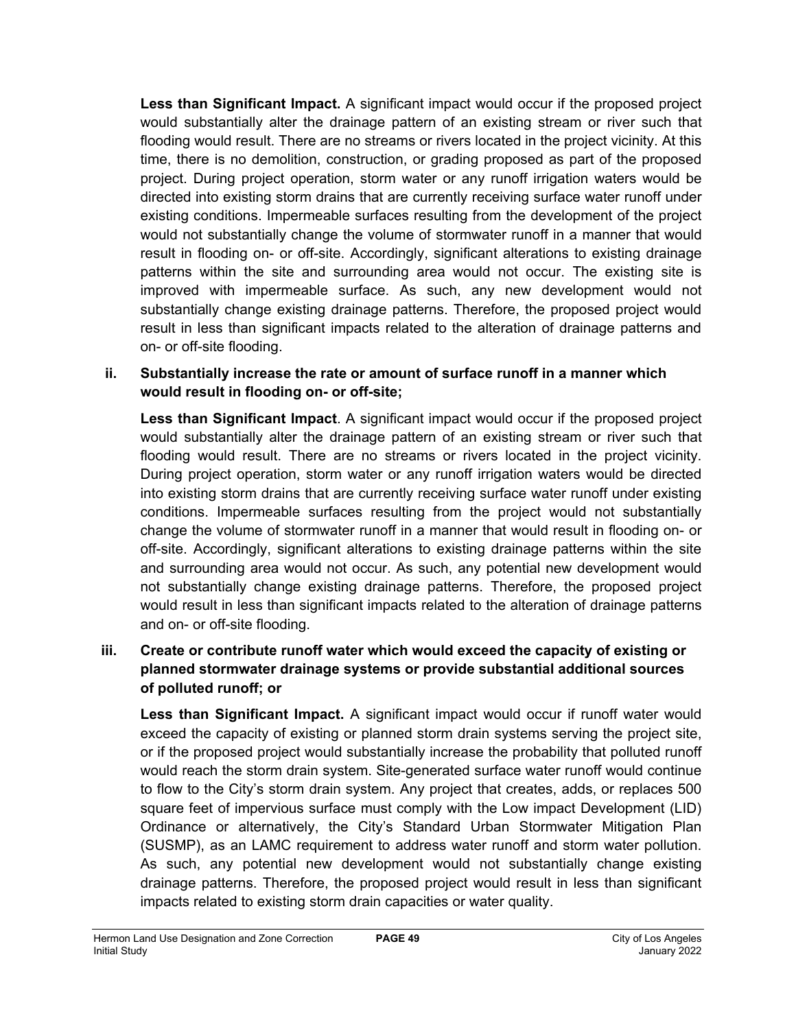**Less than Significant Impact.** A significant impact would occur if the proposed project would substantially alter the drainage pattern of an existing stream or river such that flooding would result. There are no streams or rivers located in the project vicinity. At this time, there is no demolition, construction, or grading proposed as part of the proposed project. During project operation, storm water or any runoff irrigation waters would be directed into existing storm drains that are currently receiving surface water runoff under existing conditions. Impermeable surfaces resulting from the development of the project would not substantially change the volume of stormwater runoff in a manner that would result in flooding on- or off-site. Accordingly, significant alterations to existing drainage patterns within the site and surrounding area would not occur. The existing site is improved with impermeable surface. As such, any new development would not substantially change existing drainage patterns. Therefore, the proposed project would result in less than significant impacts related to the alteration of drainage patterns and on- or off-site flooding.

## **ii. Substantially increase the rate or amount of surface runoff in a manner which would result in flooding on- or off-site;**

**Less than Significant Impact**. A significant impact would occur if the proposed project would substantially alter the drainage pattern of an existing stream or river such that flooding would result. There are no streams or rivers located in the project vicinity. During project operation, storm water or any runoff irrigation waters would be directed into existing storm drains that are currently receiving surface water runoff under existing conditions. Impermeable surfaces resulting from the project would not substantially change the volume of stormwater runoff in a manner that would result in flooding on- or off-site. Accordingly, significant alterations to existing drainage patterns within the site and surrounding area would not occur. As such, any potential new development would not substantially change existing drainage patterns. Therefore, the proposed project would result in less than significant impacts related to the alteration of drainage patterns and on- or off-site flooding.

## **iii. Create or contribute runoff water which would exceed the capacity of existing or planned stormwater drainage systems or provide substantial additional sources of polluted runoff; or**

**Less than Significant Impact.** A significant impact would occur if runoff water would exceed the capacity of existing or planned storm drain systems serving the project site, or if the proposed project would substantially increase the probability that polluted runoff would reach the storm drain system. Site-generated surface water runoff would continue to flow to the City's storm drain system. Any project that creates, adds, or replaces 500 square feet of impervious surface must comply with the Low impact Development (LID) Ordinance or alternatively, the City's Standard Urban Stormwater Mitigation Plan (SUSMP), as an LAMC requirement to address water runoff and storm water pollution. As such, any potential new development would not substantially change existing drainage patterns. Therefore, the proposed project would result in less than significant impacts related to existing storm drain capacities or water quality.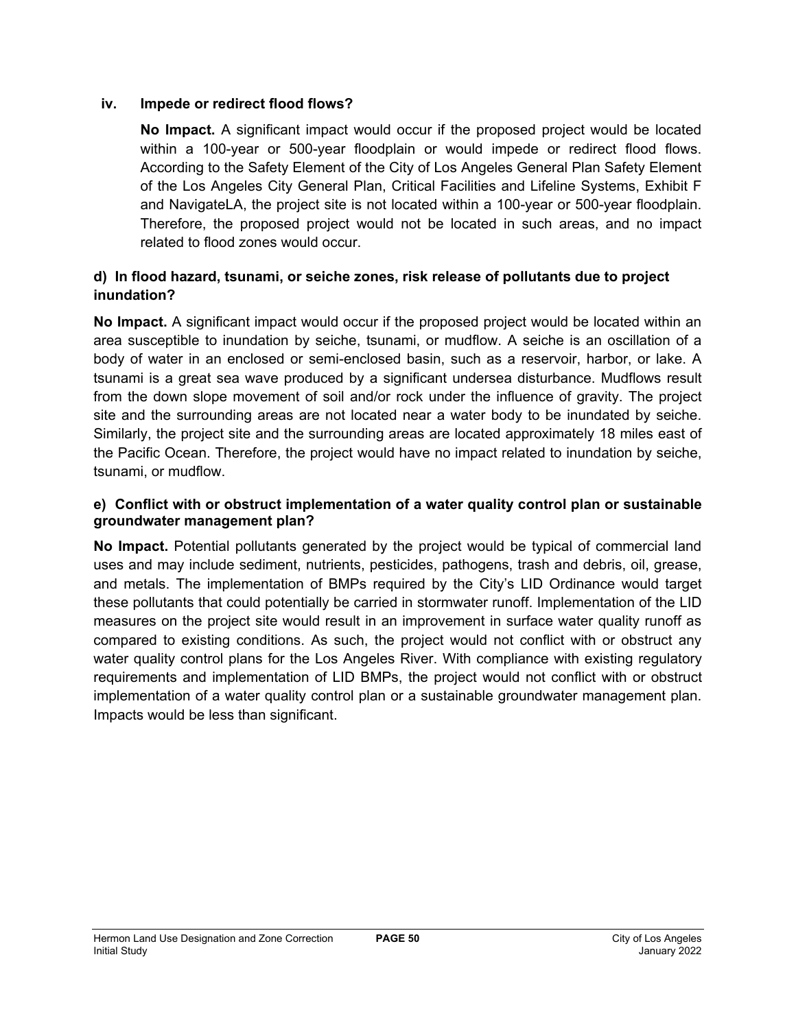### **iv. Impede or redirect flood flows?**

**No Impact.** A significant impact would occur if the proposed project would be located within a 100-year or 500-year floodplain or would impede or redirect flood flows. According to the Safety Element of the City of Los Angeles General Plan Safety Element of the Los Angeles City General Plan, Critical Facilities and Lifeline Systems, Exhibit F and NavigateLA, the project site is not located within a 100-year or 500-year floodplain. Therefore, the proposed project would not be located in such areas, and no impact related to flood zones would occur.

## **d) In flood hazard, tsunami, or seiche zones, risk release of pollutants due to project inundation?**

**No Impact.** A significant impact would occur if the proposed project would be located within an area susceptible to inundation by seiche, tsunami, or mudflow. A seiche is an oscillation of a body of water in an enclosed or semi-enclosed basin, such as a reservoir, harbor, or lake. A tsunami is a great sea wave produced by a significant undersea disturbance. Mudflows result from the down slope movement of soil and/or rock under the influence of gravity. The project site and the surrounding areas are not located near a water body to be inundated by seiche. Similarly, the project site and the surrounding areas are located approximately 18 miles east of the Pacific Ocean. Therefore, the project would have no impact related to inundation by seiche, tsunami, or mudflow.

### **e) Conflict with or obstruct implementation of a water quality control plan or sustainable groundwater management plan?**

**No Impact.** Potential pollutants generated by the project would be typical of commercial land uses and may include sediment, nutrients, pesticides, pathogens, trash and debris, oil, grease, and metals. The implementation of BMPs required by the City's LID Ordinance would target these pollutants that could potentially be carried in stormwater runoff. Implementation of the LID measures on the project site would result in an improvement in surface water quality runoff as compared to existing conditions. As such, the project would not conflict with or obstruct any water quality control plans for the Los Angeles River. With compliance with existing regulatory requirements and implementation of LID BMPs, the project would not conflict with or obstruct implementation of a water quality control plan or a sustainable groundwater management plan. Impacts would be less than significant.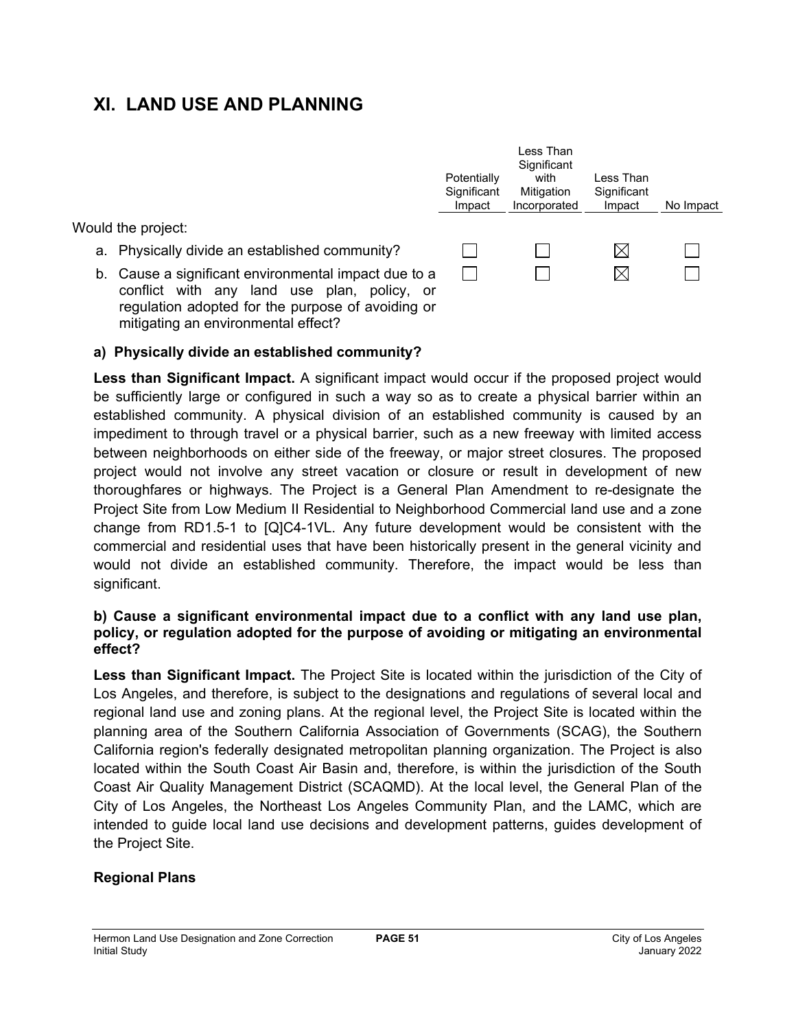# **XI. LAND USE AND PLANNING**

Would the project:

- a. Physically divide an established community?
- b. Cause a significant environmental impact due to a conflict with any land use plan, policy, or regulation adopted for the purpose of avoiding or mitigating an environmental effect?



### **a) Physically divide an established community?**

**Less than Significant Impact.** A significant impact would occur if the proposed project would be sufficiently large or configured in such a way so as to create a physical barrier within an established community. A physical division of an established community is caused by an impediment to through travel or a physical barrier, such as a new freeway with limited access between neighborhoods on either side of the freeway, or major street closures. The proposed project would not involve any street vacation or closure or result in development of new thoroughfares or highways. The Project is a General Plan Amendment to re-designate the Project Site from Low Medium II Residential to Neighborhood Commercial land use and a zone change from RD1.5-1 to [Q]C4-1VL. Any future development would be consistent with the commercial and residential uses that have been historically present in the general vicinity and would not divide an established community. Therefore, the impact would be less than significant.

### **b) Cause a significant environmental impact due to a conflict with any land use plan, policy, or regulation adopted for the purpose of avoiding or mitigating an environmental effect?**

**Less than Significant Impact.** The Project Site is located within the jurisdiction of the City of Los Angeles, and therefore, is subject to the designations and regulations of several local and regional land use and zoning plans. At the regional level, the Project Site is located within the planning area of the Southern California Association of Governments (SCAG), the Southern California region's federally designated metropolitan planning organization. The Project is also located within the South Coast Air Basin and, therefore, is within the jurisdiction of the South Coast Air Quality Management District (SCAQMD). At the local level, the General Plan of the City of Los Angeles, the Northeast Los Angeles Community Plan, and the LAMC, which are intended to guide local land use decisions and development patterns, guides development of the Project Site.

### **Regional Plans**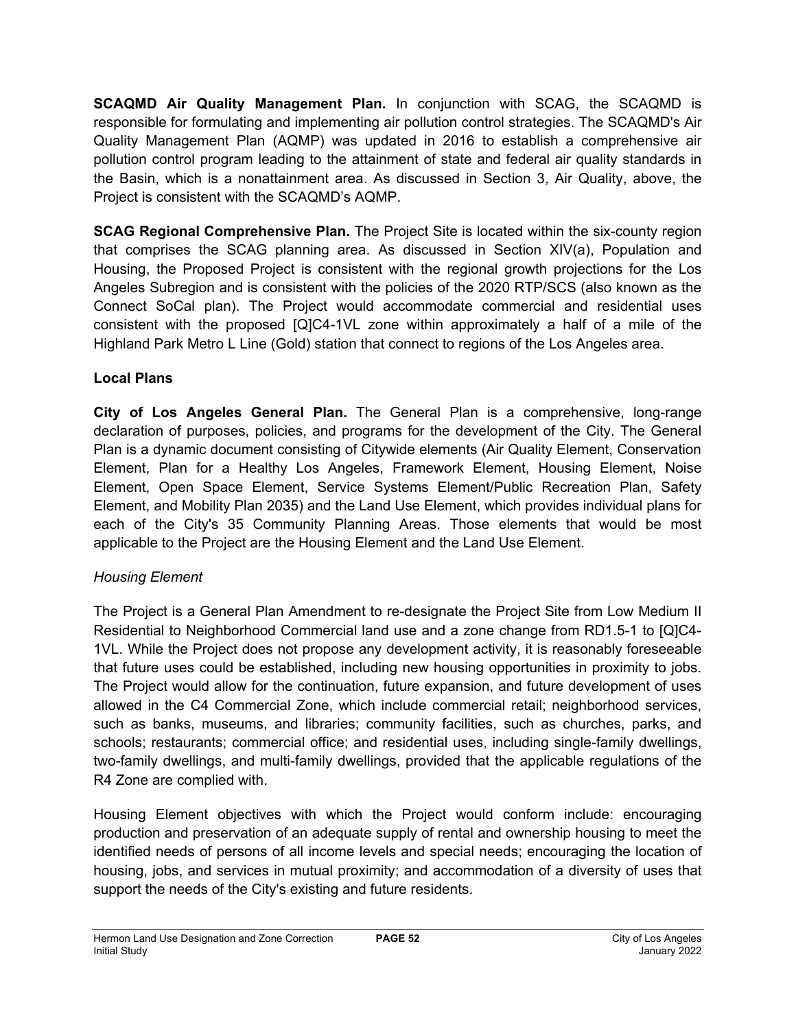**SCAQMD Air Quality Management Plan.** In conjunction with SCAG, the SCAQMD is responsible for formulating and implementing air pollution control strategies. The SCAQMD's Air Quality Management Plan (AQMP) was updated in 2016 to establish a comprehensive air pollution control program leading to the attainment of state and federal air quality standards in the Basin, which is a nonattainment area. As discussed in Section 3, Air Quality, above, the Project is consistent with the SCAQMD's AQMP.

**SCAG Regional Comprehensive Plan.** The Project Site is located within the six-county region that comprises the SCAG planning area. As discussed in Section XIV(a), Population and Housing, the Proposed Project is consistent with the regional growth projections for the Los Angeles Subregion and is consistent with the policies of the 2020 RTP/SCS (also known as the Connect SoCal plan). The Project would accommodate commercial and residential uses consistent with the proposed [Q]C4-1VL zone within approximately a half of a mile of the Highland Park Metro L Line (Gold) station that connect to regions of the Los Angeles area.

## **Local Plans**

**City of Los Angeles General Plan.** The General Plan is a comprehensive, long-range declaration of purposes, policies, and programs for the development of the City. The General Plan is a dynamic document consisting of Citywide elements (Air Quality Element, Conservation Element, Plan for a Healthy Los Angeles, Framework Element, Housing Element, Noise Element, Open Space Element, Service Systems Element/Public Recreation Plan, Safety Element, and Mobility Plan 2035) and the Land Use Element, which provides individual plans for each of the City's 35 Community Planning Areas. Those elements that would be most applicable to the Project are the Housing Element and the Land Use Element.

## *Housing Element*

The Project is a General Plan Amendment to re-designate the Project Site from Low Medium II Residential to Neighborhood Commercial land use and a zone change from RD1.5-1 to [Q]C4- 1VL. While the Project does not propose any development activity, it is reasonably foreseeable that future uses could be established, including new housing opportunities in proximity to jobs. The Project would allow for the continuation, future expansion, and future development of uses allowed in the C4 Commercial Zone, which include commercial retail; neighborhood services, such as banks, museums, and libraries; community facilities, such as churches, parks, and schools; restaurants; commercial office; and residential uses, including single-family dwellings, two-family dwellings, and multi-family dwellings, provided that the applicable regulations of the R4 Zone are complied with.

Housing Element objectives with which the Project would conform include: encouraging production and preservation of an adequate supply of rental and ownership housing to meet the identified needs of persons of all income levels and special needs; encouraging the location of housing, jobs, and services in mutual proximity; and accommodation of a diversity of uses that support the needs of the City's existing and future residents.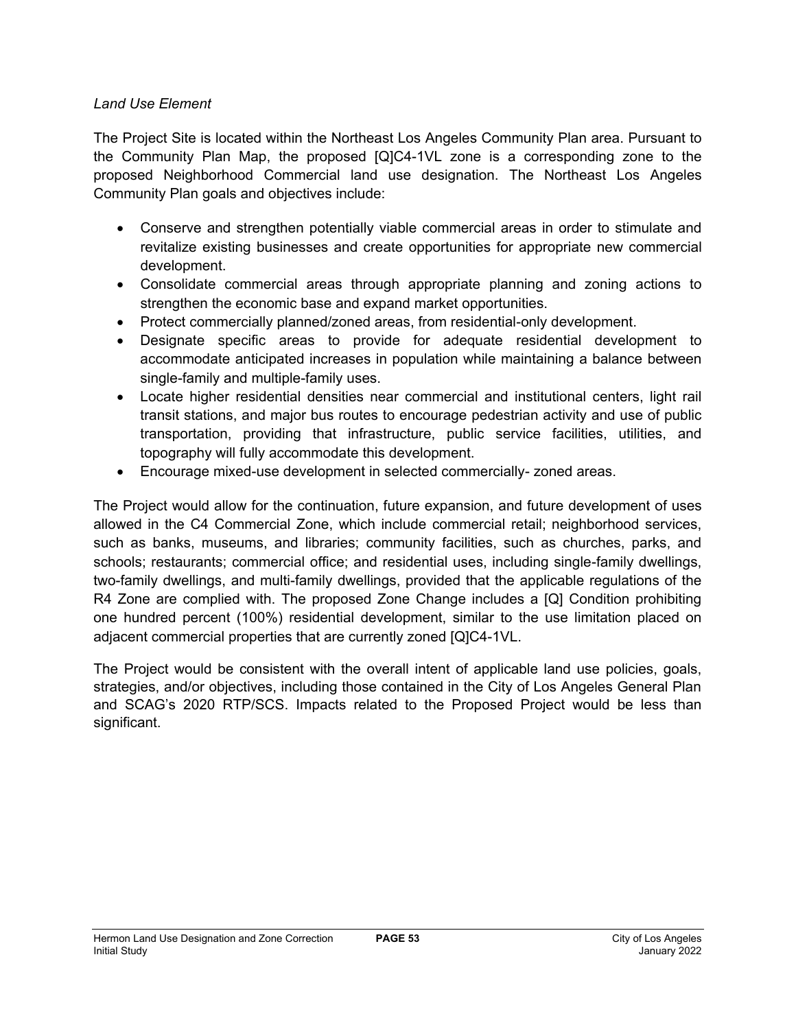### *Land Use Element*

The Project Site is located within the Northeast Los Angeles Community Plan area. Pursuant to the Community Plan Map, the proposed [Q]C4-1VL zone is a corresponding zone to the proposed Neighborhood Commercial land use designation. The Northeast Los Angeles Community Plan goals and objectives include:

- Conserve and strengthen potentially viable commercial areas in order to stimulate and revitalize existing businesses and create opportunities for appropriate new commercial development.
- Consolidate commercial areas through appropriate planning and zoning actions to strengthen the economic base and expand market opportunities.
- Protect commercially planned/zoned areas, from residential-only development.
- Designate specific areas to provide for adequate residential development to accommodate anticipated increases in population while maintaining a balance between single-family and multiple-family uses.
- Locate higher residential densities near commercial and institutional centers, light rail transit stations, and major bus routes to encourage pedestrian activity and use of public transportation, providing that infrastructure, public service facilities, utilities, and topography will fully accommodate this development.
- Encourage mixed-use development in selected commercially- zoned areas.

The Project would allow for the continuation, future expansion, and future development of uses allowed in the C4 Commercial Zone, which include commercial retail; neighborhood services, such as banks, museums, and libraries; community facilities, such as churches, parks, and schools; restaurants; commercial office; and residential uses, including single-family dwellings, two-family dwellings, and multi-family dwellings, provided that the applicable regulations of the R4 Zone are complied with. The proposed Zone Change includes a [Q] Condition prohibiting one hundred percent (100%) residential development, similar to the use limitation placed on adjacent commercial properties that are currently zoned [Q]C4-1VL.

The Project would be consistent with the overall intent of applicable land use policies, goals, strategies, and/or objectives, including those contained in the City of Los Angeles General Plan and SCAG's 2020 RTP/SCS. Impacts related to the Proposed Project would be less than significant.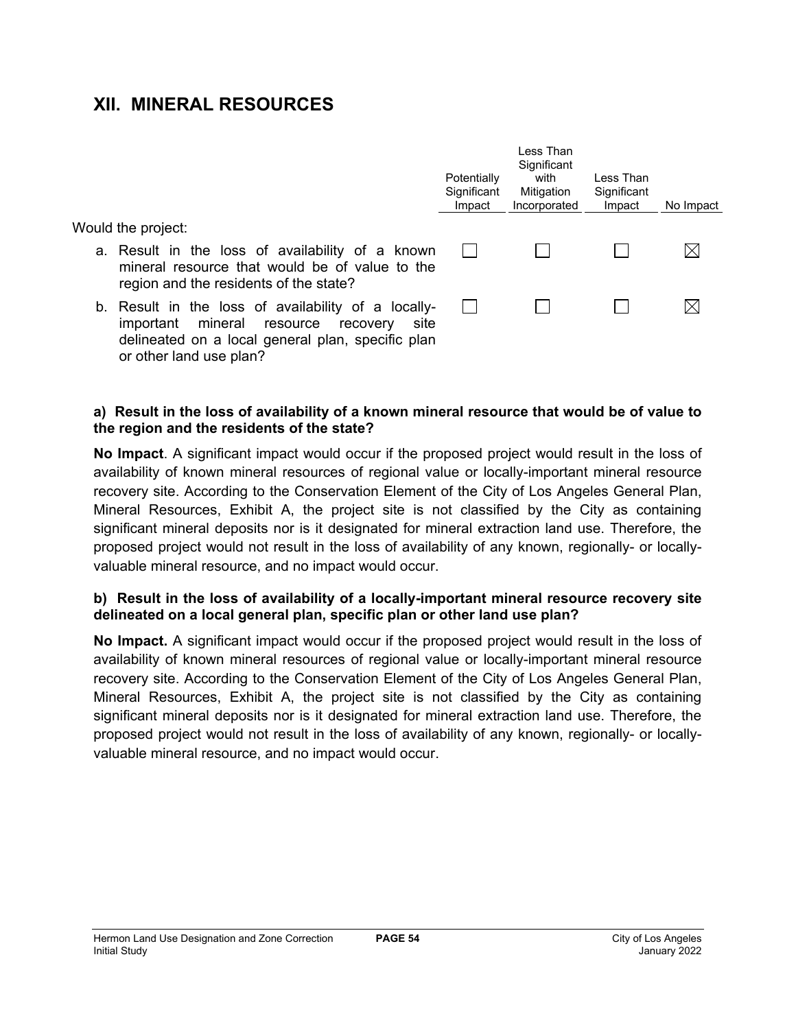# **XII. MINERAL RESOURCES**

Would the project:

- a. Result in the loss of availability of a known mineral resource that would be of value to the region and the residents of the state?
- b. Result in the loss of availability of a locallyimportant mineral resource recovery site delineated on a local general plan, specific plan or other land use plan?

| Potentially<br>Significant<br>Impact | I ess Than<br>Significant<br>with<br>Mitigation<br>Incorporated | I ess Than<br>Significant<br>Impact | No Impact |
|--------------------------------------|-----------------------------------------------------------------|-------------------------------------|-----------|
|                                      |                                                                 |                                     |           |
|                                      |                                                                 |                                     |           |

### **a) Result in the loss of availability of a known mineral resource that would be of value to the region and the residents of the state?**

**No Impact**. A significant impact would occur if the proposed project would result in the loss of availability of known mineral resources of regional value or locally-important mineral resource recovery site. According to the Conservation Element of the City of Los Angeles General Plan, Mineral Resources, Exhibit A, the project site is not classified by the City as containing significant mineral deposits nor is it designated for mineral extraction land use. Therefore, the proposed project would not result in the loss of availability of any known, regionally- or locallyvaluable mineral resource, and no impact would occur.

### **b) Result in the loss of availability of a locally-important mineral resource recovery site delineated on a local general plan, specific plan or other land use plan?**

**No Impact.** A significant impact would occur if the proposed project would result in the loss of availability of known mineral resources of regional value or locally-important mineral resource recovery site. According to the Conservation Element of the City of Los Angeles General Plan, Mineral Resources, Exhibit A, the project site is not classified by the City as containing significant mineral deposits nor is it designated for mineral extraction land use. Therefore, the proposed project would not result in the loss of availability of any known, regionally- or locallyvaluable mineral resource, and no impact would occur.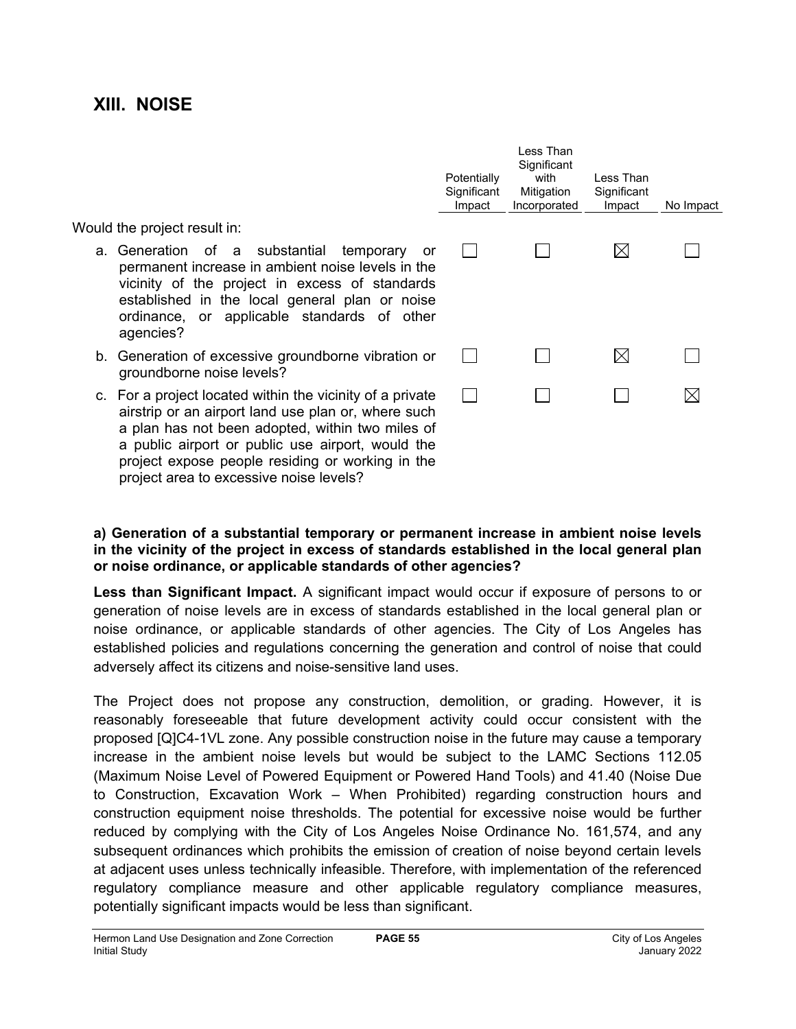## **XIII. NOISE**

Would the project result in:

- a. Generation of a substantial temporary or permanent increase in ambient noise levels in the vicinity of the project in excess of standards established in the local general plan or noise ordinance, or applicable standards of other agencies?
- b. Generation of excessive groundborne vibration or groundborne noise levels?
- c. For a project located within the vicinity of a private airstrip or an airport land use plan or, where such a plan has not been adopted, within two miles of a public airport or public use airport, would the project expose people residing or working in the project area to excessive noise levels?

| Potentially<br>Significant<br>Impact | Less Than<br>Significant<br>with<br>Mitigation<br>Incorporated | Less Than<br>Significant<br>Impact | No Impact |
|--------------------------------------|----------------------------------------------------------------|------------------------------------|-----------|
|                                      |                                                                |                                    |           |
|                                      |                                                                |                                    |           |
|                                      |                                                                |                                    |           |
|                                      |                                                                |                                    |           |

### **a) Generation of a substantial temporary or permanent increase in ambient noise levels in the vicinity of the project in excess of standards established in the local general plan or noise ordinance, or applicable standards of other agencies?**

**Less than Significant Impact.** A significant impact would occur if exposure of persons to or generation of noise levels are in excess of standards established in the local general plan or noise ordinance, or applicable standards of other agencies. The City of Los Angeles has established policies and regulations concerning the generation and control of noise that could adversely affect its citizens and noise-sensitive land uses.

The Project does not propose any construction, demolition, or grading. However, it is reasonably foreseeable that future development activity could occur consistent with the proposed [Q]C4-1VL zone. Any possible construction noise in the future may cause a temporary increase in the ambient noise levels but would be subject to the LAMC Sections 112.05 (Maximum Noise Level of Powered Equipment or Powered Hand Tools) and 41.40 (Noise Due to Construction, Excavation Work – When Prohibited) regarding construction hours and construction equipment noise thresholds. The potential for excessive noise would be further reduced by complying with the City of Los Angeles Noise Ordinance No. 161,574, and any subsequent ordinances which prohibits the emission of creation of noise beyond certain levels at adjacent uses unless technically infeasible. Therefore, with implementation of the referenced regulatory compliance measure and other applicable regulatory compliance measures, potentially significant impacts would be less than significant.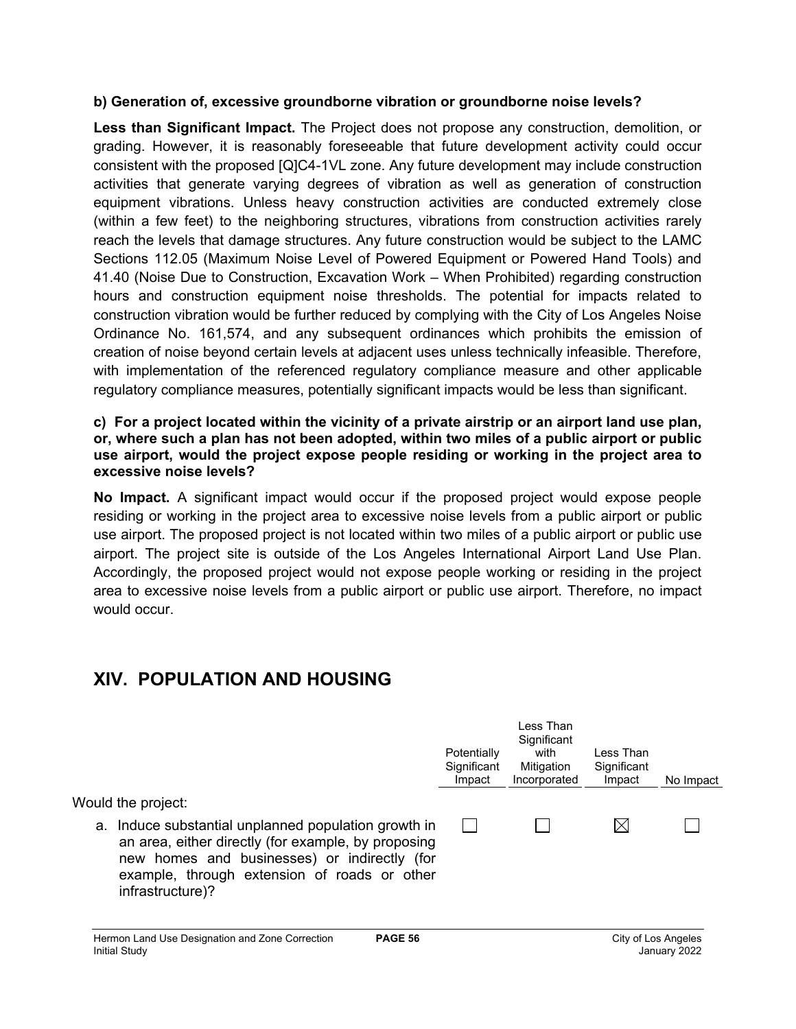### **b) Generation of, excessive groundborne vibration or groundborne noise levels?**

**Less than Significant Impact.** The Project does not propose any construction, demolition, or grading. However, it is reasonably foreseeable that future development activity could occur consistent with the proposed [Q]C4-1VL zone. Any future development may include construction activities that generate varying degrees of vibration as well as generation of construction equipment vibrations. Unless heavy construction activities are conducted extremely close (within a few feet) to the neighboring structures, vibrations from construction activities rarely reach the levels that damage structures. Any future construction would be subject to the LAMC Sections 112.05 (Maximum Noise Level of Powered Equipment or Powered Hand Tools) and 41.40 (Noise Due to Construction, Excavation Work – When Prohibited) regarding construction hours and construction equipment noise thresholds. The potential for impacts related to construction vibration would be further reduced by complying with the City of Los Angeles Noise Ordinance No. 161,574, and any subsequent ordinances which prohibits the emission of creation of noise beyond certain levels at adjacent uses unless technically infeasible. Therefore, with implementation of the referenced regulatory compliance measure and other applicable regulatory compliance measures, potentially significant impacts would be less than significant.

### **c) For a project located within the vicinity of a private airstrip or an airport land use plan, or, where such a plan has not been adopted, within two miles of a public airport or public use airport, would the project expose people residing or working in the project area to excessive noise levels?**

**No Impact.** A significant impact would occur if the proposed project would expose people residing or working in the project area to excessive noise levels from a public airport or public use airport. The proposed project is not located within two miles of a public airport or public use airport. The project site is outside of the Los Angeles International Airport Land Use Plan. Accordingly, the proposed project would not expose people working or residing in the project area to excessive noise levels from a public airport or public use airport. Therefore, no impact would occur.

# **XIV. POPULATION AND HOUSING**

|    |                                                                                                                                                                                                                              | Potentially<br>Significant<br>Impact | Less Than<br>Significant<br>with<br>Mitigation<br>Incorporated | Less Than<br>Significant<br>Impact | No Impact |
|----|------------------------------------------------------------------------------------------------------------------------------------------------------------------------------------------------------------------------------|--------------------------------------|----------------------------------------------------------------|------------------------------------|-----------|
|    | Would the project:                                                                                                                                                                                                           |                                      |                                                                |                                    |           |
| а. | Induce substantial unplanned population growth in<br>an area, either directly (for example, by proposing<br>new homes and businesses) or indirectly (for<br>example, through extension of roads or other<br>infrastructure)? |                                      |                                                                | IХI                                |           |
|    | <b>PAGE 56</b><br>Hermon Land Use Designation and Zone Correction                                                                                                                                                            |                                      |                                                                | City of Los Angeles                |           |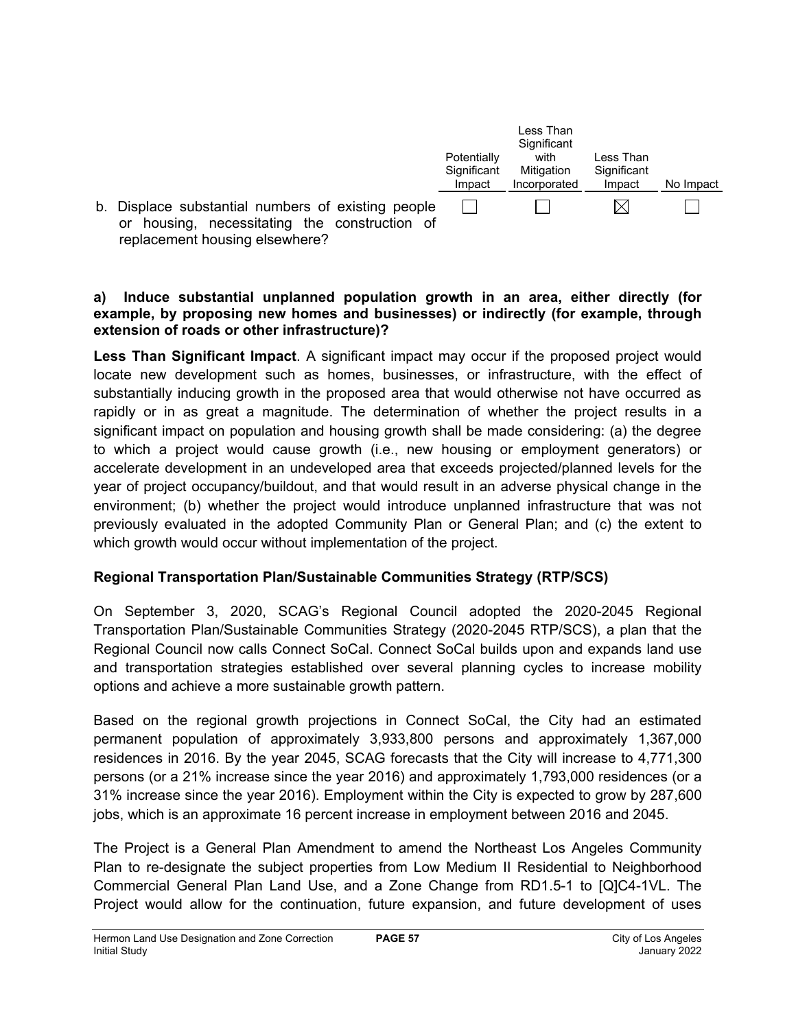

### **a) Induce substantial unplanned population growth in an area, either directly (for example, by proposing new homes and businesses) or indirectly (for example, through extension of roads or other infrastructure)?**

**Less Than Significant Impact**. A significant impact may occur if the proposed project would locate new development such as homes, businesses, or infrastructure, with the effect of substantially inducing growth in the proposed area that would otherwise not have occurred as rapidly or in as great a magnitude. The determination of whether the project results in a significant impact on population and housing growth shall be made considering: (a) the degree to which a project would cause growth (i.e., new housing or employment generators) or accelerate development in an undeveloped area that exceeds projected/planned levels for the year of project occupancy/buildout, and that would result in an adverse physical change in the environment; (b) whether the project would introduce unplanned infrastructure that was not previously evaluated in the adopted Community Plan or General Plan; and (c) the extent to which growth would occur without implementation of the project.

## **Regional Transportation Plan/Sustainable Communities Strategy (RTP/SCS)**

On September 3, 2020, SCAG's Regional Council adopted the 2020-2045 Regional Transportation Plan/Sustainable Communities Strategy (2020-2045 RTP/SCS), a plan that the Regional Council now calls Connect SoCal. Connect SoCal builds upon and expands land use and transportation strategies established over several planning cycles to increase mobility options and achieve a more sustainable growth pattern.

Based on the regional growth projections in Connect SoCal, the City had an estimated permanent population of approximately 3,933,800 persons and approximately 1,367,000 residences in 2016. By the year 2045, SCAG forecasts that the City will increase to 4,771,300 persons (or a 21% increase since the year 2016) and approximately 1,793,000 residences (or a 31% increase since the year 2016). Employment within the City is expected to grow by 287,600 jobs, which is an approximate 16 percent increase in employment between 2016 and 2045.

The Project is a General Plan Amendment to amend the Northeast Los Angeles Community Plan to re-designate the subject properties from Low Medium II Residential to Neighborhood Commercial General Plan Land Use, and a Zone Change from RD1.5-1 to [Q]C4-1VL. The Project would allow for the continuation, future expansion, and future development of uses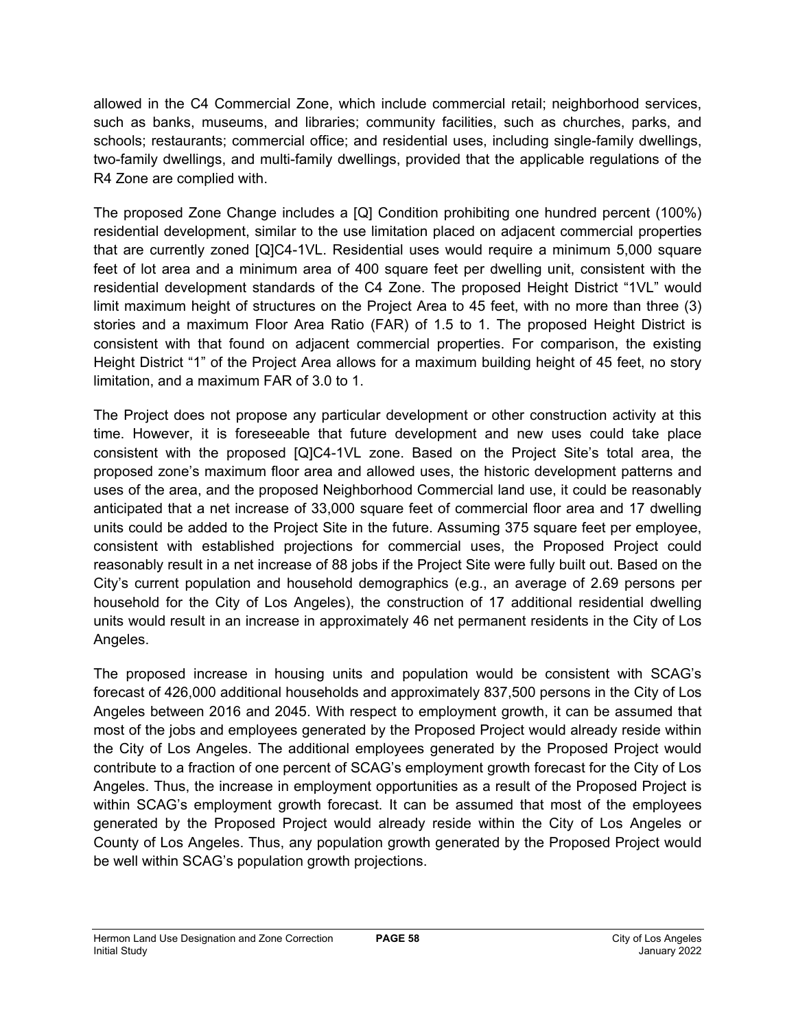allowed in the C4 Commercial Zone, which include commercial retail; neighborhood services, such as banks, museums, and libraries; community facilities, such as churches, parks, and schools; restaurants; commercial office; and residential uses, including single-family dwellings, two-family dwellings, and multi-family dwellings, provided that the applicable regulations of the R4 Zone are complied with.

The proposed Zone Change includes a [Q] Condition prohibiting one hundred percent (100%) residential development, similar to the use limitation placed on adjacent commercial properties that are currently zoned [Q]C4-1VL. Residential uses would require a minimum 5,000 square feet of lot area and a minimum area of 400 square feet per dwelling unit, consistent with the residential development standards of the C4 Zone. The proposed Height District "1VL" would limit maximum height of structures on the Project Area to 45 feet, with no more than three (3) stories and a maximum Floor Area Ratio (FAR) of 1.5 to 1. The proposed Height District is consistent with that found on adjacent commercial properties. For comparison, the existing Height District "1" of the Project Area allows for a maximum building height of 45 feet, no story limitation, and a maximum FAR of 3.0 to 1.

The Project does not propose any particular development or other construction activity at this time. However, it is foreseeable that future development and new uses could take place consistent with the proposed [Q]C4-1VL zone. Based on the Project Site's total area, the proposed zone's maximum floor area and allowed uses, the historic development patterns and uses of the area, and the proposed Neighborhood Commercial land use, it could be reasonably anticipated that a net increase of 33,000 square feet of commercial floor area and 17 dwelling units could be added to the Project Site in the future. Assuming 375 square feet per employee, consistent with established projections for commercial uses, the Proposed Project could reasonably result in a net increase of 88 jobs if the Project Site were fully built out. Based on the City's current population and household demographics (e.g., an average of 2.69 persons per household for the City of Los Angeles), the construction of 17 additional residential dwelling units would result in an increase in approximately 46 net permanent residents in the City of Los Angeles.

The proposed increase in housing units and population would be consistent with SCAG's forecast of 426,000 additional households and approximately 837,500 persons in the City of Los Angeles between 2016 and 2045. With respect to employment growth, it can be assumed that most of the jobs and employees generated by the Proposed Project would already reside within the City of Los Angeles. The additional employees generated by the Proposed Project would contribute to a fraction of one percent of SCAG's employment growth forecast for the City of Los Angeles. Thus, the increase in employment opportunities as a result of the Proposed Project is within SCAG's employment growth forecast. It can be assumed that most of the employees generated by the Proposed Project would already reside within the City of Los Angeles or County of Los Angeles. Thus, any population growth generated by the Proposed Project would be well within SCAG's population growth projections.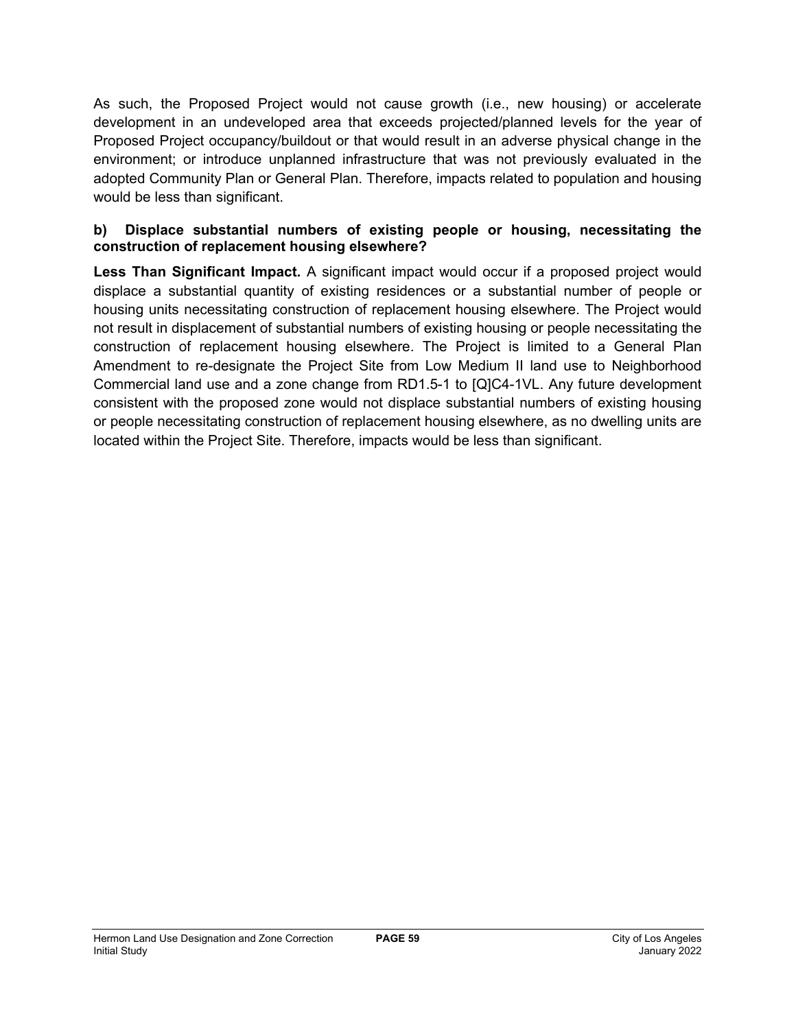As such, the Proposed Project would not cause growth (i.e., new housing) or accelerate development in an undeveloped area that exceeds projected/planned levels for the year of Proposed Project occupancy/buildout or that would result in an adverse physical change in the environment; or introduce unplanned infrastructure that was not previously evaluated in the adopted Community Plan or General Plan. Therefore, impacts related to population and housing would be less than significant.

### **b) Displace substantial numbers of existing people or housing, necessitating the construction of replacement housing elsewhere?**

Less Than Significant Impact. A significant impact would occur if a proposed project would displace a substantial quantity of existing residences or a substantial number of people or housing units necessitating construction of replacement housing elsewhere. The Project would not result in displacement of substantial numbers of existing housing or people necessitating the construction of replacement housing elsewhere. The Project is limited to a General Plan Amendment to re-designate the Project Site from Low Medium II land use to Neighborhood Commercial land use and a zone change from RD1.5-1 to [Q]C4-1VL. Any future development consistent with the proposed zone would not displace substantial numbers of existing housing or people necessitating construction of replacement housing elsewhere, as no dwelling units are located within the Project Site. Therefore, impacts would be less than significant.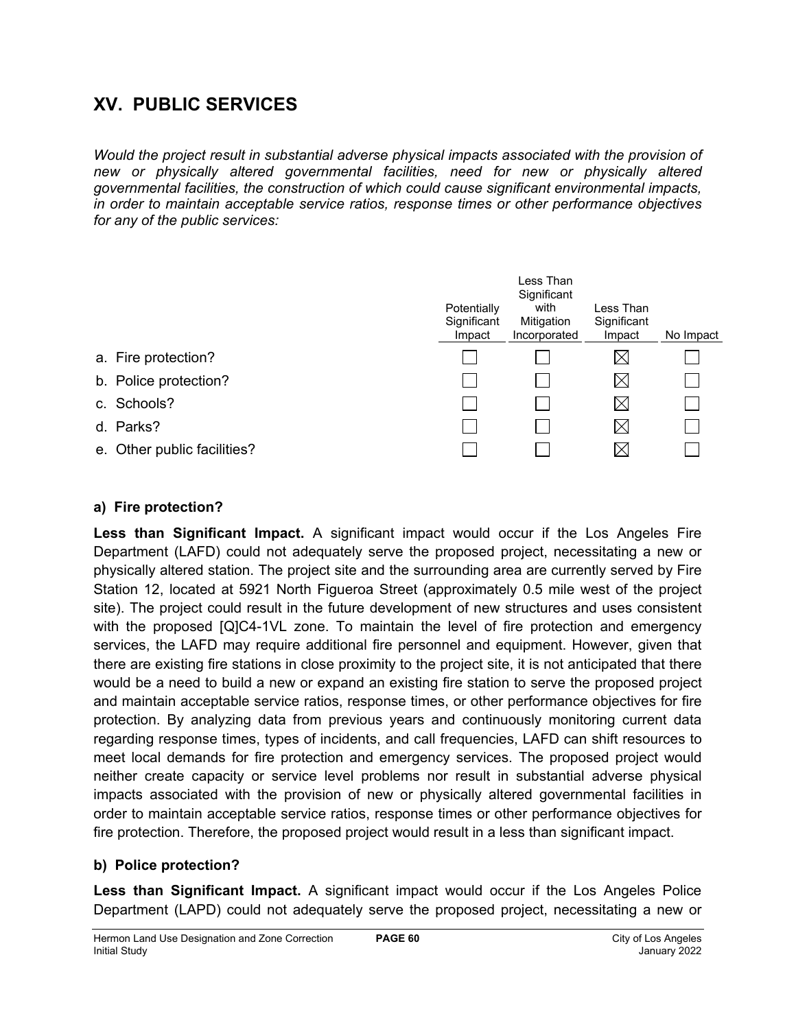# **XV. PUBLIC SERVICES**

*Would the project result in substantial adverse physical impacts associated with the provision of new or physically altered governmental facilities, need for new or physically altered governmental facilities, the construction of which could cause significant environmental impacts, in order to maintain acceptable service ratios, response times or other performance objectives for any of the public services:*

|                             | Potentially<br>Significant<br>Impact | Less Than<br>Significant<br>with<br>Mitigation<br>Incorporated | Less Than<br>Significant<br>Impact | No Impact |
|-----------------------------|--------------------------------------|----------------------------------------------------------------|------------------------------------|-----------|
| a. Fire protection?         |                                      |                                                                | $\boxtimes$                        |           |
| b. Police protection?       |                                      |                                                                | $\boxtimes$                        |           |
| c. Schools?                 |                                      |                                                                | $\boxtimes$                        |           |
| d. Parks?                   |                                      |                                                                | $\boxtimes$                        |           |
| e. Other public facilities? |                                      |                                                                | ⋉                                  |           |

## **a) Fire protection?**

**Less than Significant Impact.** A significant impact would occur if the Los Angeles Fire Department (LAFD) could not adequately serve the proposed project, necessitating a new or physically altered station. The project site and the surrounding area are currently served by Fire Station 12, located at 5921 North Figueroa Street (approximately 0.5 mile west of the project site). The project could result in the future development of new structures and uses consistent with the proposed [Q]C4-1VL zone. To maintain the level of fire protection and emergency services, the LAFD may require additional fire personnel and equipment. However, given that there are existing fire stations in close proximity to the project site, it is not anticipated that there would be a need to build a new or expand an existing fire station to serve the proposed project and maintain acceptable service ratios, response times, or other performance objectives for fire protection. By analyzing data from previous years and continuously monitoring current data regarding response times, types of incidents, and call frequencies, LAFD can shift resources to meet local demands for fire protection and emergency services. The proposed project would neither create capacity or service level problems nor result in substantial adverse physical impacts associated with the provision of new or physically altered governmental facilities in order to maintain acceptable service ratios, response times or other performance objectives for fire protection. Therefore, the proposed project would result in a less than significant impact.

## **b) Police protection?**

**Less than Significant Impact.** A significant impact would occur if the Los Angeles Police Department (LAPD) could not adequately serve the proposed project, necessitating a new or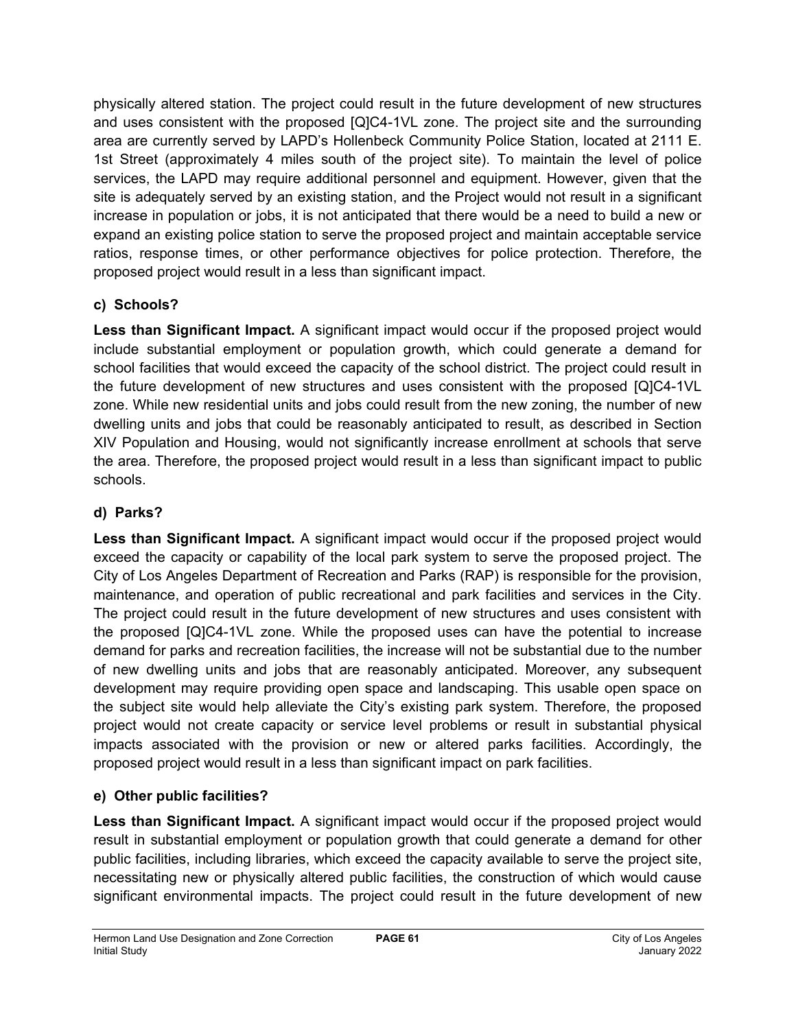physically altered station. The project could result in the future development of new structures and uses consistent with the proposed [Q]C4-1VL zone. The project site and the surrounding area are currently served by LAPD's Hollenbeck Community Police Station, located at 2111 E. 1st Street (approximately 4 miles south of the project site). To maintain the level of police services, the LAPD may require additional personnel and equipment. However, given that the site is adequately served by an existing station, and the Project would not result in a significant increase in population or jobs, it is not anticipated that there would be a need to build a new or expand an existing police station to serve the proposed project and maintain acceptable service ratios, response times, or other performance objectives for police protection. Therefore, the proposed project would result in a less than significant impact.

## **c) Schools?**

**Less than Significant Impact.** A significant impact would occur if the proposed project would include substantial employment or population growth, which could generate a demand for school facilities that would exceed the capacity of the school district. The project could result in the future development of new structures and uses consistent with the proposed [Q]C4-1VL zone. While new residential units and jobs could result from the new zoning, the number of new dwelling units and jobs that could be reasonably anticipated to result, as described in Section XIV Population and Housing, would not significantly increase enrollment at schools that serve the area. Therefore, the proposed project would result in a less than significant impact to public schools.

## **d) Parks?**

**Less than Significant Impact.** A significant impact would occur if the proposed project would exceed the capacity or capability of the local park system to serve the proposed project. The City of Los Angeles Department of Recreation and Parks (RAP) is responsible for the provision, maintenance, and operation of public recreational and park facilities and services in the City. The project could result in the future development of new structures and uses consistent with the proposed [Q]C4-1VL zone. While the proposed uses can have the potential to increase demand for parks and recreation facilities, the increase will not be substantial due to the number of new dwelling units and jobs that are reasonably anticipated. Moreover, any subsequent development may require providing open space and landscaping. This usable open space on the subject site would help alleviate the City's existing park system. Therefore, the proposed project would not create capacity or service level problems or result in substantial physical impacts associated with the provision or new or altered parks facilities. Accordingly, the proposed project would result in a less than significant impact on park facilities.

## **e) Other public facilities?**

Less than Significant Impact. A significant impact would occur if the proposed project would result in substantial employment or population growth that could generate a demand for other public facilities, including libraries, which exceed the capacity available to serve the project site, necessitating new or physically altered public facilities, the construction of which would cause significant environmental impacts. The project could result in the future development of new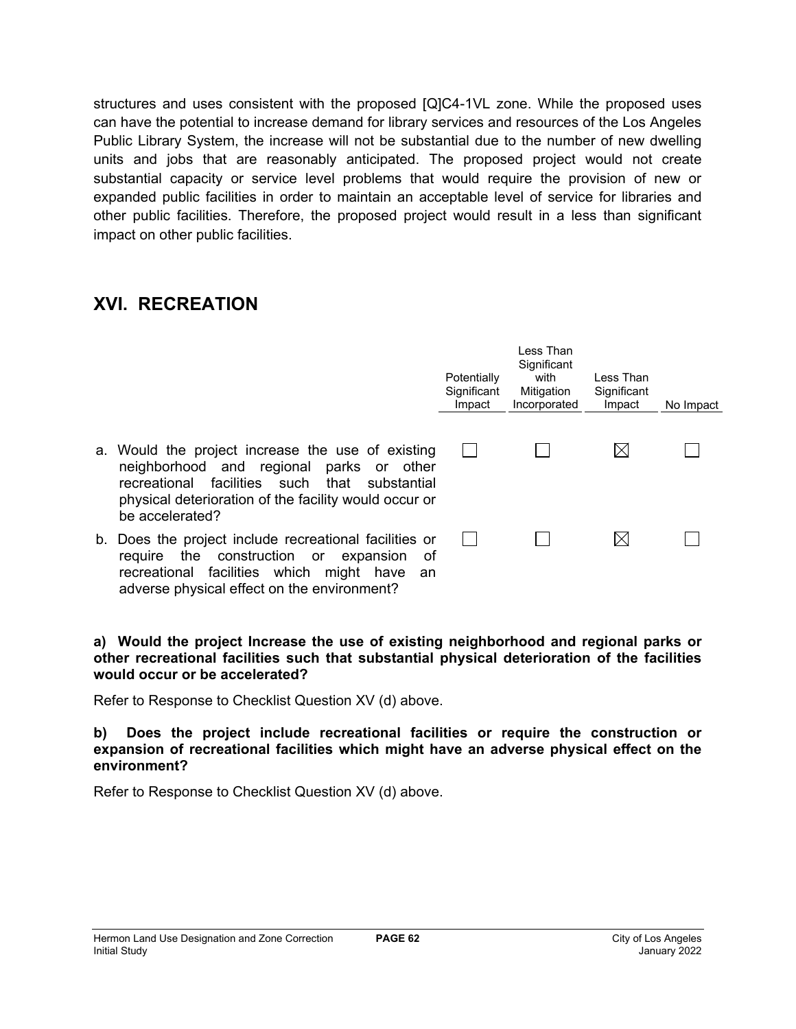structures and uses consistent with the proposed [Q]C4-1VL zone. While the proposed uses can have the potential to increase demand for library services and resources of the Los Angeles Public Library System, the increase will not be substantial due to the number of new dwelling units and jobs that are reasonably anticipated. The proposed project would not create substantial capacity or service level problems that would require the provision of new or expanded public facilities in order to maintain an acceptable level of service for libraries and other public facilities. Therefore, the proposed project would result in a less than significant impact on other public facilities.

## **XVI. RECREATION**

|    |                                                                                                                                                                                                                                     | Potentially<br>Significant<br>Impact | I ess Than<br>Significant<br>with<br>Mitigation<br>Incorporated | Less Than<br>Significant<br>Impact | No Impact |
|----|-------------------------------------------------------------------------------------------------------------------------------------------------------------------------------------------------------------------------------------|--------------------------------------|-----------------------------------------------------------------|------------------------------------|-----------|
|    | a. Would the project increase the use of existing<br>neighborhood and regional parks or other<br>facilities such<br>recreational<br>that<br>substantial<br>physical deterioration of the facility would occur or<br>be accelerated? |                                      |                                                                 | $\boxtimes$                        |           |
| b. | Does the project include recreational facilities or<br>the construction or<br>require<br>expansion<br>of<br>recreational facilities which might have<br>an<br>adverse physical effect on the environment?                           |                                      |                                                                 | $\boxtimes$                        |           |

### **a) Would the project Increase the use of existing neighborhood and regional parks or other recreational facilities such that substantial physical deterioration of the facilities would occur or be accelerated?**

Refer to Response to Checklist Question XV (d) above.

**b) Does the project include recreational facilities or require the construction or expansion of recreational facilities which might have an adverse physical effect on the environment?**

Refer to Response to Checklist Question XV (d) above.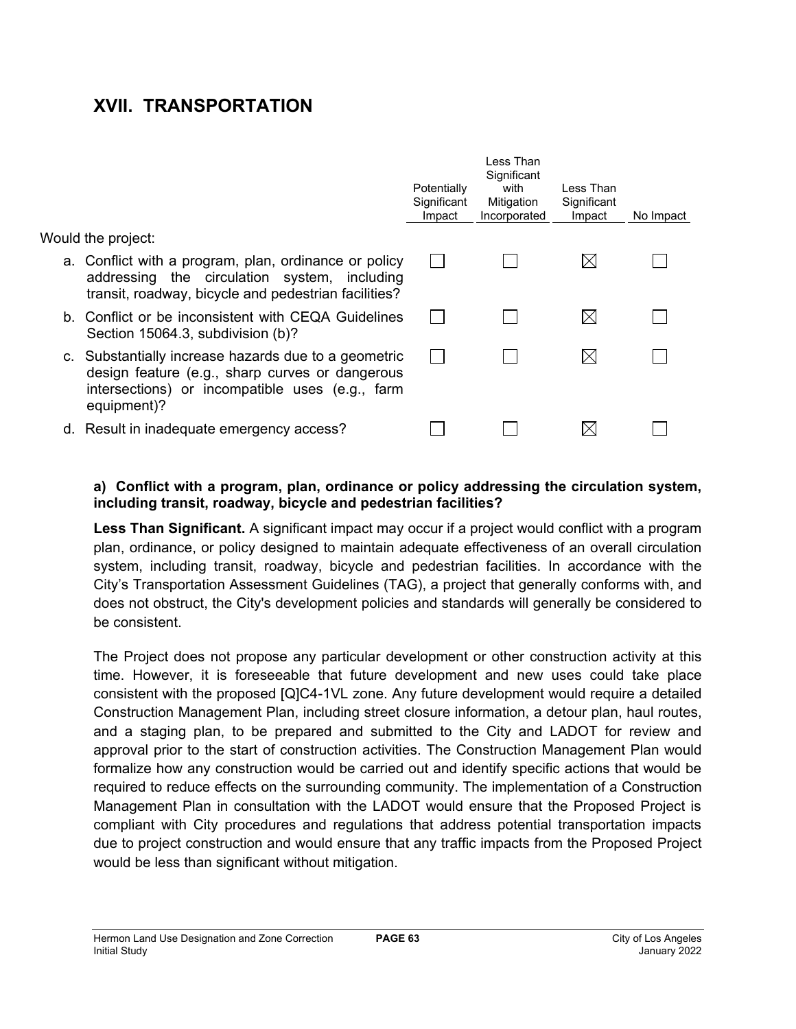# **XVII. TRANSPORTATION**

|                                                                                                                                                                           | Potentially<br>Significant<br>Impact | Less Than<br>Significant<br>with<br>Mitigation<br>Incorporated | Less Than<br>Significant<br>Impact | No Impact |
|---------------------------------------------------------------------------------------------------------------------------------------------------------------------------|--------------------------------------|----------------------------------------------------------------|------------------------------------|-----------|
| Would the project:                                                                                                                                                        |                                      |                                                                |                                    |           |
| a. Conflict with a program, plan, ordinance or policy<br>addressing the circulation system, including<br>transit, roadway, bicycle and pedestrian facilities?             |                                      |                                                                | $\boxtimes$                        |           |
| b. Conflict or be inconsistent with CEQA Guidelines<br>Section 15064.3, subdivision (b)?                                                                                  |                                      |                                                                | $\boxtimes$                        |           |
| c. Substantially increase hazards due to a geometric<br>design feature (e.g., sharp curves or dangerous<br>intersections) or incompatible uses (e.g., farm<br>equipment)? |                                      |                                                                | $\boxtimes$                        |           |
| d. Result in inadequate emergency access?                                                                                                                                 |                                      |                                                                |                                    |           |

### **a) Conflict with a program, plan, ordinance or policy addressing the circulation system, including transit, roadway, bicycle and pedestrian facilities?**

**Less Than Significant.** A significant impact may occur if a project would conflict with a program plan, ordinance, or policy designed to maintain adequate effectiveness of an overall circulation system, including transit, roadway, bicycle and pedestrian facilities. In accordance with the City's Transportation Assessment Guidelines (TAG), a project that generally conforms with, and does not obstruct, the City's development policies and standards will generally be considered to be consistent.

The Project does not propose any particular development or other construction activity at this time. However, it is foreseeable that future development and new uses could take place consistent with the proposed [Q]C4-1VL zone. Any future development would require a detailed Construction Management Plan, including street closure information, a detour plan, haul routes, and a staging plan, to be prepared and submitted to the City and LADOT for review and approval prior to the start of construction activities. The Construction Management Plan would formalize how any construction would be carried out and identify specific actions that would be required to reduce effects on the surrounding community. The implementation of a Construction Management Plan in consultation with the LADOT would ensure that the Proposed Project is compliant with City procedures and regulations that address potential transportation impacts due to project construction and would ensure that any traffic impacts from the Proposed Project would be less than significant without mitigation.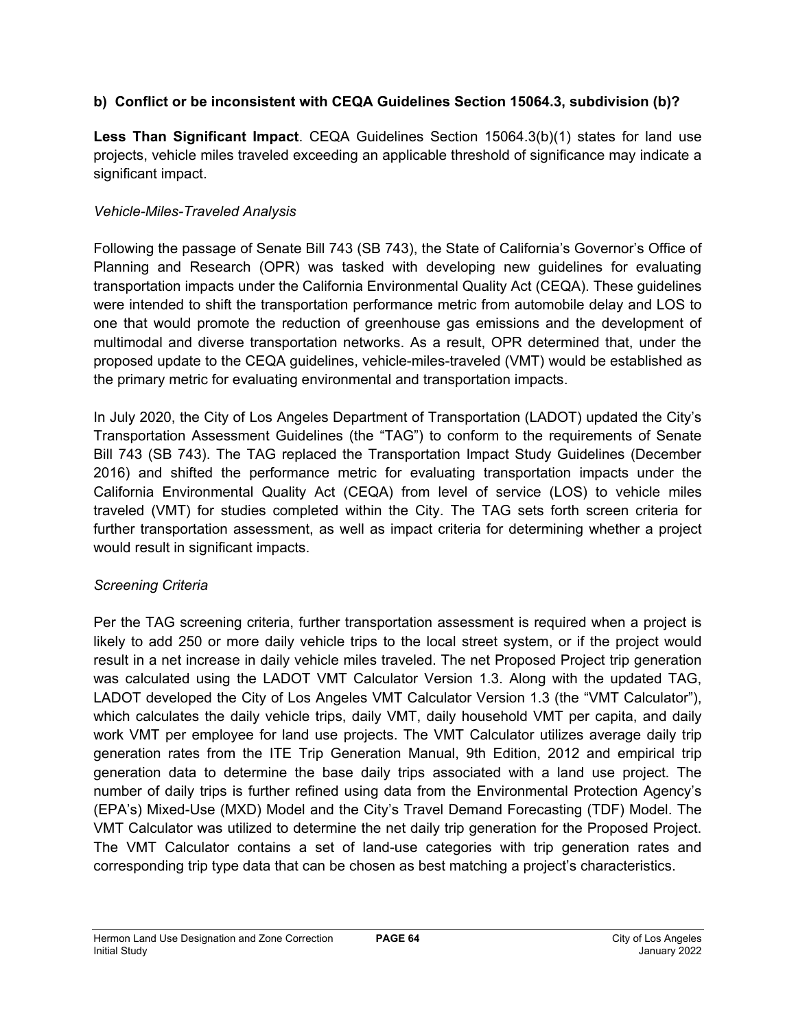## **b) Conflict or be inconsistent with CEQA Guidelines Section 15064.3, subdivision (b)?**

**Less Than Significant Impact**. CEQA Guidelines Section 15064.3(b)(1) states for land use projects, vehicle miles traveled exceeding an applicable threshold of significance may indicate a significant impact.

## *Vehicle-Miles-Traveled Analysis*

Following the passage of Senate Bill 743 (SB 743), the State of California's Governor's Office of Planning and Research (OPR) was tasked with developing new guidelines for evaluating transportation impacts under the California Environmental Quality Act (CEQA). These guidelines were intended to shift the transportation performance metric from automobile delay and LOS to one that would promote the reduction of greenhouse gas emissions and the development of multimodal and diverse transportation networks. As a result, OPR determined that, under the proposed update to the CEQA guidelines, vehicle-miles-traveled (VMT) would be established as the primary metric for evaluating environmental and transportation impacts.

In July 2020, the City of Los Angeles Department of Transportation (LADOT) updated the City's Transportation Assessment Guidelines (the "TAG") to conform to the requirements of Senate Bill 743 (SB 743). The TAG replaced the Transportation Impact Study Guidelines (December 2016) and shifted the performance metric for evaluating transportation impacts under the California Environmental Quality Act (CEQA) from level of service (LOS) to vehicle miles traveled (VMT) for studies completed within the City. The TAG sets forth screen criteria for further transportation assessment, as well as impact criteria for determining whether a project would result in significant impacts.

## *Screening Criteria*

Per the TAG screening criteria, further transportation assessment is required when a project is likely to add 250 or more daily vehicle trips to the local street system, or if the project would result in a net increase in daily vehicle miles traveled. The net Proposed Project trip generation was calculated using the LADOT VMT Calculator Version 1.3. Along with the updated TAG, LADOT developed the City of Los Angeles VMT Calculator Version 1.3 (the "VMT Calculator"), which calculates the daily vehicle trips, daily VMT, daily household VMT per capita, and daily work VMT per employee for land use projects. The VMT Calculator utilizes average daily trip generation rates from the ITE Trip Generation Manual, 9th Edition, 2012 and empirical trip generation data to determine the base daily trips associated with a land use project. The number of daily trips is further refined using data from the Environmental Protection Agency's (EPA's) Mixed-Use (MXD) Model and the City's Travel Demand Forecasting (TDF) Model. The VMT Calculator was utilized to determine the net daily trip generation for the Proposed Project. The VMT Calculator contains a set of land-use categories with trip generation rates and corresponding trip type data that can be chosen as best matching a project's characteristics.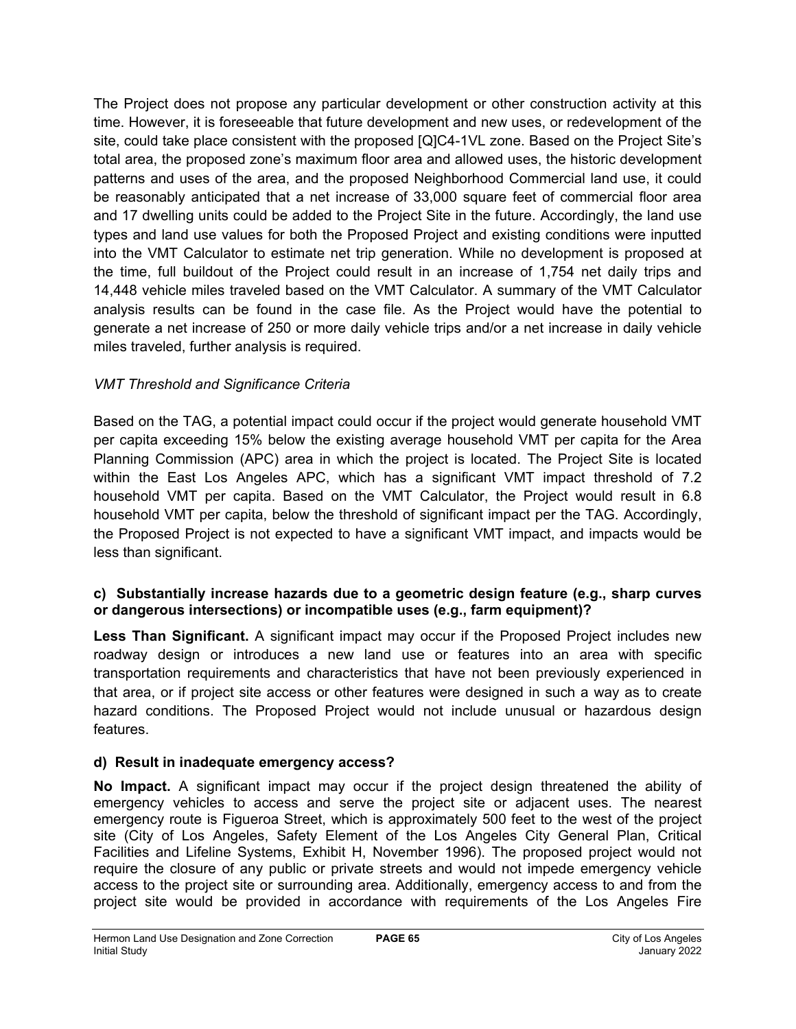The Project does not propose any particular development or other construction activity at this time. However, it is foreseeable that future development and new uses, or redevelopment of the site, could take place consistent with the proposed [Q]C4-1VL zone. Based on the Project Site's total area, the proposed zone's maximum floor area and allowed uses, the historic development patterns and uses of the area, and the proposed Neighborhood Commercial land use, it could be reasonably anticipated that a net increase of 33,000 square feet of commercial floor area and 17 dwelling units could be added to the Project Site in the future. Accordingly, the land use types and land use values for both the Proposed Project and existing conditions were inputted into the VMT Calculator to estimate net trip generation. While no development is proposed at the time, full buildout of the Project could result in an increase of 1,754 net daily trips and 14,448 vehicle miles traveled based on the VMT Calculator. A summary of the VMT Calculator analysis results can be found in the case file. As the Project would have the potential to generate a net increase of 250 or more daily vehicle trips and/or a net increase in daily vehicle miles traveled, further analysis is required.

## *VMT Threshold and Significance Criteria*

Based on the TAG, a potential impact could occur if the project would generate household VMT per capita exceeding 15% below the existing average household VMT per capita for the Area Planning Commission (APC) area in which the project is located. The Project Site is located within the East Los Angeles APC, which has a significant VMT impact threshold of 7.2 household VMT per capita. Based on the VMT Calculator, the Project would result in 6.8 household VMT per capita, below the threshold of significant impact per the TAG. Accordingly, the Proposed Project is not expected to have a significant VMT impact, and impacts would be less than significant.

### **c) Substantially increase hazards due to a geometric design feature (e.g., sharp curves or dangerous intersections) or incompatible uses (e.g., farm equipment)?**

**Less Than Significant.** A significant impact may occur if the Proposed Project includes new roadway design or introduces a new land use or features into an area with specific transportation requirements and characteristics that have not been previously experienced in that area, or if project site access or other features were designed in such a way as to create hazard conditions. The Proposed Project would not include unusual or hazardous design features.

## **d) Result in inadequate emergency access?**

**No Impact.** A significant impact may occur if the project design threatened the ability of emergency vehicles to access and serve the project site or adjacent uses. The nearest emergency route is Figueroa Street, which is approximately 500 feet to the west of the project site (City of Los Angeles, Safety Element of the Los Angeles City General Plan, Critical Facilities and Lifeline Systems, Exhibit H, November 1996). The proposed project would not require the closure of any public or private streets and would not impede emergency vehicle access to the project site or surrounding area. Additionally, emergency access to and from the project site would be provided in accordance with requirements of the Los Angeles Fire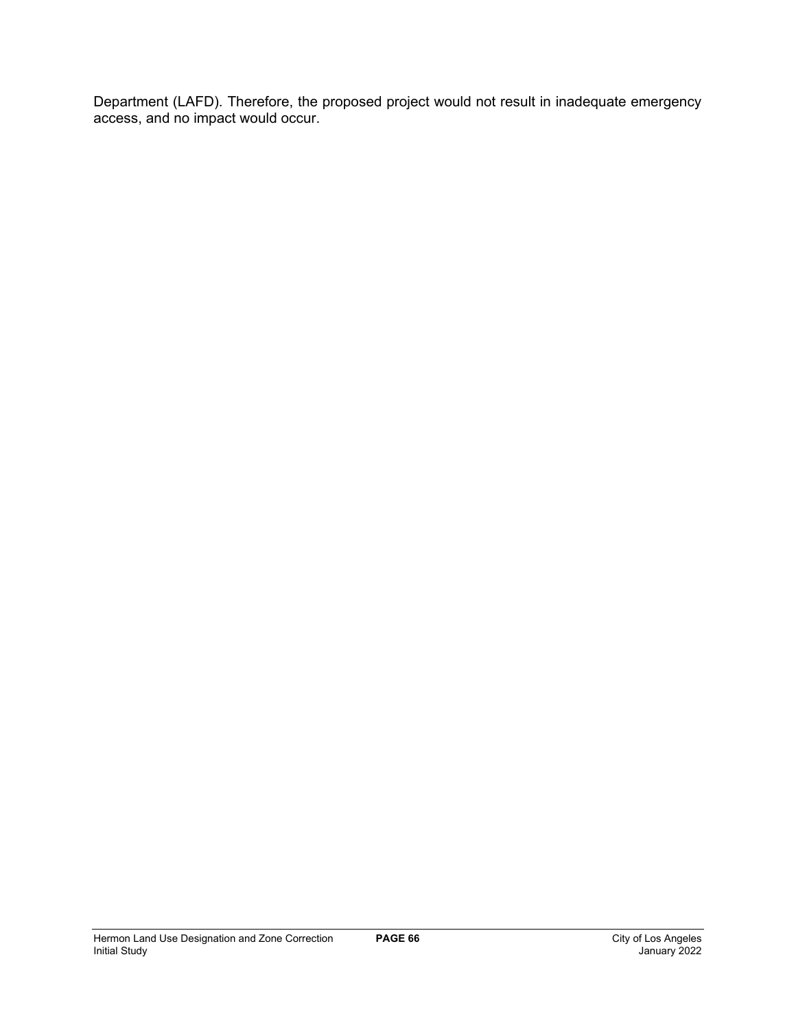Department (LAFD). Therefore, the proposed project would not result in inadequate emergency access, and no impact would occur.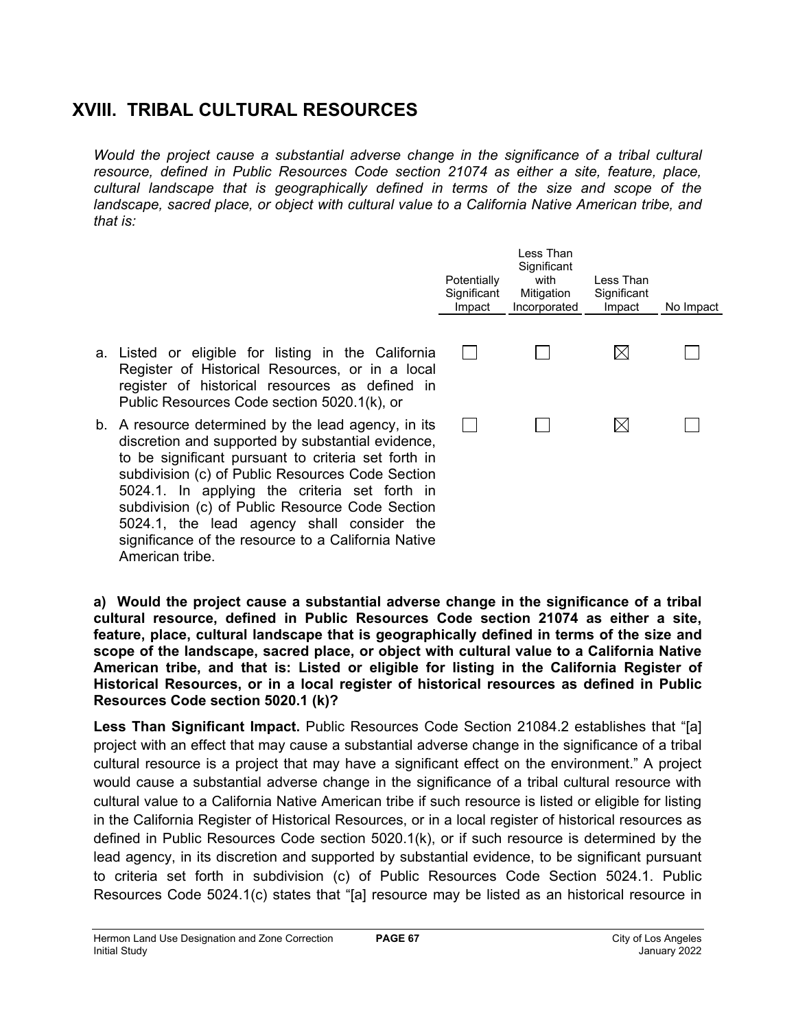# **XVIII. TRIBAL CULTURAL RESOURCES**

*Would the project cause a substantial adverse change in the significance of a tribal cultural resource, defined in Public Resources Code section 21074 as either a site, feature, place, cultural landscape that is geographically defined in terms of the size and scope of the*  landscape, sacred place, or object with cultural value to a California Native American tribe, and *that is:*

|                                                           | Potentially<br>Significant<br>Impact | Less Than<br>Significant<br>with<br>Mitigation<br>Incorporated | Less Than<br>Significant<br>Impact | No Impact |
|-----------------------------------------------------------|--------------------------------------|----------------------------------------------------------------|------------------------------------|-----------|
| ifornia<br>local<br>ed in                                 |                                      |                                                                |                                    |           |
| in its<br>lence,<br><sub>rth in</sub><br>ection<br>-th in |                                      |                                                                |                                    |           |

- a. Listed or eligible for listing in the California Register of Historical Resources, or in a register of historical resources as define Public Resources Code section 5020.1(k), or
- b. A resource determined by the lead agency, discretion and supported by substantial evide to be significant pursuant to criteria set for subdivision (c) of Public Resources Code Se 5024.1. In applying the criteria set forth in subdivision (c) of Public Resource Code Section 5024.1, the lead agency shall consider the significance of the resource to a California Native American tribe.

**a) Would the project cause a substantial adverse change in the significance of a tribal cultural resource, defined in Public Resources Code section 21074 as either a site, feature, place, cultural landscape that is geographically defined in terms of the size and scope of the landscape, sacred place, or object with cultural value to a California Native American tribe, and that is: Listed or eligible for listing in the California Register of Historical Resources, or in a local register of historical resources as defined in Public Resources Code section 5020.1 (k)?**

**Less Than Significant Impact.** Public Resources Code Section 21084.2 establishes that "[a] project with an effect that may cause a substantial adverse change in the significance of a tribal cultural resource is a project that may have a significant effect on the environment." A project would cause a substantial adverse change in the significance of a tribal cultural resource with cultural value to a California Native American tribe if such resource is listed or eligible for listing in the California Register of Historical Resources, or in a local register of historical resources as defined in Public Resources Code section 5020.1(k), or if such resource is determined by the lead agency, in its discretion and supported by substantial evidence, to be significant pursuant to criteria set forth in subdivision (c) of Public Resources Code Section 5024.1. Public Resources Code 5024.1(c) states that "[a] resource may be listed as an historical resource in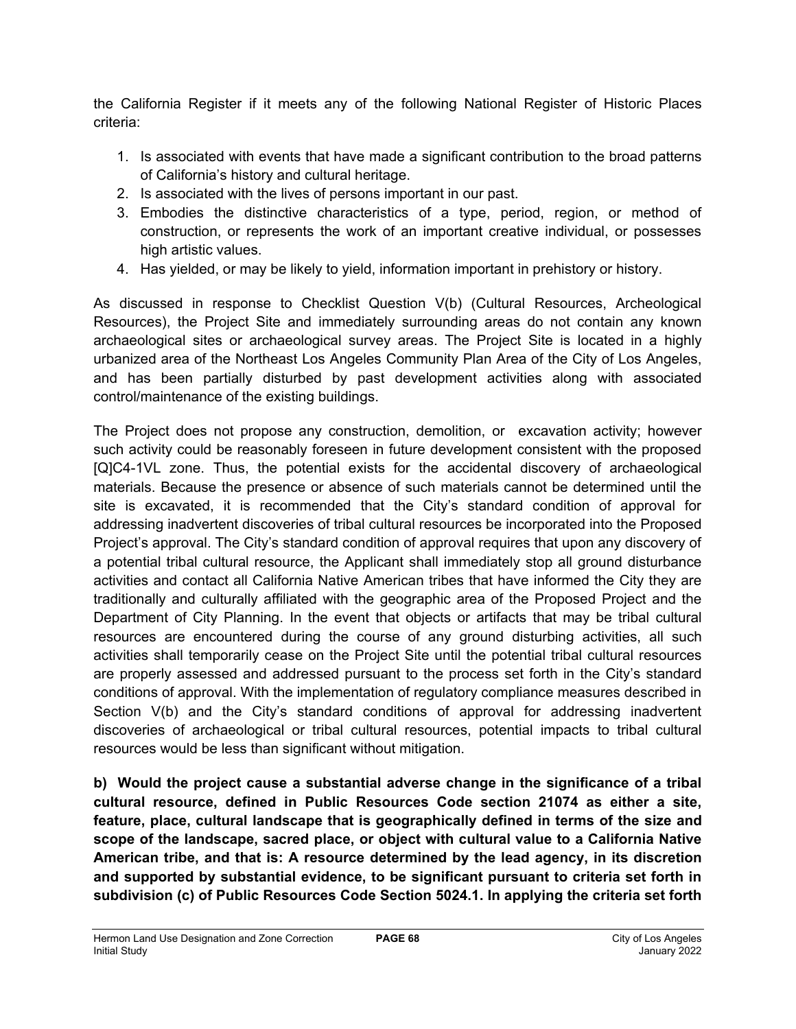the California Register if it meets any of the following National Register of Historic Places criteria:

- 1. Is associated with events that have made a significant contribution to the broad patterns of California's history and cultural heritage.
- 2. Is associated with the lives of persons important in our past.
- 3. Embodies the distinctive characteristics of a type, period, region, or method of construction, or represents the work of an important creative individual, or possesses high artistic values.
- 4. Has yielded, or may be likely to yield, information important in prehistory or history.

As discussed in response to Checklist Question V(b) (Cultural Resources, Archeological Resources), the Project Site and immediately surrounding areas do not contain any known archaeological sites or archaeological survey areas. The Project Site is located in a highly urbanized area of the Northeast Los Angeles Community Plan Area of the City of Los Angeles, and has been partially disturbed by past development activities along with associated control/maintenance of the existing buildings.

The Project does not propose any construction, demolition, or excavation activity; however such activity could be reasonably foreseen in future development consistent with the proposed [Q]C4-1VL zone. Thus, the potential exists for the accidental discovery of archaeological materials. Because the presence or absence of such materials cannot be determined until the site is excavated, it is recommended that the City's standard condition of approval for addressing inadvertent discoveries of tribal cultural resources be incorporated into the Proposed Project's approval. The City's standard condition of approval requires that upon any discovery of a potential tribal cultural resource, the Applicant shall immediately stop all ground disturbance activities and contact all California Native American tribes that have informed the City they are traditionally and culturally affiliated with the geographic area of the Proposed Project and the Department of City Planning. In the event that objects or artifacts that may be tribal cultural resources are encountered during the course of any ground disturbing activities, all such activities shall temporarily cease on the Project Site until the potential tribal cultural resources are properly assessed and addressed pursuant to the process set forth in the City's standard conditions of approval. With the implementation of regulatory compliance measures described in Section V(b) and the City's standard conditions of approval for addressing inadvertent discoveries of archaeological or tribal cultural resources, potential impacts to tribal cultural resources would be less than significant without mitigation.

**b) Would the project cause a substantial adverse change in the significance of a tribal cultural resource, defined in Public Resources Code section 21074 as either a site, feature, place, cultural landscape that is geographically defined in terms of the size and scope of the landscape, sacred place, or object with cultural value to a California Native American tribe, and that is: A resource determined by the lead agency, in its discretion and supported by substantial evidence, to be significant pursuant to criteria set forth in subdivision (c) of Public Resources Code Section 5024.1. In applying the criteria set forth**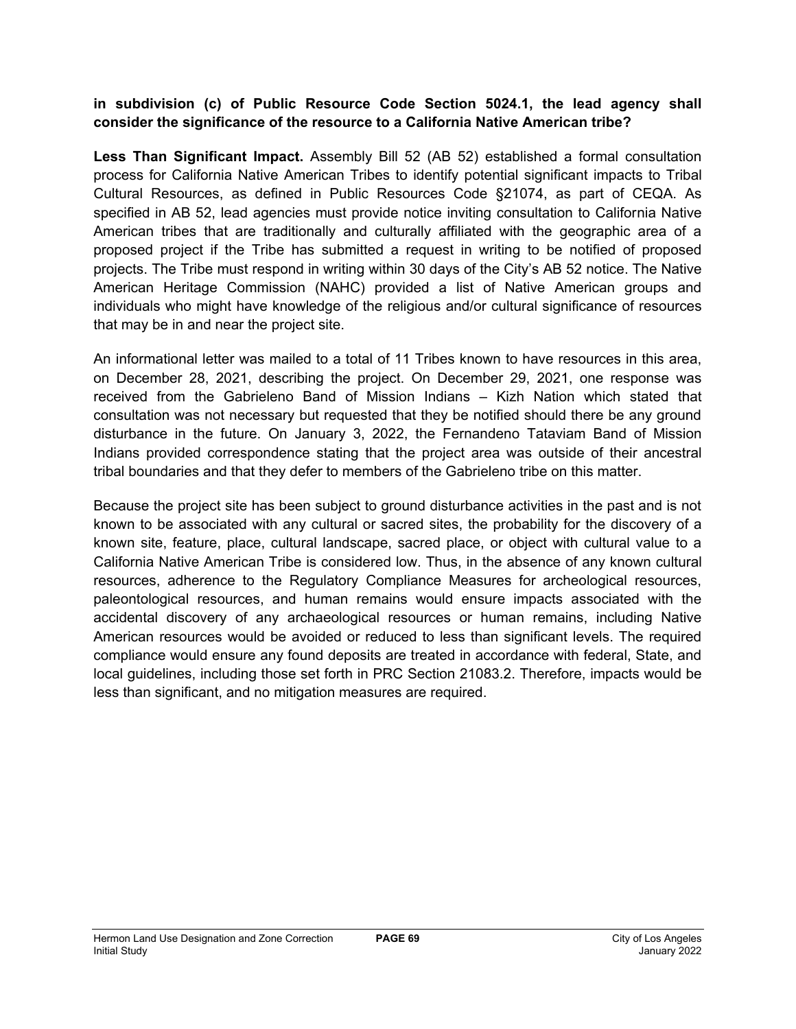### **in subdivision (c) of Public Resource Code Section 5024.1, the lead agency shall consider the significance of the resource to a California Native American tribe?**

**Less Than Significant Impact.** Assembly Bill 52 (AB 52) established a formal consultation process for California Native American Tribes to identify potential significant impacts to Tribal Cultural Resources, as defined in Public Resources Code §21074, as part of CEQA. As specified in AB 52, lead agencies must provide notice inviting consultation to California Native American tribes that are traditionally and culturally affiliated with the geographic area of a proposed project if the Tribe has submitted a request in writing to be notified of proposed projects. The Tribe must respond in writing within 30 days of the City's AB 52 notice. The Native American Heritage Commission (NAHC) provided a list of Native American groups and individuals who might have knowledge of the religious and/or cultural significance of resources that may be in and near the project site.

An informational letter was mailed to a total of 11 Tribes known to have resources in this area, on December 28, 2021, describing the project. On December 29, 2021, one response was received from the Gabrieleno Band of Mission Indians – Kizh Nation which stated that consultation was not necessary but requested that they be notified should there be any ground disturbance in the future. On January 3, 2022, the Fernandeno Tataviam Band of Mission Indians provided correspondence stating that the project area was outside of their ancestral tribal boundaries and that they defer to members of the Gabrieleno tribe on this matter.

Because the project site has been subject to ground disturbance activities in the past and is not known to be associated with any cultural or sacred sites, the probability for the discovery of a known site, feature, place, cultural landscape, sacred place, or object with cultural value to a California Native American Tribe is considered low. Thus, in the absence of any known cultural resources, adherence to the Regulatory Compliance Measures for archeological resources, paleontological resources, and human remains would ensure impacts associated with the accidental discovery of any archaeological resources or human remains, including Native American resources would be avoided or reduced to less than significant levels. The required compliance would ensure any found deposits are treated in accordance with federal, State, and local guidelines, including those set forth in PRC Section 21083.2. Therefore, impacts would be less than significant, and no mitigation measures are required.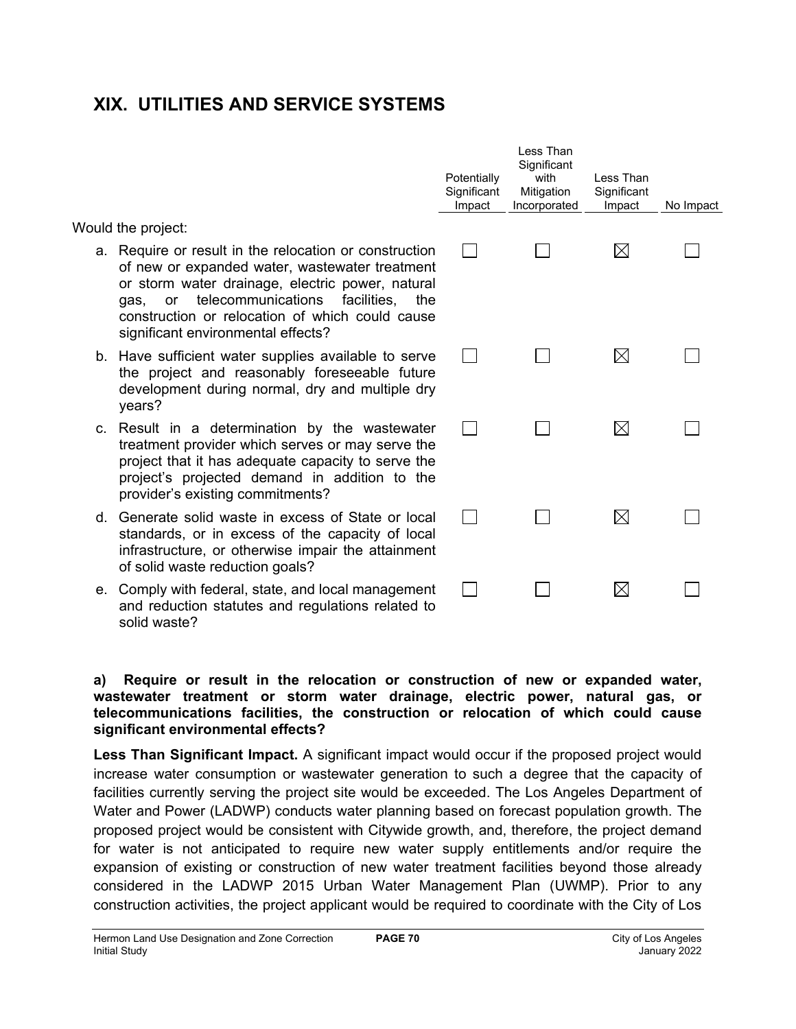# **XIX. UTILITIES AND SERVICE SYSTEMS**

Would the project:

- a. Require or result in the relocation or construction of new or expanded water, wastewater treatment or storm water drainage, electric power, natural gas, or telecommunications facilities, the construction or relocation of which could cause significant environmental effects?
- b. Have sufficient water supplies available to serve the project and reasonably foreseeable future development during normal, dry and multiple dry years?
- c. Result in a determination by the wastewater treatment provider which serves or may serve the project that it has adequate capacity to serve the project's projected demand in addition to the provider's existing commitments?
- d. Generate solid waste in excess of State or local standards, or in excess of the capacity of local infrastructure, or otherwise impair the attainment of solid waste reduction goals?
- e. Comply with federal, state, and local management and reduction statutes and regulations related to solid waste?

| Potentially<br>Significant<br>Impact | Less Than<br>Significant<br>with<br>Mitigation<br>Incorporated | Less Than<br>Significant<br>Impact | No Impact |
|--------------------------------------|----------------------------------------------------------------|------------------------------------|-----------|
|                                      |                                                                |                                    |           |
|                                      |                                                                |                                    |           |
|                                      |                                                                |                                    |           |
|                                      |                                                                |                                    |           |
|                                      |                                                                |                                    |           |
|                                      |                                                                |                                    |           |
|                                      |                                                                |                                    |           |
|                                      |                                                                |                                    |           |
|                                      |                                                                |                                    |           |
|                                      |                                                                |                                    |           |
|                                      |                                                                |                                    |           |
|                                      |                                                                |                                    |           |
|                                      |                                                                |                                    |           |

### **a) Require or result in the relocation or construction of new or expanded water, wastewater treatment or storm water drainage, electric power, natural gas, or telecommunications facilities, the construction or relocation of which could cause significant environmental effects?**

**Less Than Significant Impact.** A significant impact would occur if the proposed project would increase water consumption or wastewater generation to such a degree that the capacity of facilities currently serving the project site would be exceeded. The Los Angeles Department of Water and Power (LADWP) conducts water planning based on forecast population growth. The proposed project would be consistent with Citywide growth, and, therefore, the project demand for water is not anticipated to require new water supply entitlements and/or require the expansion of existing or construction of new water treatment facilities beyond those already considered in the LADWP 2015 Urban Water Management Plan (UWMP). Prior to any construction activities, the project applicant would be required to coordinate with the City of Los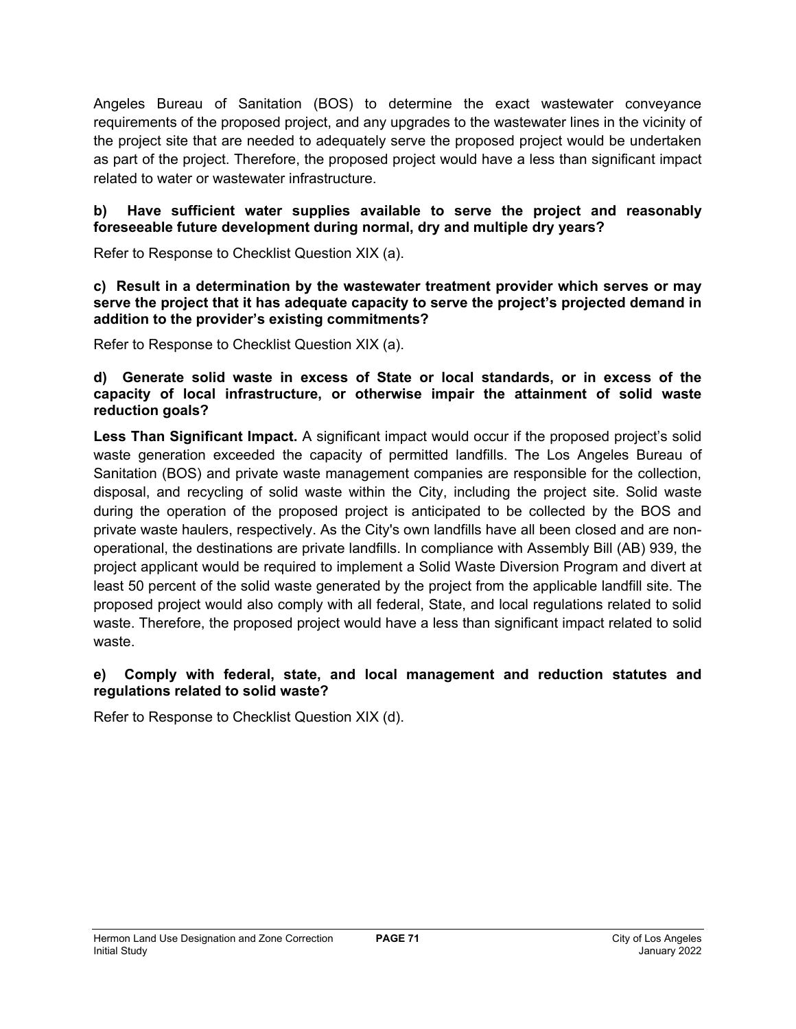Angeles Bureau of Sanitation (BOS) to determine the exact wastewater conveyance requirements of the proposed project, and any upgrades to the wastewater lines in the vicinity of the project site that are needed to adequately serve the proposed project would be undertaken as part of the project. Therefore, the proposed project would have a less than significant impact related to water or wastewater infrastructure.

### **b) Have sufficient water supplies available to serve the project and reasonably foreseeable future development during normal, dry and multiple dry years?**

Refer to Response to Checklist Question XIX (a).

### **c) Result in a determination by the wastewater treatment provider which serves or may serve the project that it has adequate capacity to serve the project's projected demand in addition to the provider's existing commitments?**

Refer to Response to Checklist Question XIX (a).

### **d) Generate solid waste in excess of State or local standards, or in excess of the capacity of local infrastructure, or otherwise impair the attainment of solid waste reduction goals?**

**Less Than Significant Impact.** A significant impact would occur if the proposed project's solid waste generation exceeded the capacity of permitted landfills. The Los Angeles Bureau of Sanitation (BOS) and private waste management companies are responsible for the collection, disposal, and recycling of solid waste within the City, including the project site. Solid waste during the operation of the proposed project is anticipated to be collected by the BOS and private waste haulers, respectively. As the City's own landfills have all been closed and are nonoperational, the destinations are private landfills. In compliance with Assembly Bill (AB) 939, the project applicant would be required to implement a Solid Waste Diversion Program and divert at least 50 percent of the solid waste generated by the project from the applicable landfill site. The proposed project would also comply with all federal, State, and local regulations related to solid waste. Therefore, the proposed project would have a less than significant impact related to solid waste.

## **e) Comply with federal, state, and local management and reduction statutes and regulations related to solid waste?**

Refer to Response to Checklist Question XIX (d).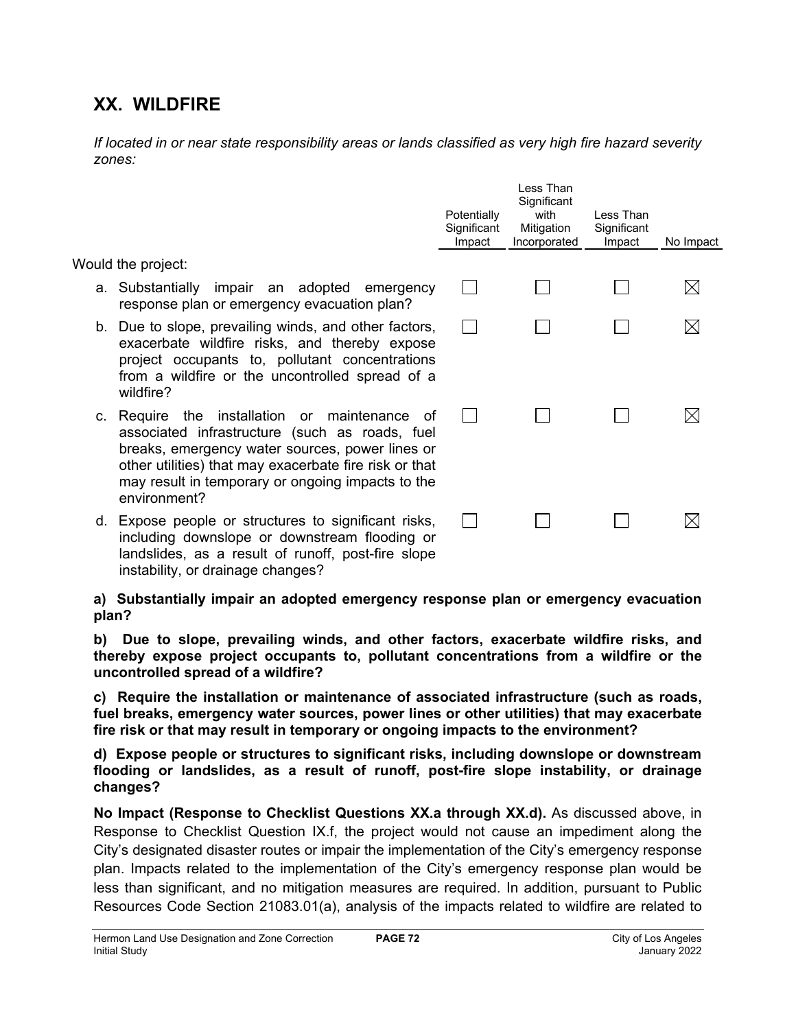# **XX. WILDFIRE**

*If located in or near state responsibility areas or lands classified as very high fire hazard severity zones:*

|                                                                                                                                                                                                                                                                                      | Potentially<br>Significant<br>Impact | Less Than<br>Significant<br>with<br>Mitigation<br>Incorporated | Less Than<br>Significant<br>Impact | No Impact |
|--------------------------------------------------------------------------------------------------------------------------------------------------------------------------------------------------------------------------------------------------------------------------------------|--------------------------------------|----------------------------------------------------------------|------------------------------------|-----------|
| Would the project:                                                                                                                                                                                                                                                                   |                                      |                                                                |                                    |           |
| a. Substantially impair an adopted<br>emergency<br>response plan or emergency evacuation plan?                                                                                                                                                                                       |                                      |                                                                |                                    |           |
| b. Due to slope, prevailing winds, and other factors,<br>exacerbate wildfire risks, and thereby expose<br>project occupants to, pollutant concentrations<br>from a wildfire or the uncontrolled spread of a<br>wildfire?                                                             |                                      |                                                                |                                    |           |
| c. Require the installation or maintenance<br>of<br>associated infrastructure (such as roads, fuel<br>breaks, emergency water sources, power lines or<br>other utilities) that may exacerbate fire risk or that<br>may result in temporary or ongoing impacts to the<br>environment? |                                      |                                                                |                                    |           |
| d. Expose people or structures to significant risks,<br>including downslope or downstream flooding or<br>landslides, as a result of runoff, post-fire slope<br>instability, or drainage changes?                                                                                     |                                      |                                                                |                                    |           |

**a) Substantially impair an adopted emergency response plan or emergency evacuation plan?**

**b) Due to slope, prevailing winds, and other factors, exacerbate wildfire risks, and thereby expose project occupants to, pollutant concentrations from a wildfire or the uncontrolled spread of a wildfire?**

**c) Require the installation or maintenance of associated infrastructure (such as roads, fuel breaks, emergency water sources, power lines or other utilities) that may exacerbate fire risk or that may result in temporary or ongoing impacts to the environment?**

**d) Expose people or structures to significant risks, including downslope or downstream flooding or landslides, as a result of runoff, post-fire slope instability, or drainage changes?**

**No Impact (Response to Checklist Questions XX.a through XX.d).** As discussed above, in Response to Checklist Question IX.f, the project would not cause an impediment along the City's designated disaster routes or impair the implementation of the City's emergency response plan. Impacts related to the implementation of the City's emergency response plan would be less than significant, and no mitigation measures are required. In addition, pursuant to Public Resources Code Section 21083.01(a), analysis of the impacts related to wildfire are related to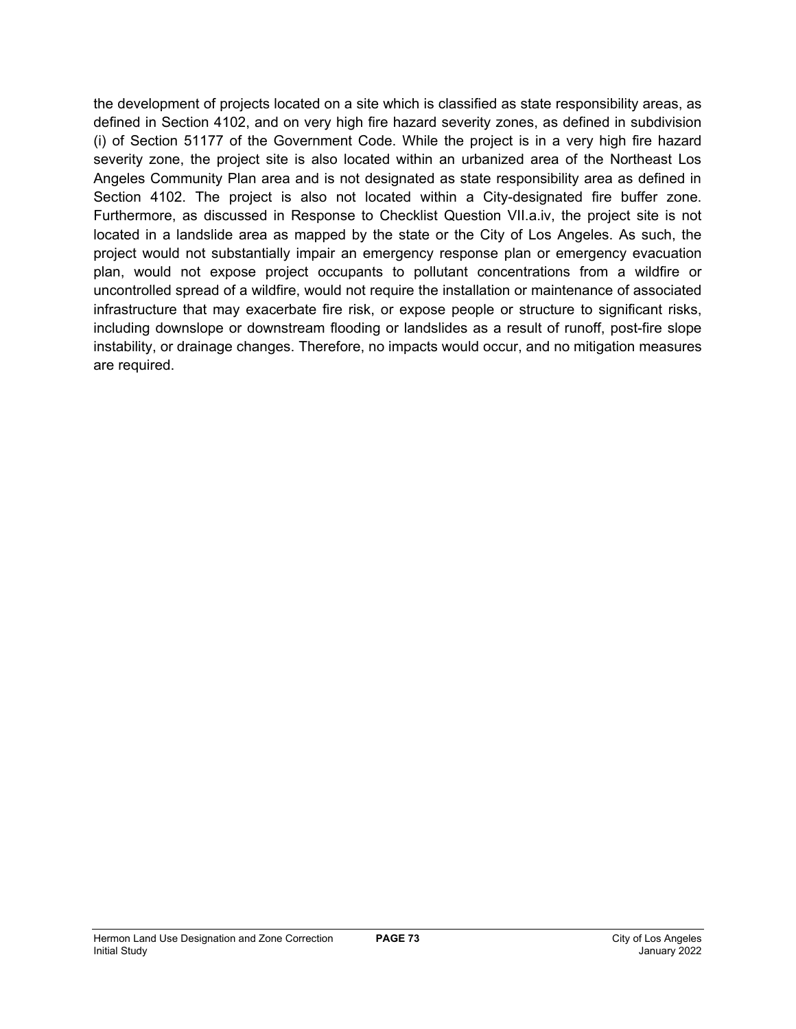the development of projects located on a site which is classified as state responsibility areas, as defined in Section 4102, and on very high fire hazard severity zones, as defined in subdivision (i) of Section 51177 of the Government Code. While the project is in a very high fire hazard severity zone, the project site is also located within an urbanized area of the Northeast Los Angeles Community Plan area and is not designated as state responsibility area as defined in Section 4102. The project is also not located within a City-designated fire buffer zone. Furthermore, as discussed in Response to Checklist Question VII.a.iv, the project site is not located in a landslide area as mapped by the state or the City of Los Angeles. As such, the project would not substantially impair an emergency response plan or emergency evacuation plan, would not expose project occupants to pollutant concentrations from a wildfire or uncontrolled spread of a wildfire, would not require the installation or maintenance of associated infrastructure that may exacerbate fire risk, or expose people or structure to significant risks, including downslope or downstream flooding or landslides as a result of runoff, post-fire slope instability, or drainage changes. Therefore, no impacts would occur, and no mitigation measures are required.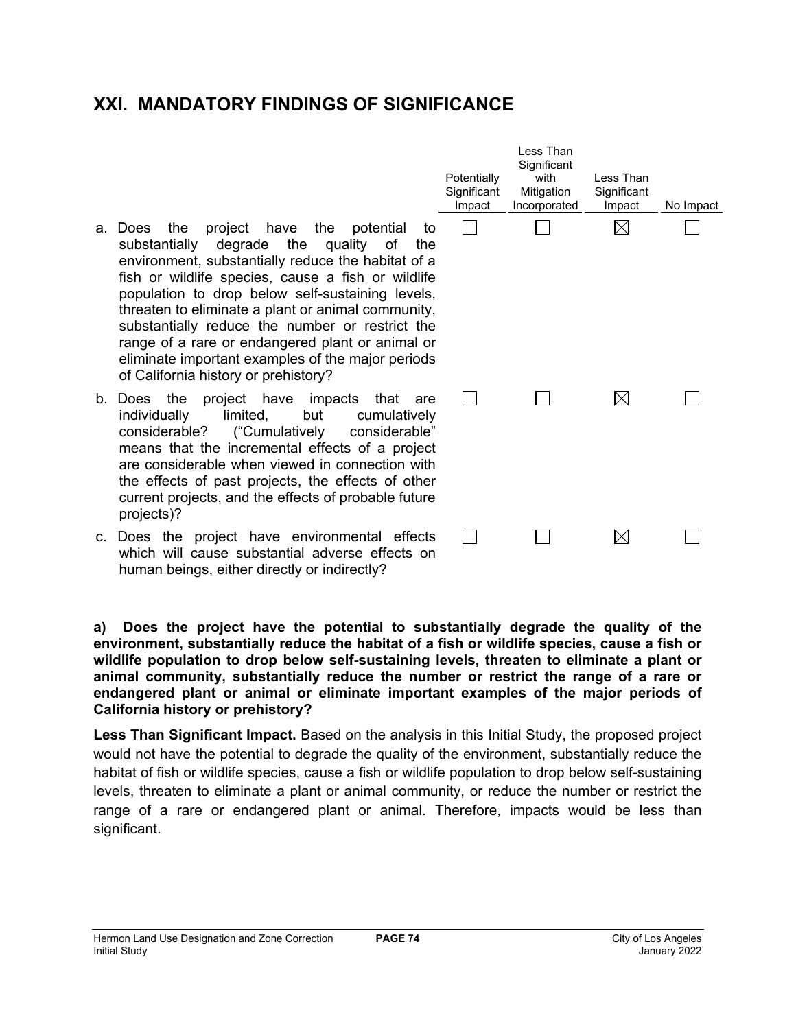## **XXI. MANDATORY FINDINGS OF SIGNIFICANCE**

- a. Does the project have the pote substantially degrade the quality environment, substantially reduce the hal fish or wildlife species, cause a fish o population to drop below self-sustaining threaten to eliminate a plant or animal cor substantially reduce the number or rest range of a rare or endangered plant or a eliminate important examples of the major of California history or prehistory?
- b. Does the project have impacts that individually limited, but cun considerable? ("Cumulatively considerable" means that the incremental effects of are considerable when viewed in connect the effects of past projects, the effects current projects, and the effects of probab projects)?
- c. Does the project have environmental which will cause substantial adverse ef human beings, either directly or indirectly

**a) Does the project have the potential to substantially degrade the quality of the environment, substantially reduce the habitat of a fish or wildlife species, cause a fish or wildlife population to drop below self-sustaining levels, threaten to eliminate a plant or animal community, substantially reduce the number or restrict the range of a rare or endangered plant or animal or eliminate important examples of the major periods of California history or prehistory?**

**Less Than Significant Impact.** Based on the analysis in this Initial Study, the proposed project would not have the potential to degrade the quality of the environment, substantially reduce the habitat of fish or wildlife species, cause a fish or wildlife population to drop below self-sustaining levels, threaten to eliminate a plant or animal community, or reduce the number or restrict the range of a rare or endangered plant or animal. Therefore, impacts would be less than significant.

|                                                                                                                          | Potentially<br>Significant<br>Impact | Less Than<br>Significant<br>with<br>Mitigation<br>Incorporated | Less Than<br>Significant<br>Impact | No Impact |
|--------------------------------------------------------------------------------------------------------------------------|--------------------------------------|----------------------------------------------------------------|------------------------------------|-----------|
| ntial:<br>to<br>of<br>the<br>bitat of a<br>or wildlife<br>g levels,<br>mmunity,<br>strict the<br>animal or<br>or periods |                                      |                                                                |                                    |           |
| :hat<br>are<br>nulatively<br>iderable"<br>a project<br>ction with<br>of other<br>ble future                              |                                      |                                                                |                                    |           |
| Г<br>effects<br>ffects on<br>2                                                                                           |                                      |                                                                |                                    |           |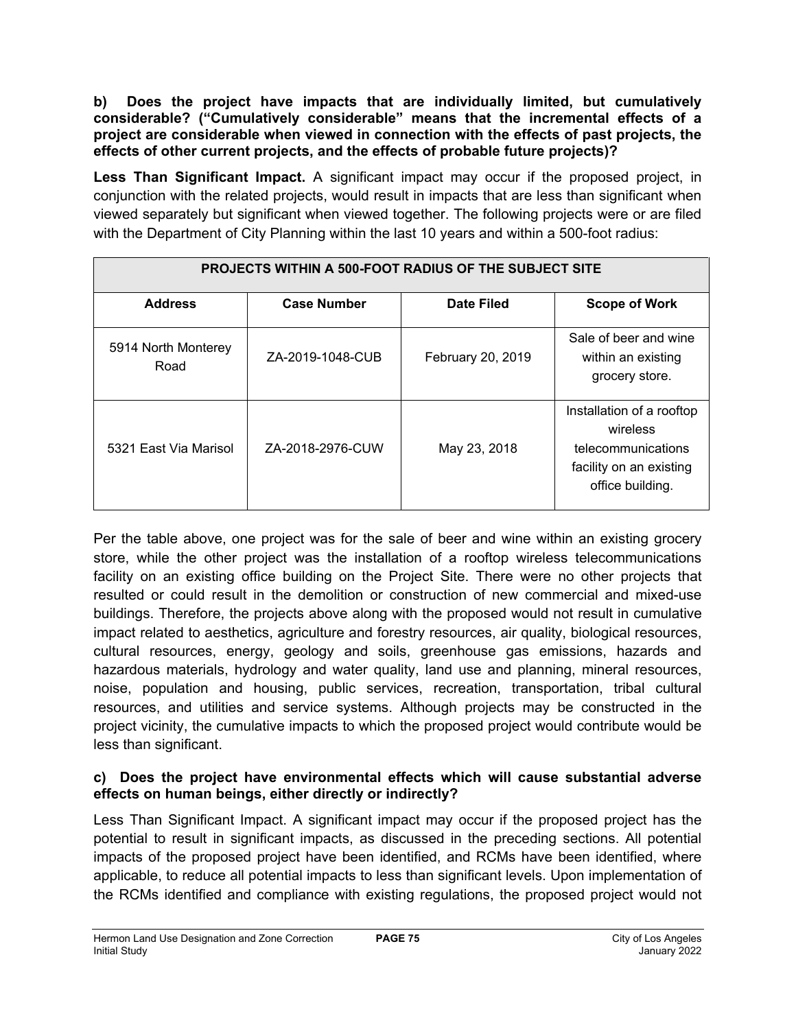**b) Does the project have impacts that are individually limited, but cumulatively considerable? ("Cumulatively considerable" means that the incremental effects of a project are considerable when viewed in connection with the effects of past projects, the effects of other current projects, and the effects of probable future projects)?**

**Less Than Significant Impact.** A significant impact may occur if the proposed project, in conjunction with the related projects, would result in impacts that are less than significant when viewed separately but significant when viewed together. The following projects were or are filed with the Department of City Planning within the last 10 years and within a 500-foot radius:

| PROJECTS WITHIN A 500-FOOT RADIUS OF THE SUBJECT SITE |                    |                   |                                                                                                            |  |  |  |
|-------------------------------------------------------|--------------------|-------------------|------------------------------------------------------------------------------------------------------------|--|--|--|
| <b>Address</b>                                        | <b>Case Number</b> | Date Filed        | <b>Scope of Work</b>                                                                                       |  |  |  |
| 5914 North Monterey<br>Road                           | ZA-2019-1048-CUB   | February 20, 2019 | Sale of beer and wine<br>within an existing<br>grocery store.                                              |  |  |  |
| 5321 East Via Marisol                                 | ZA-2018-2976-CUW   | May 23, 2018      | Installation of a rooftop<br>wireless<br>telecommunications<br>facility on an existing<br>office building. |  |  |  |

Per the table above, one project was for the sale of beer and wine within an existing grocery store, while the other project was the installation of a rooftop wireless telecommunications facility on an existing office building on the Project Site. There were no other projects that resulted or could result in the demolition or construction of new commercial and mixed-use buildings. Therefore, the projects above along with the proposed would not result in cumulative impact related to aesthetics, agriculture and forestry resources, air quality, biological resources, cultural resources, energy, geology and soils, greenhouse gas emissions, hazards and hazardous materials, hydrology and water quality, land use and planning, mineral resources, noise, population and housing, public services, recreation, transportation, tribal cultural resources, and utilities and service systems. Although projects may be constructed in the project vicinity, the cumulative impacts to which the proposed project would contribute would be less than significant.

## **c) Does the project have environmental effects which will cause substantial adverse effects on human beings, either directly or indirectly?**

Less Than Significant Impact. A significant impact may occur if the proposed project has the potential to result in significant impacts, as discussed in the preceding sections. All potential impacts of the proposed project have been identified, and RCMs have been identified, where applicable, to reduce all potential impacts to less than significant levels. Upon implementation of the RCMs identified and compliance with existing regulations, the proposed project would not